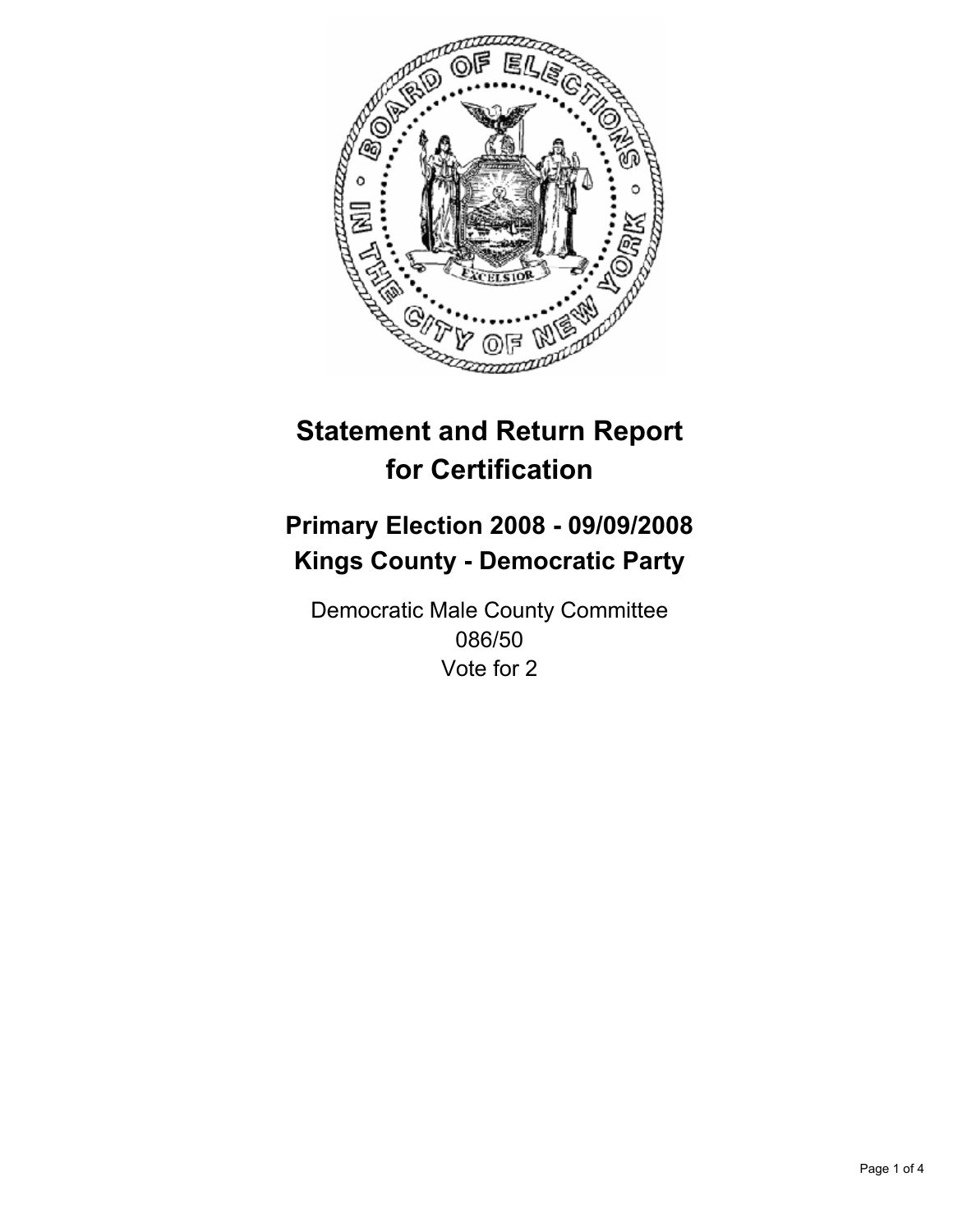

# **Primary Election 2008 - 09/09/2008 Kings County - Democratic Party**

Democratic Male County Committee 086/50 Vote for 2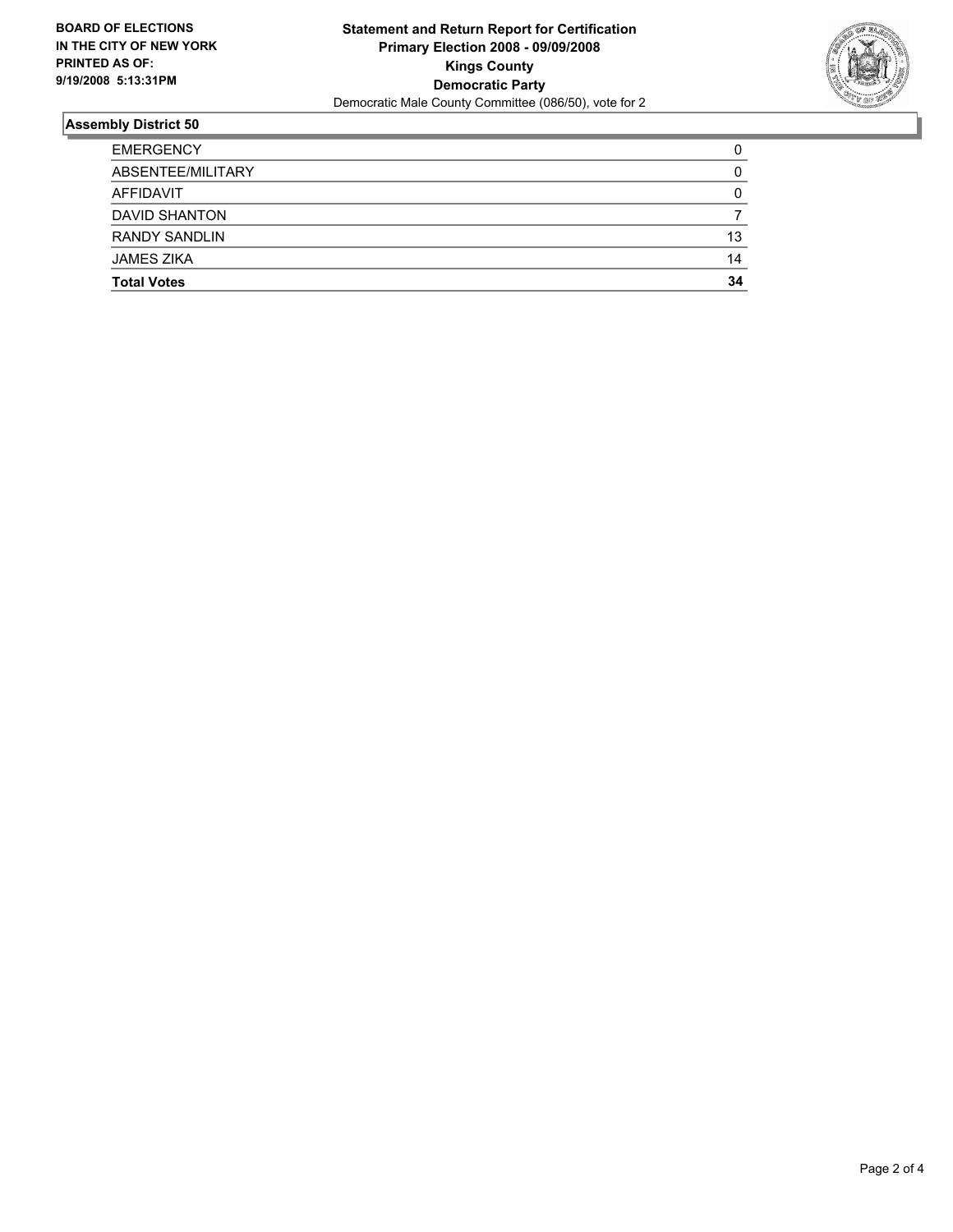

| <b>Total Votes</b>   | 34 |
|----------------------|----|
| <b>JAMES ZIKA</b>    | 14 |
| <b>RANDY SANDLIN</b> | 13 |
| <b>DAVID SHANTON</b> |    |
| <b>AFFIDAVIT</b>     |    |
| ABSENTEE/MILITARY    |    |
| <b>EMERGENCY</b>     |    |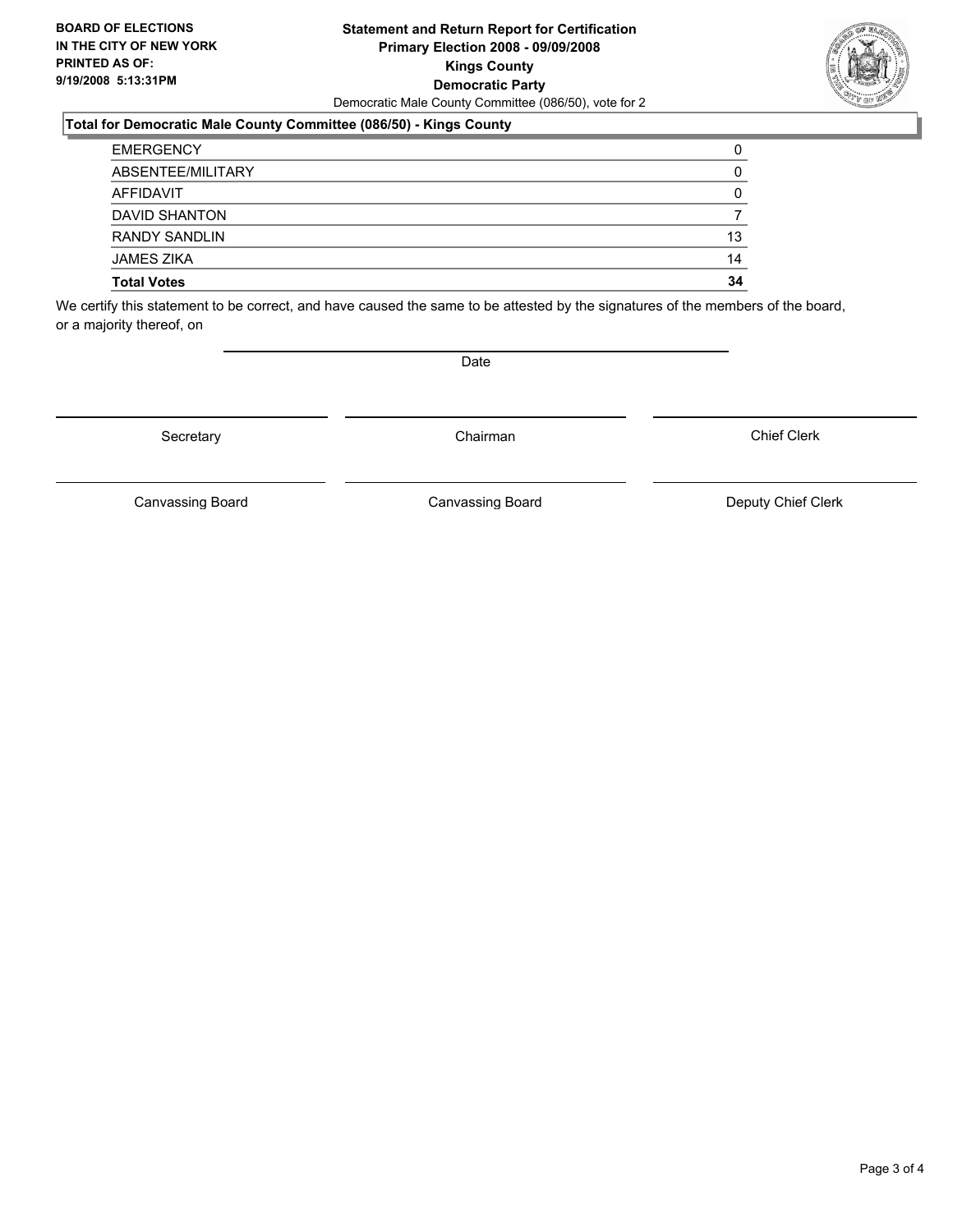#### **Statement and Return Report for Certification Primary Election 2008 - 09/09/2008 Kings County Democratic Party** Democratic Male County Committee (086/50), vote for 2

## **Total for Democratic Male County Committee (086/50) - Kings County**

| <b>Total Votes</b>   | 34 |
|----------------------|----|
| <b>JAMES ZIKA</b>    | 14 |
| <b>RANDY SANDLIN</b> | 13 |
| <b>DAVID SHANTON</b> |    |
| AFFIDAVIT            |    |
| ABSENTEE/MILITARY    |    |
| <b>EMERGENCY</b>     |    |

We certify this statement to be correct, and have caused the same to be attested by the signatures of the members of the board, or a majority thereof, on

Secretary **Chairman** 

Date

Chief Clerk

Canvassing Board **Canvassing Board** Canvassing Board **Deputy Chief Clerk** 

Canvassing Board

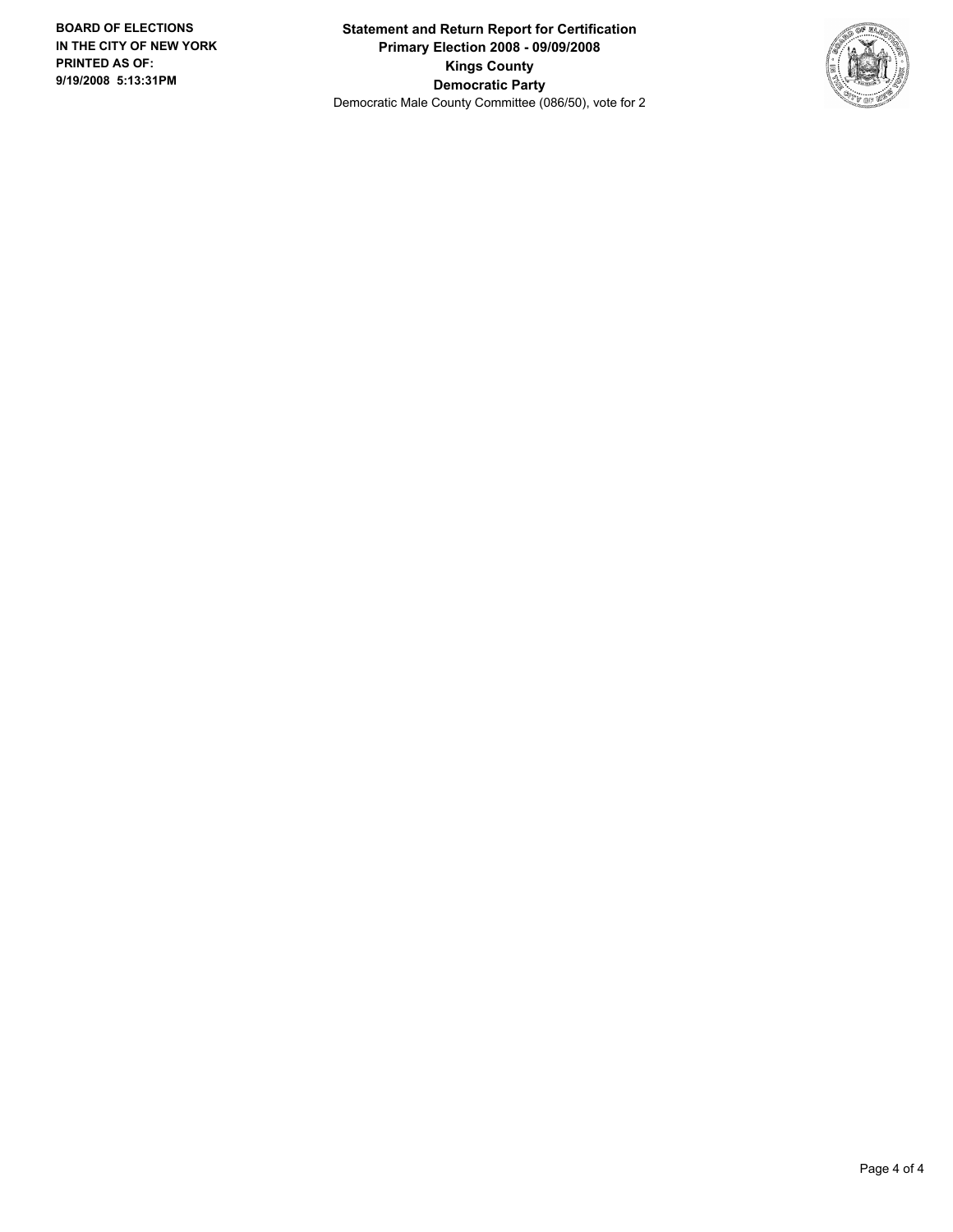**Statement and Return Report for Certification Primary Election 2008 - 09/09/2008 Kings County Democratic Party** Democratic Male County Committee (086/50), vote for 2

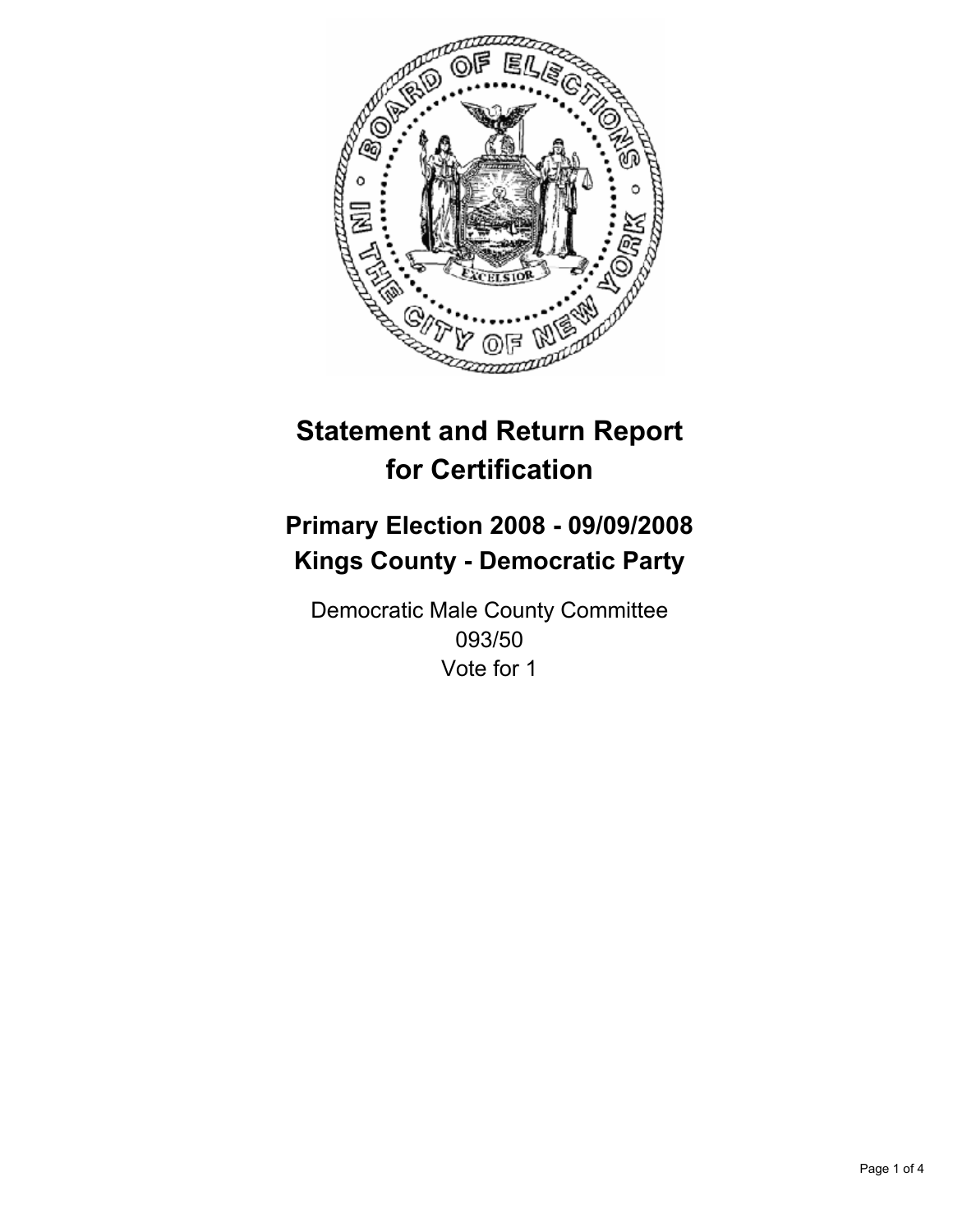

# **Primary Election 2008 - 09/09/2008 Kings County - Democratic Party**

Democratic Male County Committee 093/50 Vote for 1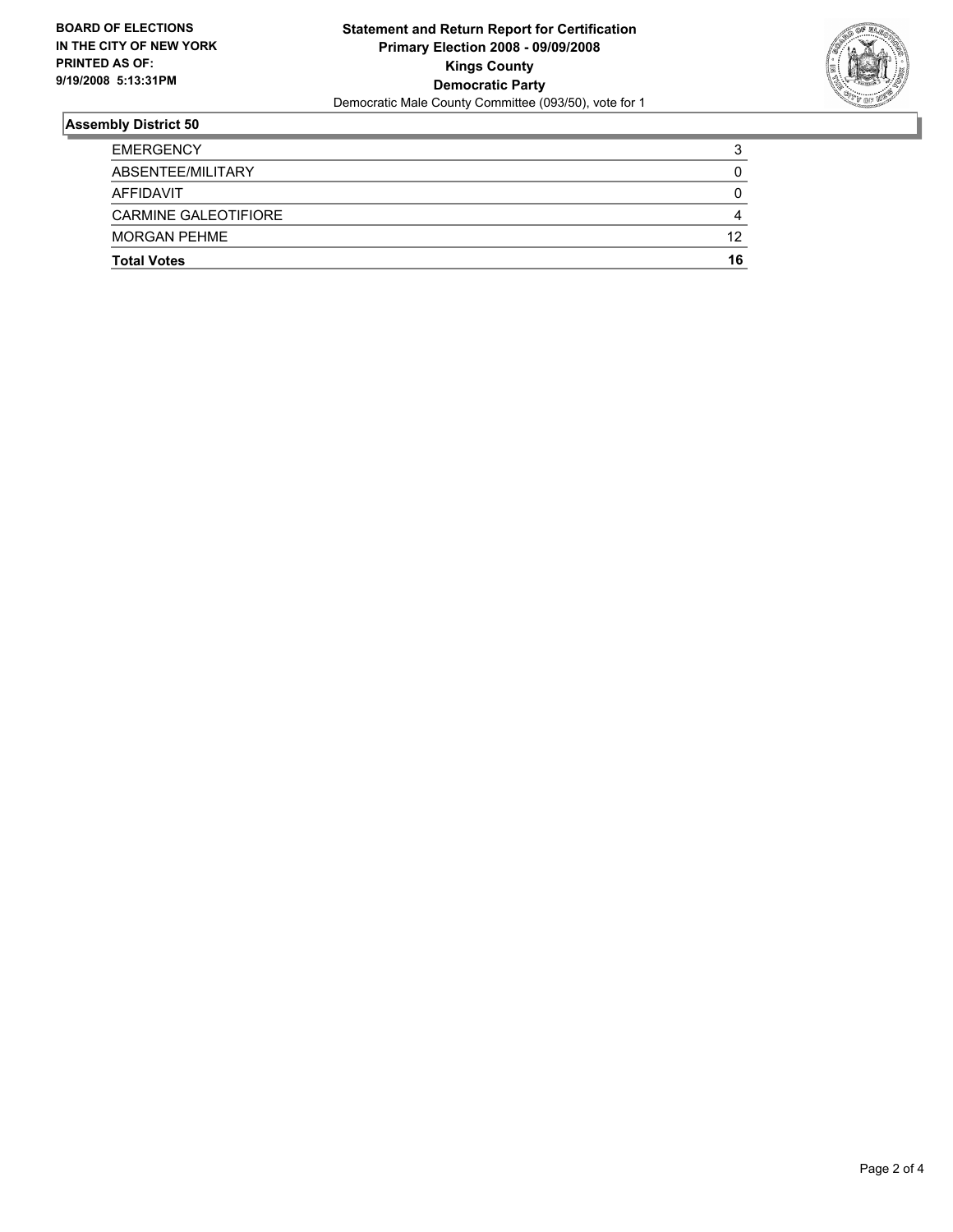

| <b>Total Votes</b>   | 16 |
|----------------------|----|
| <b>MORGAN PEHME</b>  | 12 |
| CARMINE GALEOTIFIORE |    |
| <b>AFFIDAVIT</b>     |    |
| ABSENTEE/MILITARY    |    |
| <b>EMERGENCY</b>     |    |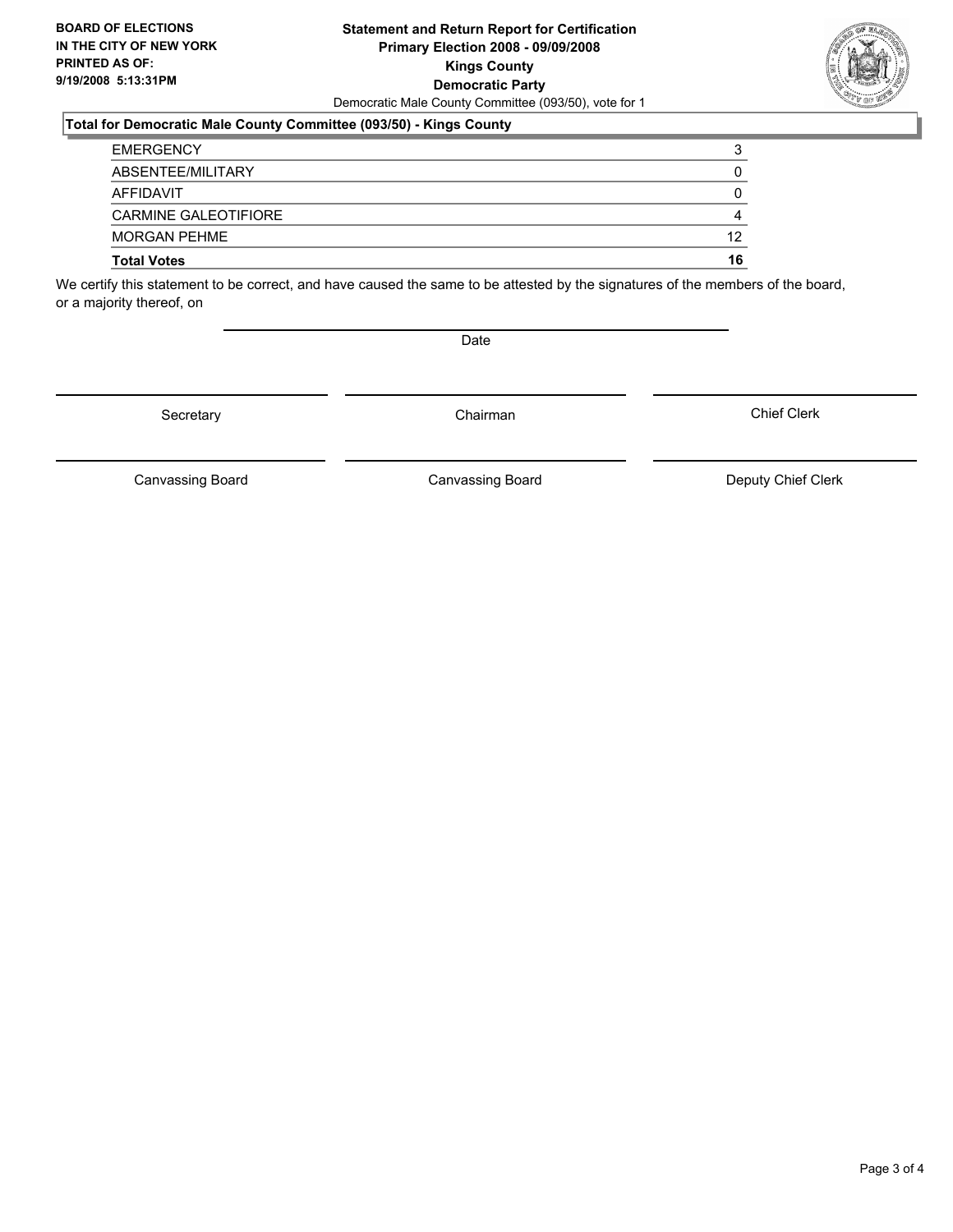#### **Statement and Return Report for Certification Primary Election 2008 - 09/09/2008 Kings County Democratic Party** Democratic Male County Committee (093/50), vote for 1

### **Total for Democratic Male County Committee (093/50) - Kings County**

| <b>EMERGENCY</b>            |    |
|-----------------------------|----|
| ABSENTEE/MILITARY           |    |
| AFFIDAVIT                   |    |
| <b>CARMINE GALEOTIFIORE</b> |    |
| <b>MORGAN PEHME</b>         | 12 |
| <b>Total Votes</b>          | 16 |

We certify this statement to be correct, and have caused the same to be attested by the signatures of the members of the board, or a majority thereof, on

Date

Secretary Chairman

Canvassing Board

Canvassing Board **Canvassing Board** Canvassing Board **Deputy Chief Clerk** 

Chief Clerk

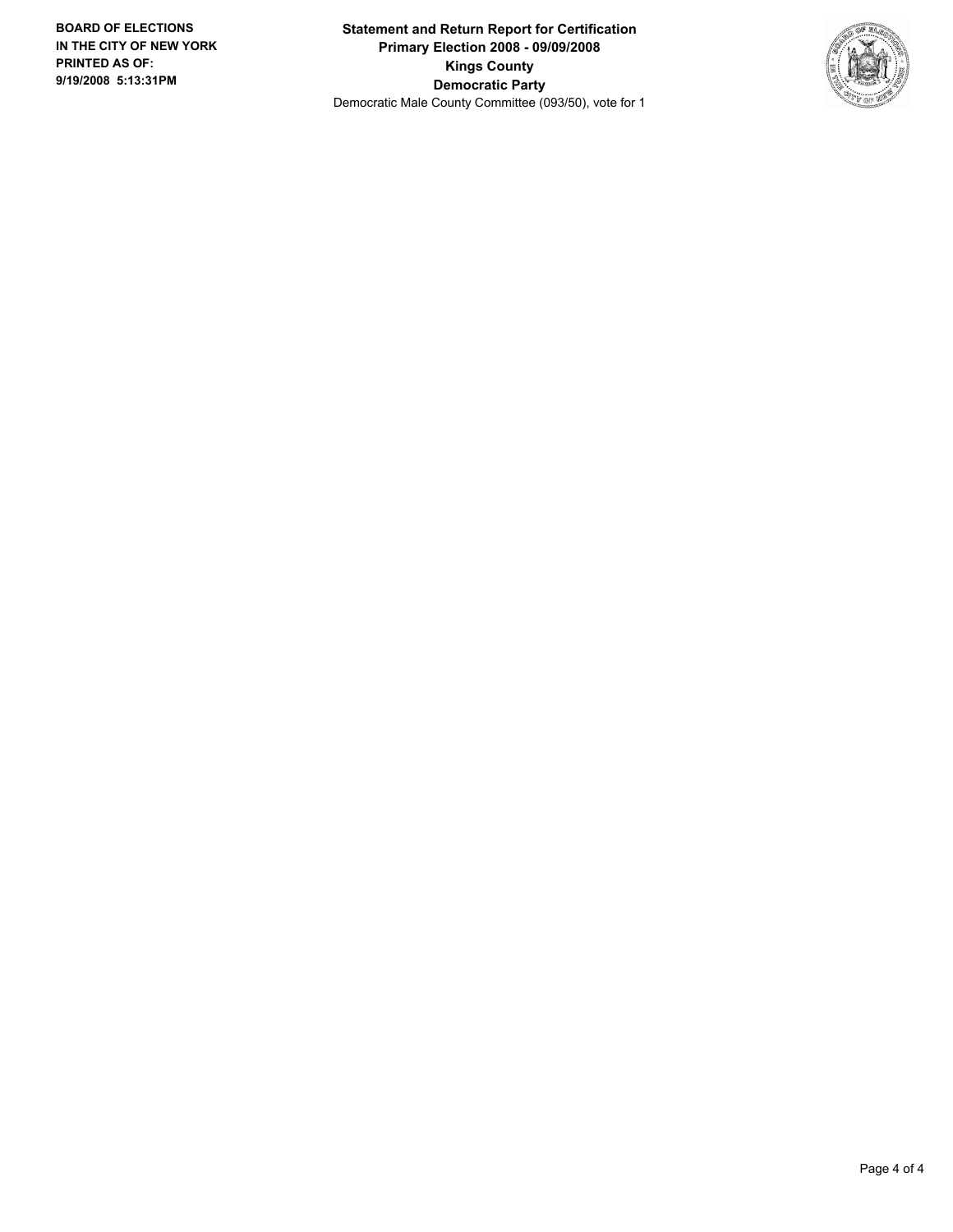**Statement and Return Report for Certification Primary Election 2008 - 09/09/2008 Kings County Democratic Party** Democratic Male County Committee (093/50), vote for 1

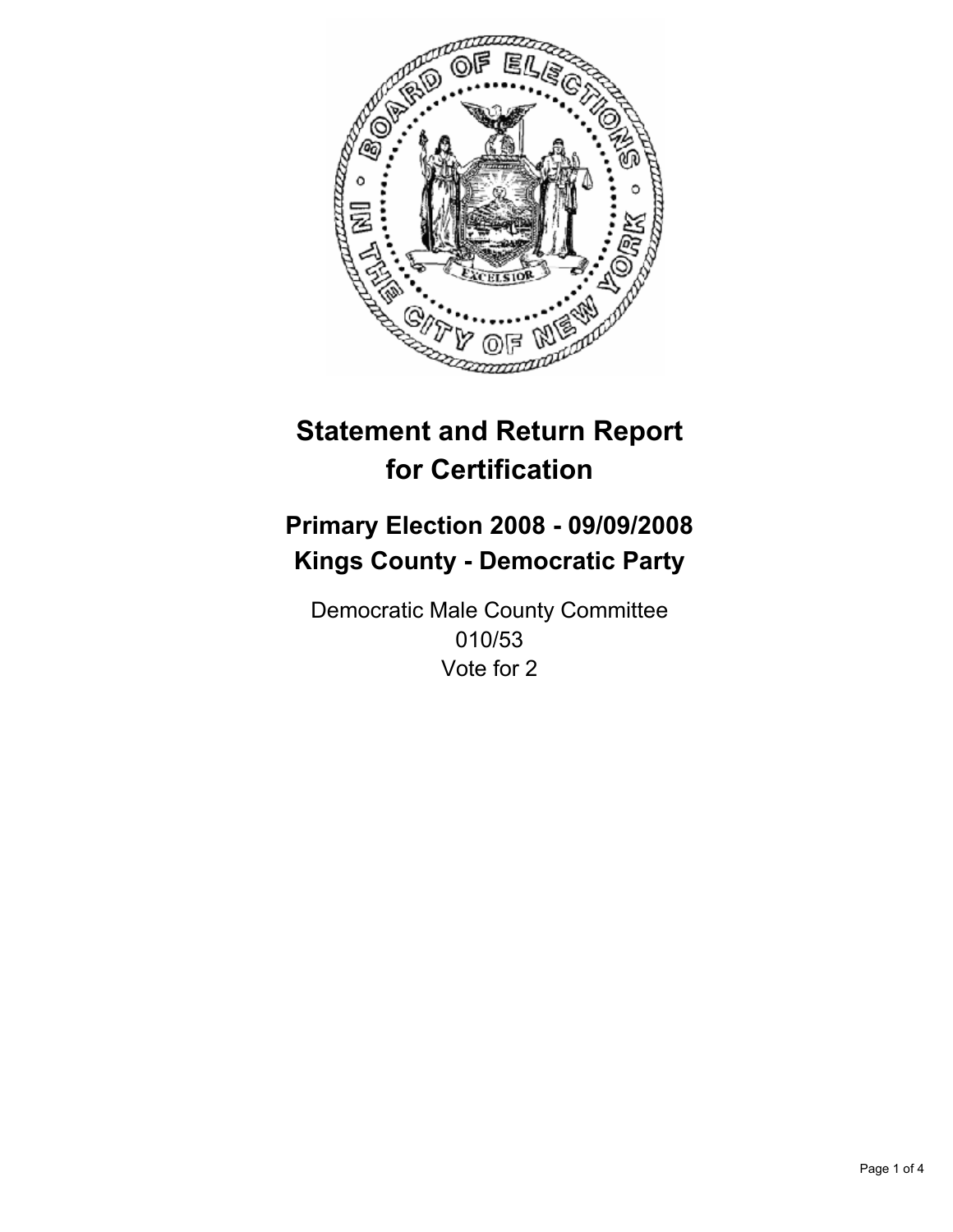

# **Primary Election 2008 - 09/09/2008 Kings County - Democratic Party**

Democratic Male County Committee 010/53 Vote for 2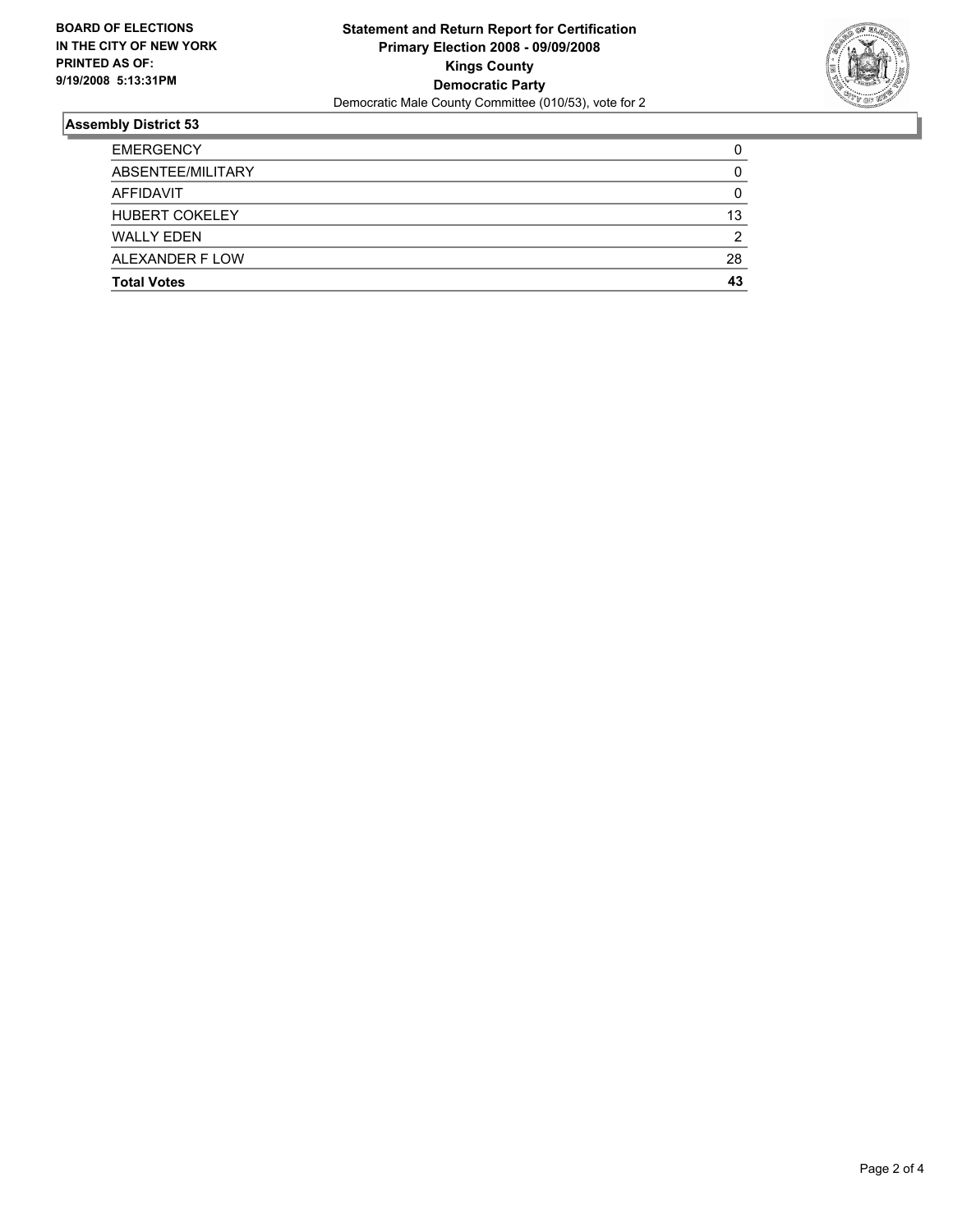

| <b>Total Votes</b>    | 43 |
|-----------------------|----|
| ALEXANDER F LOW       | 28 |
| <b>WALLY EDEN</b>     |    |
| <b>HUBERT COKELEY</b> | 13 |
| AFFIDAVIT             |    |
| ABSENTEE/MILITARY     |    |
| <b>EMERGENCY</b>      |    |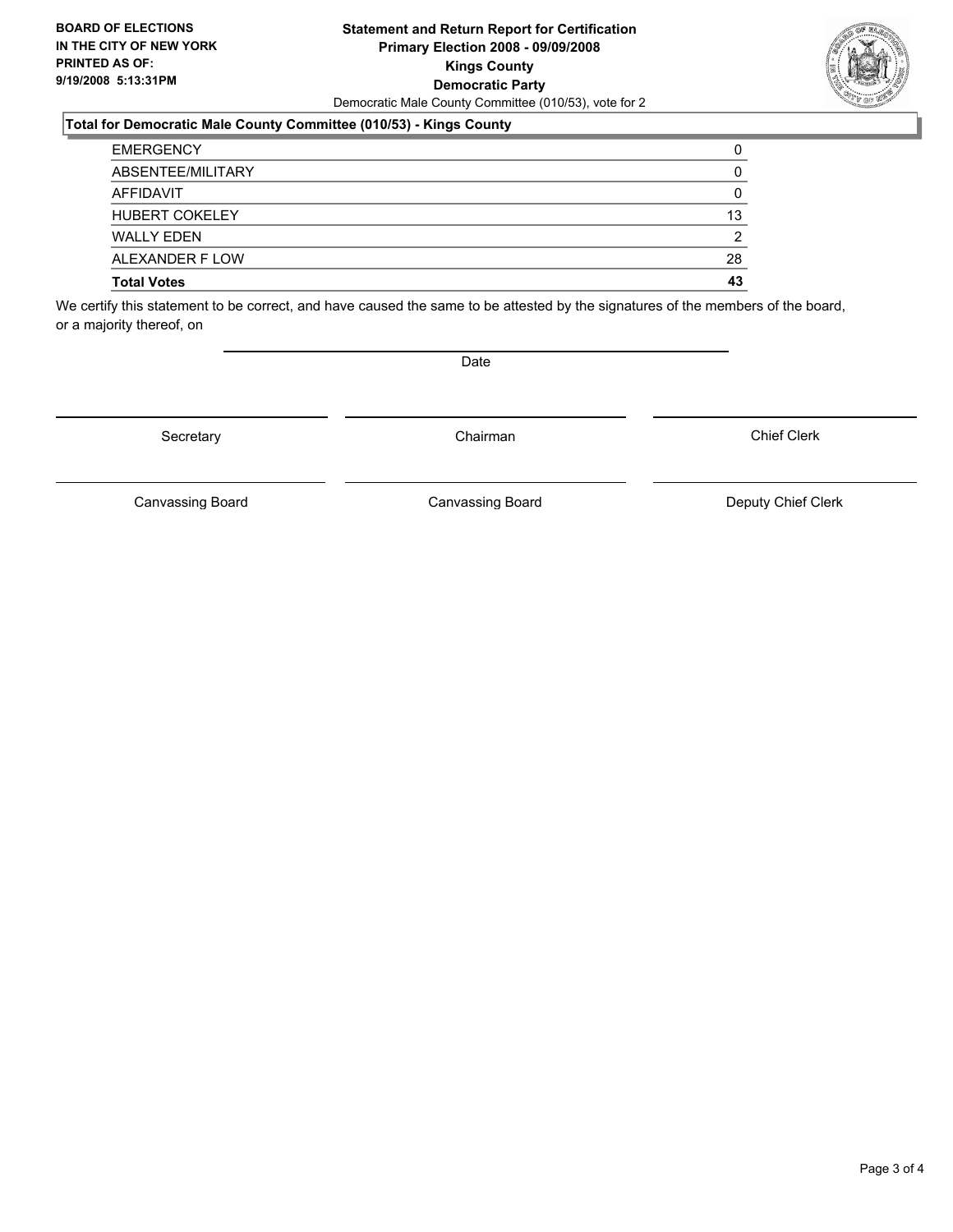#### **Statement and Return Report for Certification Primary Election 2008 - 09/09/2008 Kings County Democratic Party** Democratic Male County Committee (010/53), vote for 2

### **Total for Democratic Male County Committee (010/53) - Kings County**

| <b>EMERGENCY</b>      |    |
|-----------------------|----|
| ABSENTEE/MILITARY     |    |
| AFFIDAVIT             |    |
| <b>HUBERT COKELEY</b> | 13 |
| <b>WALLY EDEN</b>     |    |
| ALEXANDER F LOW       | 28 |
| <b>Total Votes</b>    | 43 |

We certify this statement to be correct, and have caused the same to be attested by the signatures of the members of the board, or a majority thereof, on

Date

Secretary **Chairman** 

Chief Clerk

Canvassing Board **Canvassing Board** Canvassing Board **Deputy Chief Clerk** 

Canvassing Board

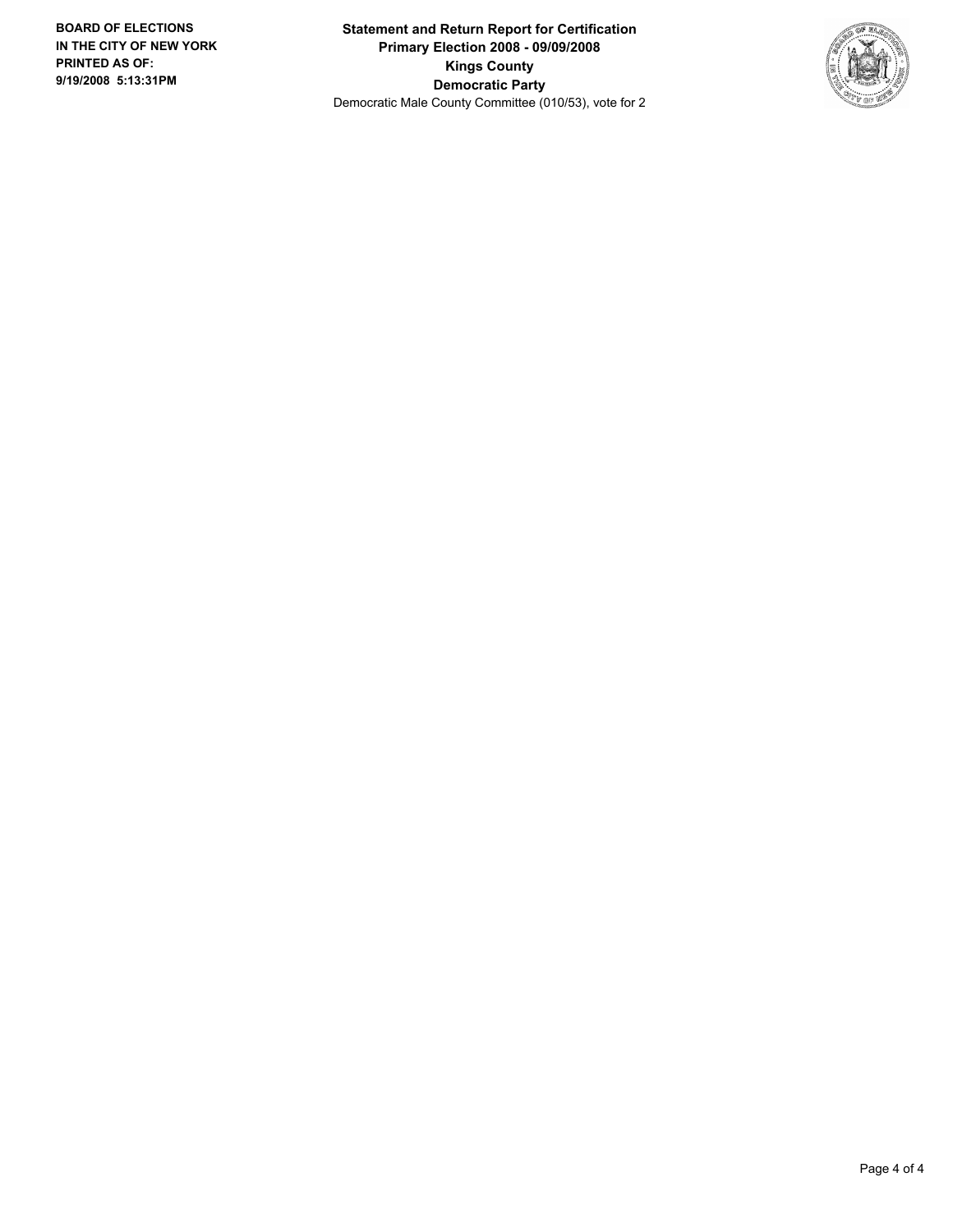**Statement and Return Report for Certification Primary Election 2008 - 09/09/2008 Kings County Democratic Party** Democratic Male County Committee (010/53), vote for 2

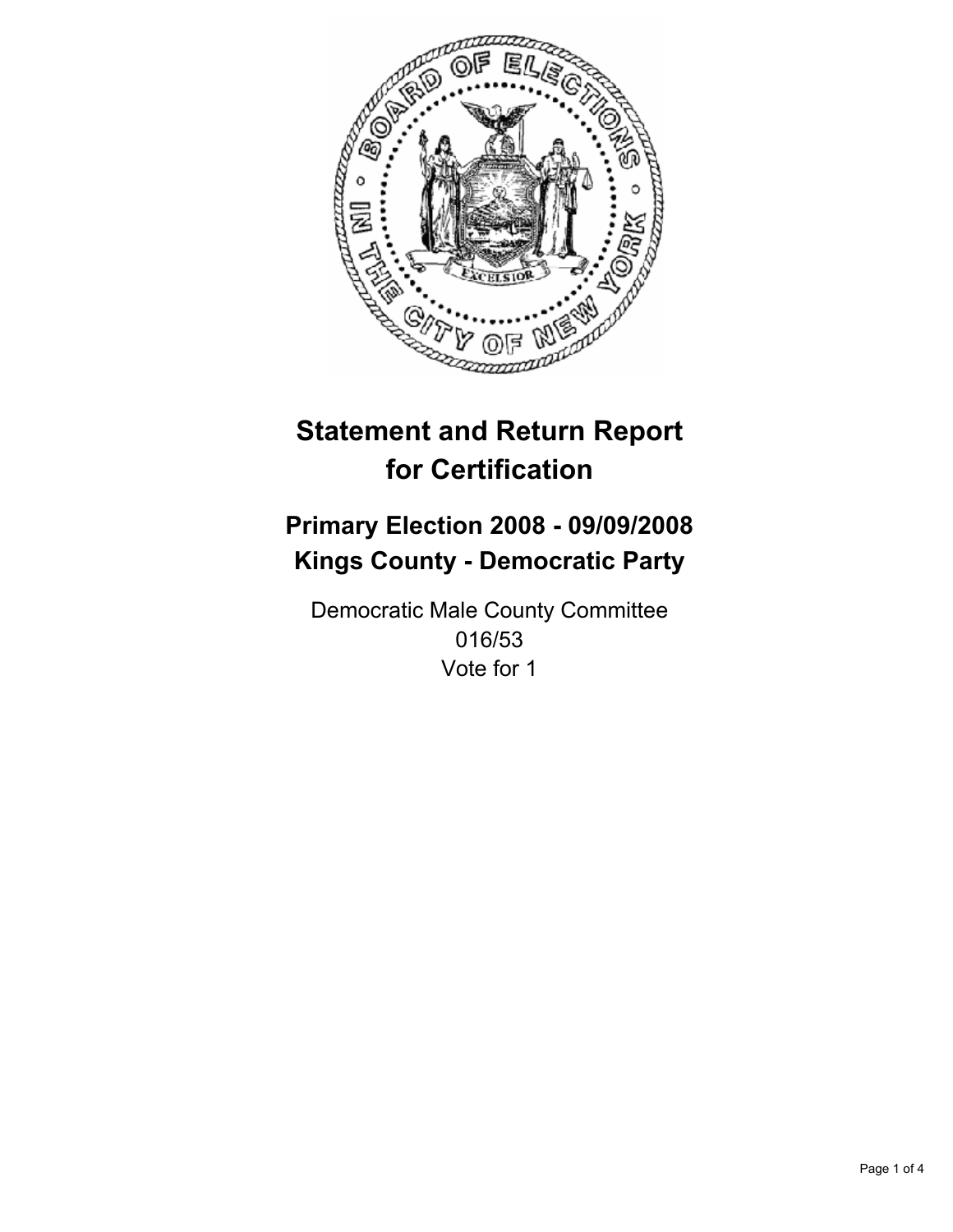

# **Primary Election 2008 - 09/09/2008 Kings County - Democratic Party**

Democratic Male County Committee 016/53 Vote for 1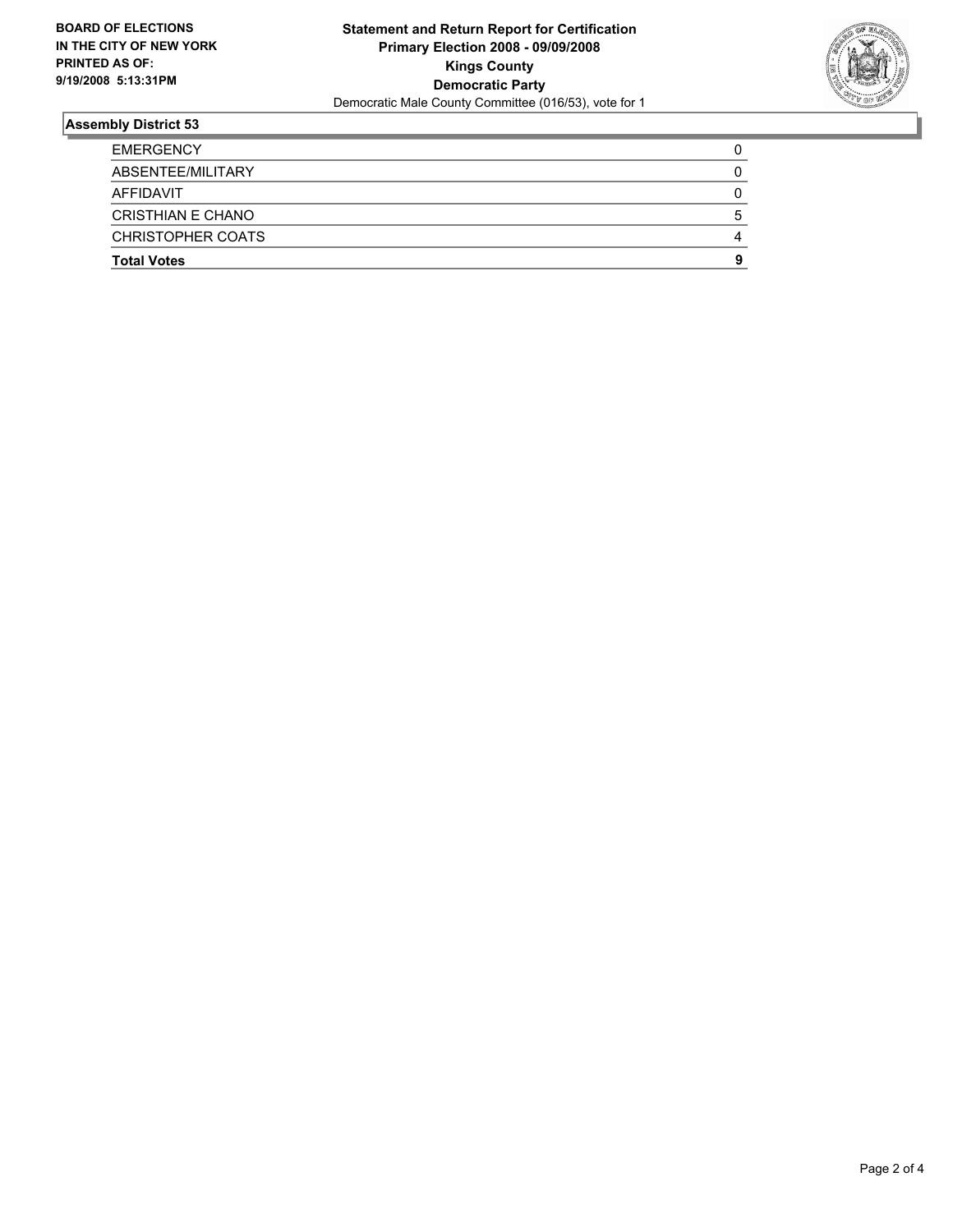

| <b>EMERGENCY</b>         |   |
|--------------------------|---|
| ABSENTEE/MILITARY        |   |
| AFFIDAVIT                |   |
| <b>CRISTHIAN E CHANO</b> |   |
| CHRISTOPHER COATS        | Δ |
| <b>Total Votes</b>       | о |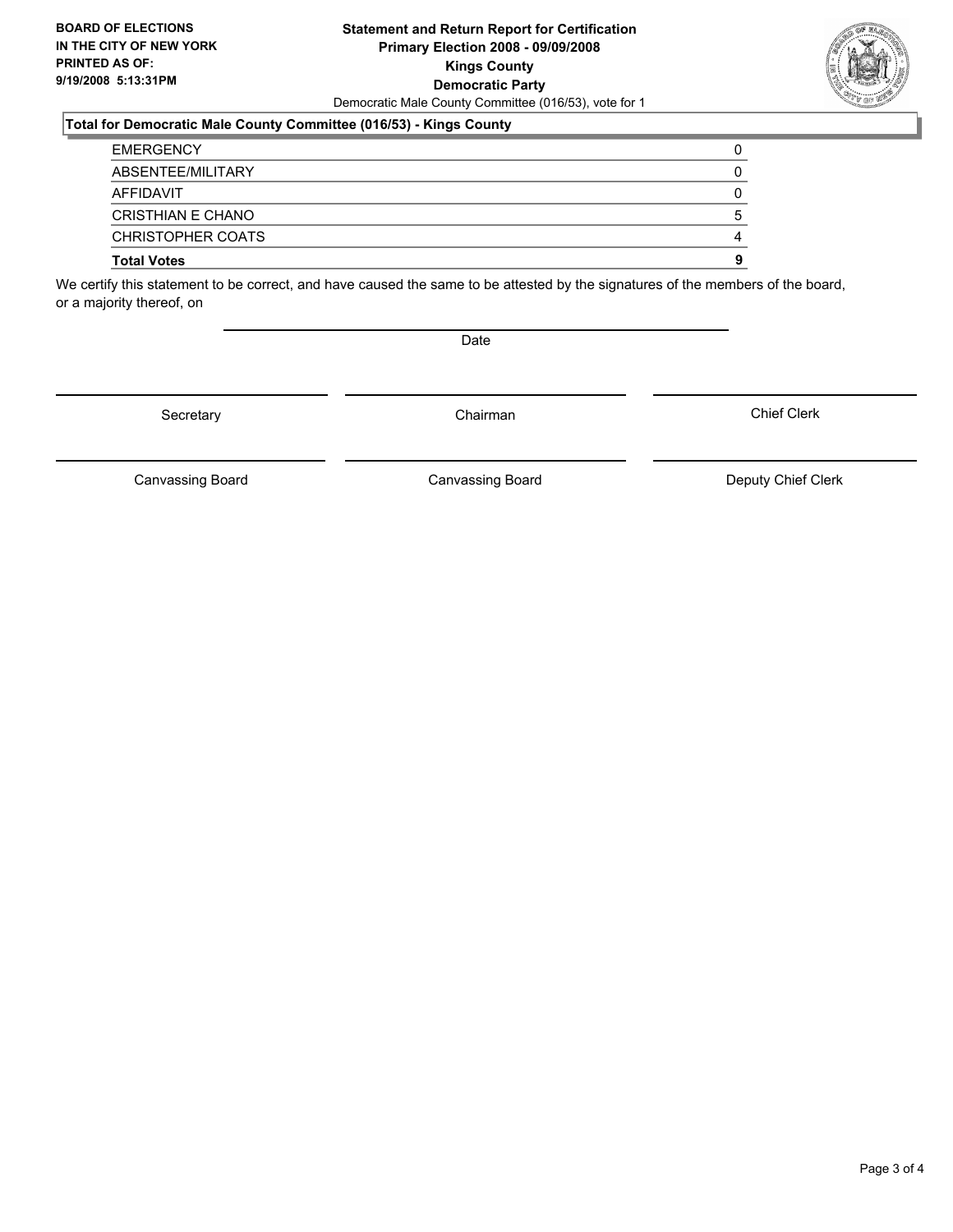#### **Statement and Return Report for Certification Primary Election 2008 - 09/09/2008 Kings County Democratic Party** Democratic Male County Committee (016/53), vote for 1

#### **Total for Democratic Male County Committee (016/53) - Kings County**

| <b>EMERGENCY</b>         |  |
|--------------------------|--|
| ABSENTEE/MILITARY        |  |
| AFFIDAVIT                |  |
| <b>CRISTHIAN E CHANO</b> |  |
| CHRISTOPHER COATS        |  |
| <b>Total Votes</b>       |  |

We certify this statement to be correct, and have caused the same to be attested by the signatures of the members of the board, or a majority thereof, on

Date

Canvassing Board

Canvassing Board **Canvassing Board** Canvassing Board **Deputy Chief Clerk** 

Chief Clerk

Page 3 of 4



Secretary Chairman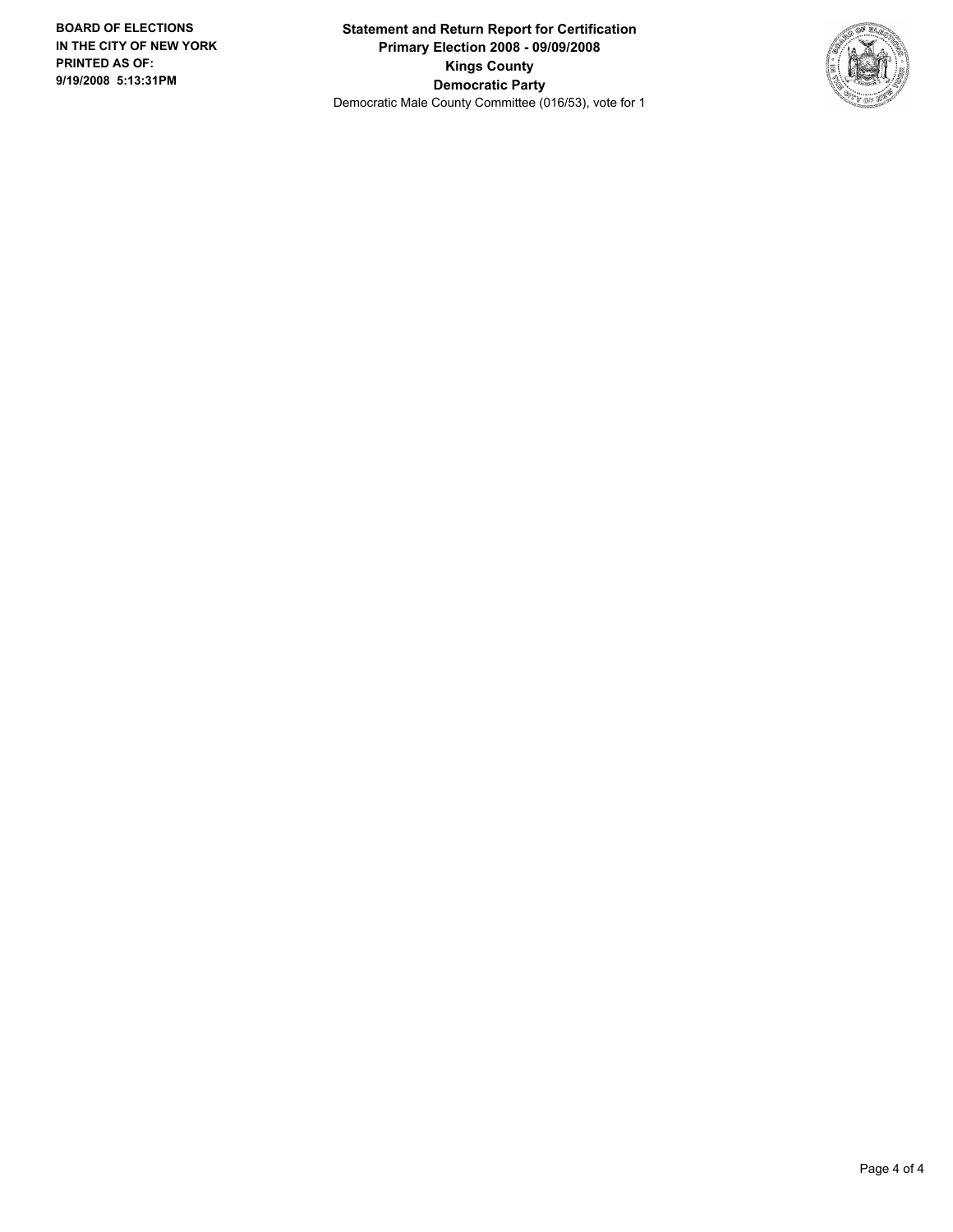**Statement and Return Report for Certification Primary Election 2008 - 09/09/2008 Kings County Democratic Party** Democratic Male County Committee (016/53), vote for 1

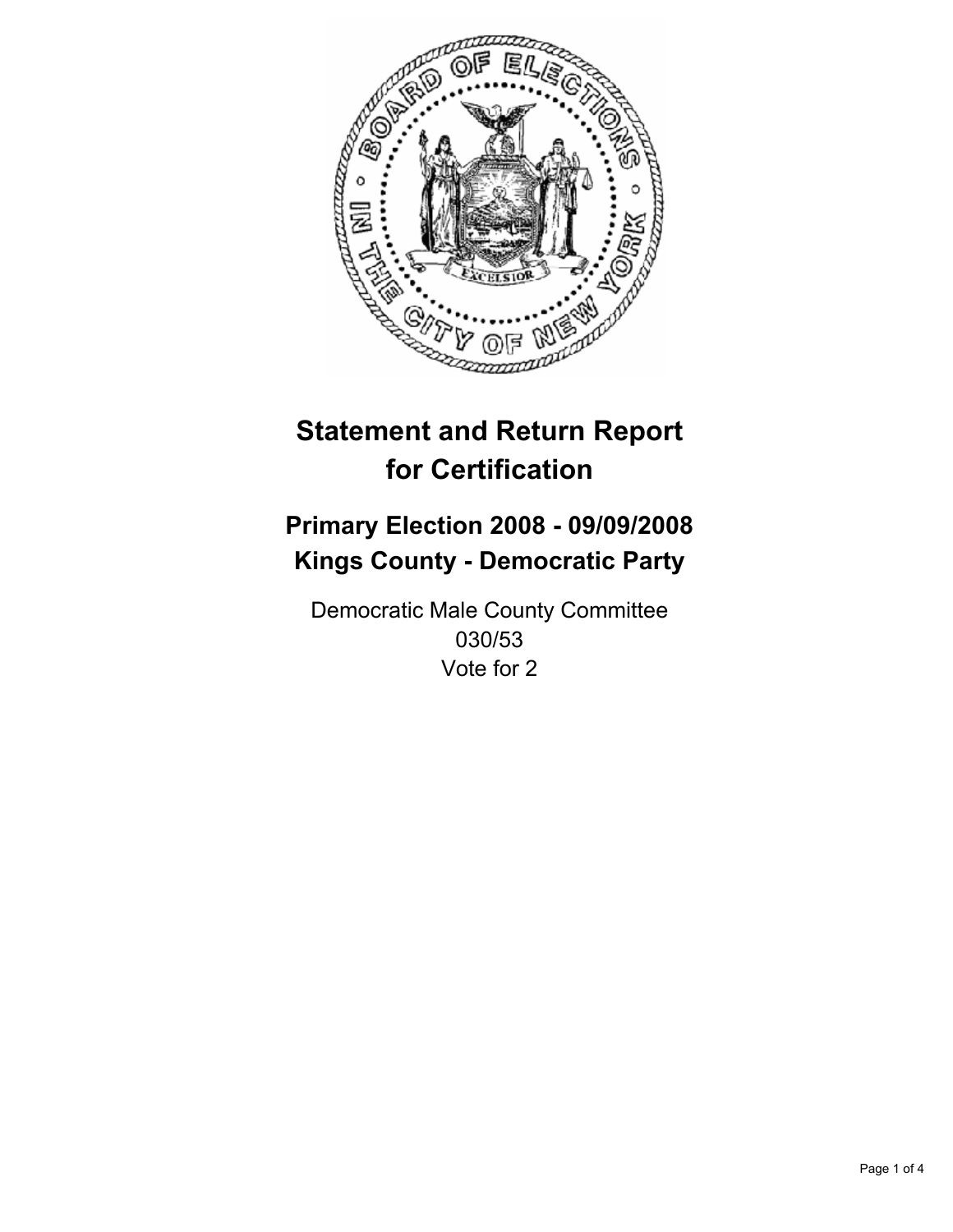

# **Primary Election 2008 - 09/09/2008 Kings County - Democratic Party**

Democratic Male County Committee 030/53 Vote for 2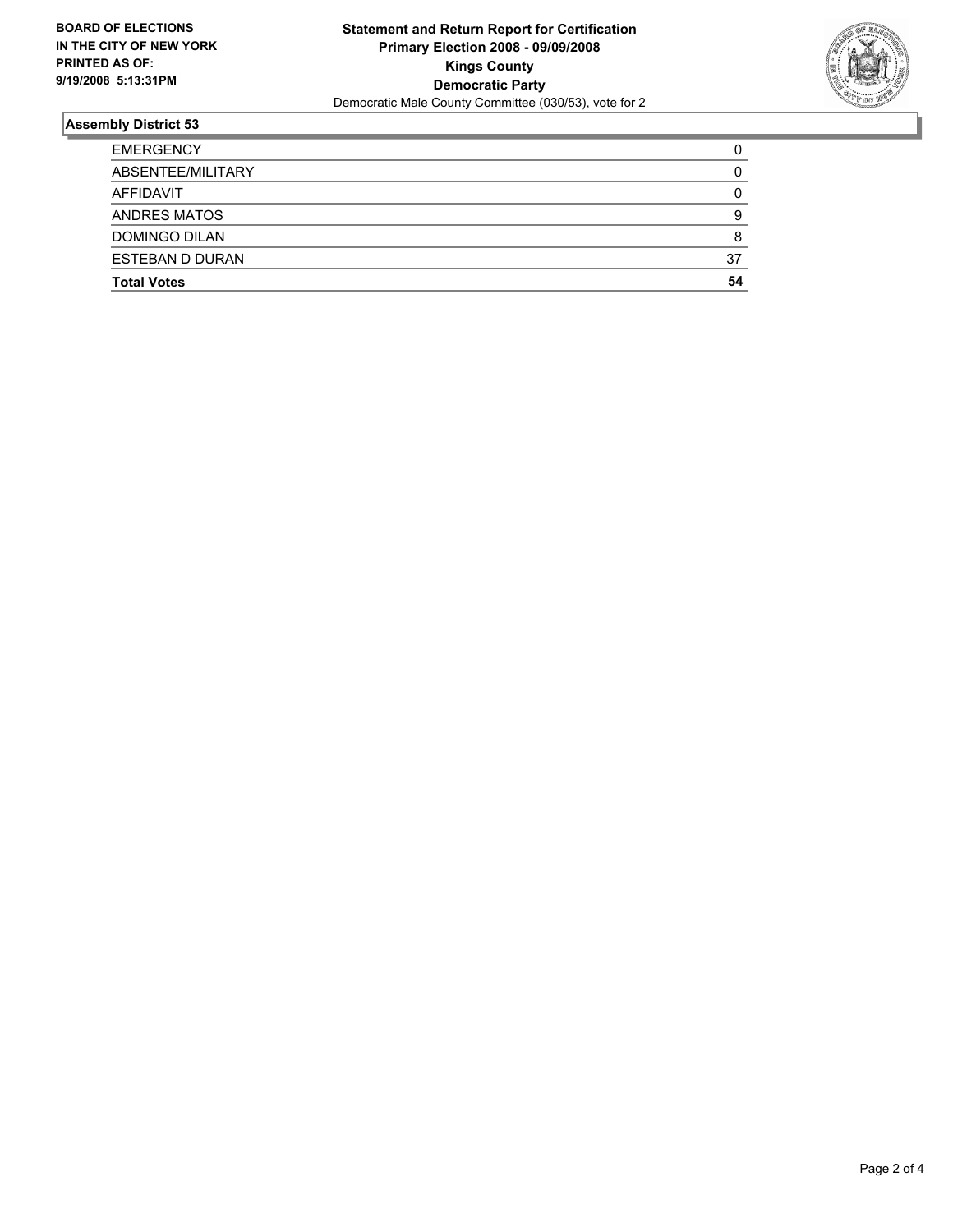

| <b>Total Votes</b>     | 54 |
|------------------------|----|
| <b>ESTEBAN D DURAN</b> | 37 |
| <b>DOMINGO DILAN</b>   |    |
| <b>ANDRES MATOS</b>    | 9  |
| AFFIDAVIT              |    |
| ABSENTEE/MILITARY      |    |
| <b>EMERGENCY</b>       |    |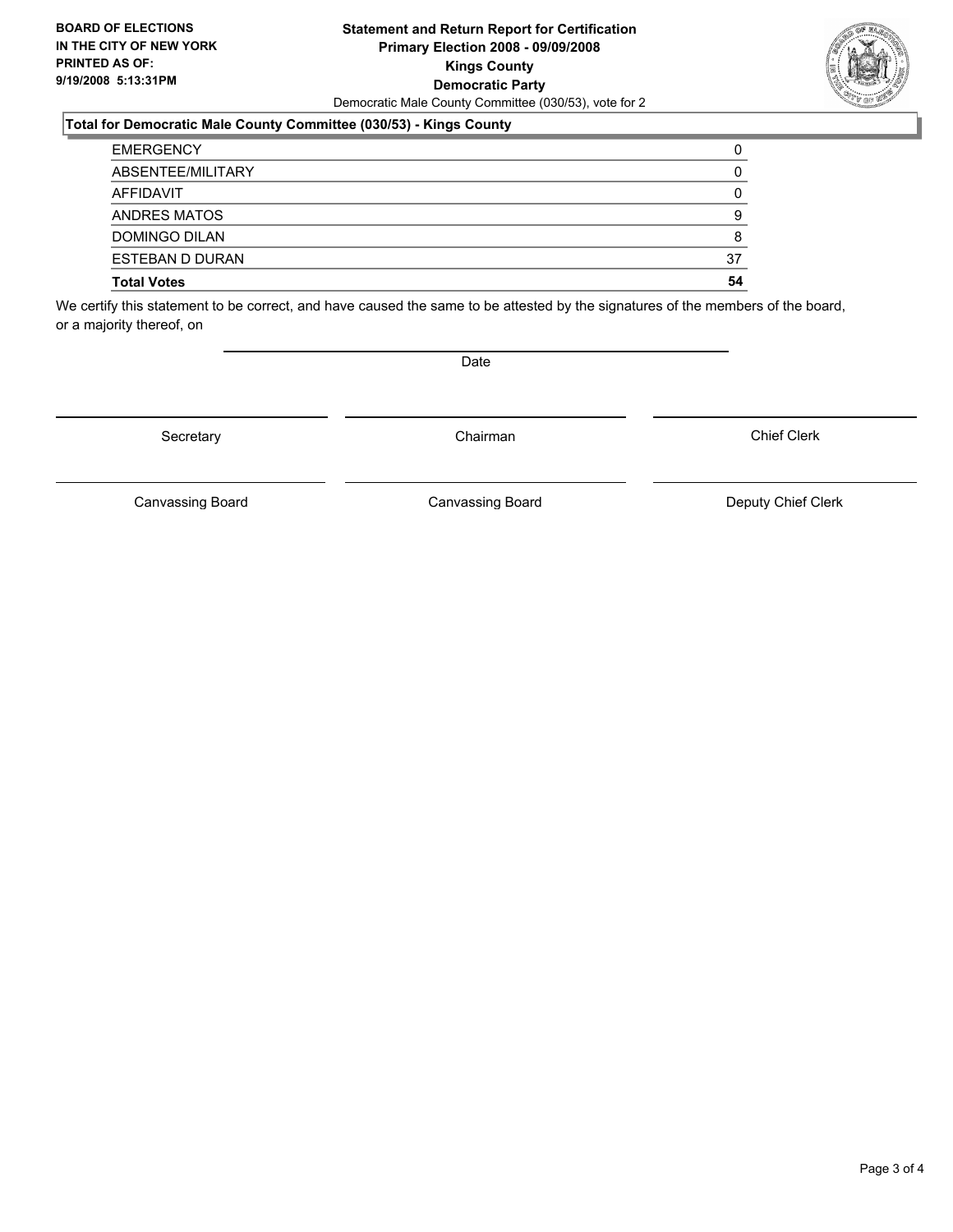#### **Statement and Return Report for Certification Primary Election 2008 - 09/09/2008 Kings County Democratic Party** Democratic Male County Committee (030/53), vote for 2

### **Total for Democratic Male County Committee (030/53) - Kings County**

| <b>EMERGENCY</b>       |    |
|------------------------|----|
| ABSENTEE/MILITARY      |    |
| AFFIDAVIT              |    |
| ANDRES MATOS           | 9  |
| <b>DOMINGO DILAN</b>   |    |
| <b>ESTEBAN D DURAN</b> | 37 |
| <b>Total Votes</b>     | 54 |

We certify this statement to be correct, and have caused the same to be attested by the signatures of the members of the board, or a majority thereof, on

Secretary **Chairman** 

Chief Clerk

Canvassing Board **Canvassing Board** Canvassing Board **Deputy Chief Clerk** 

Canvassing Board



Date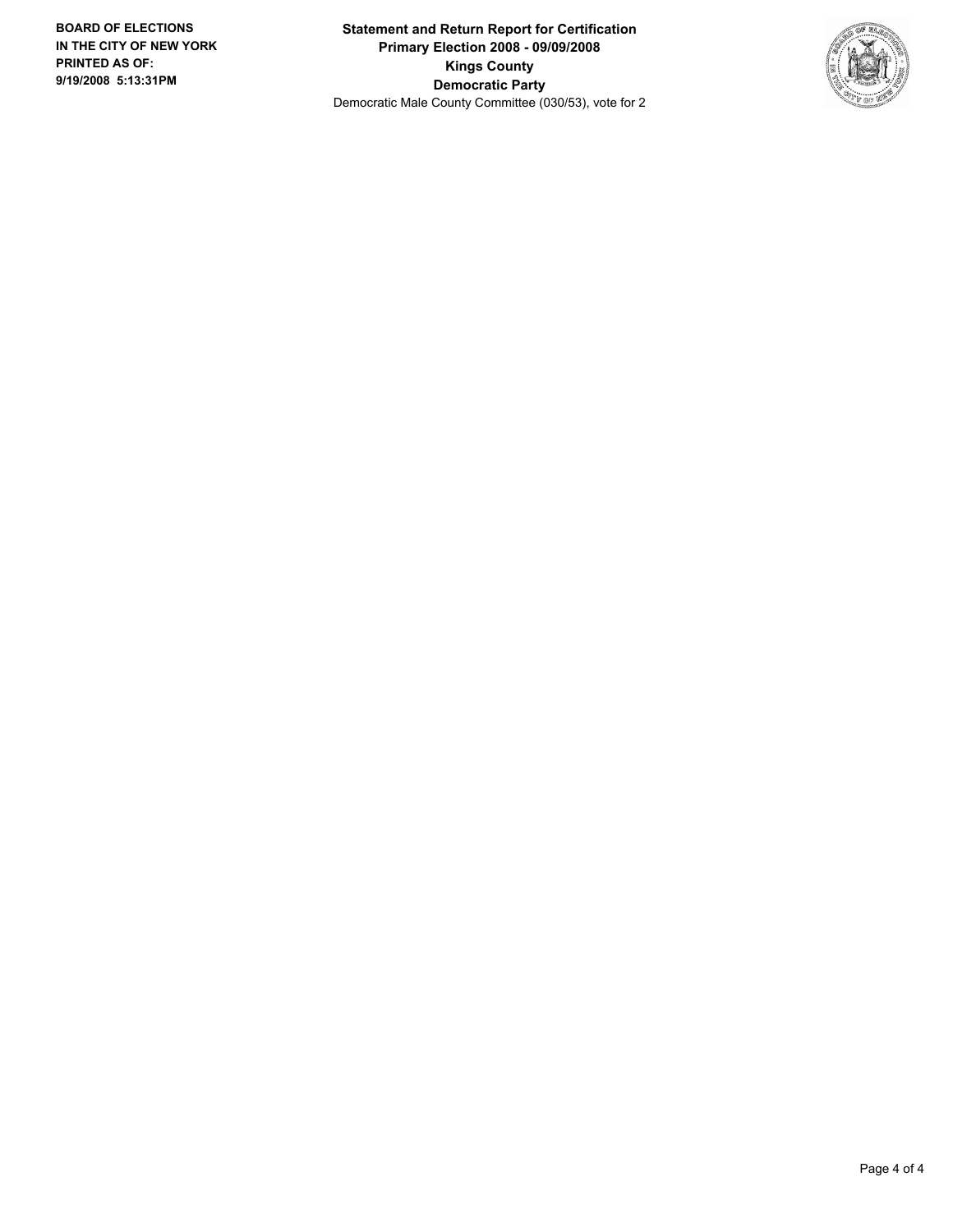**Statement and Return Report for Certification Primary Election 2008 - 09/09/2008 Kings County Democratic Party** Democratic Male County Committee (030/53), vote for 2

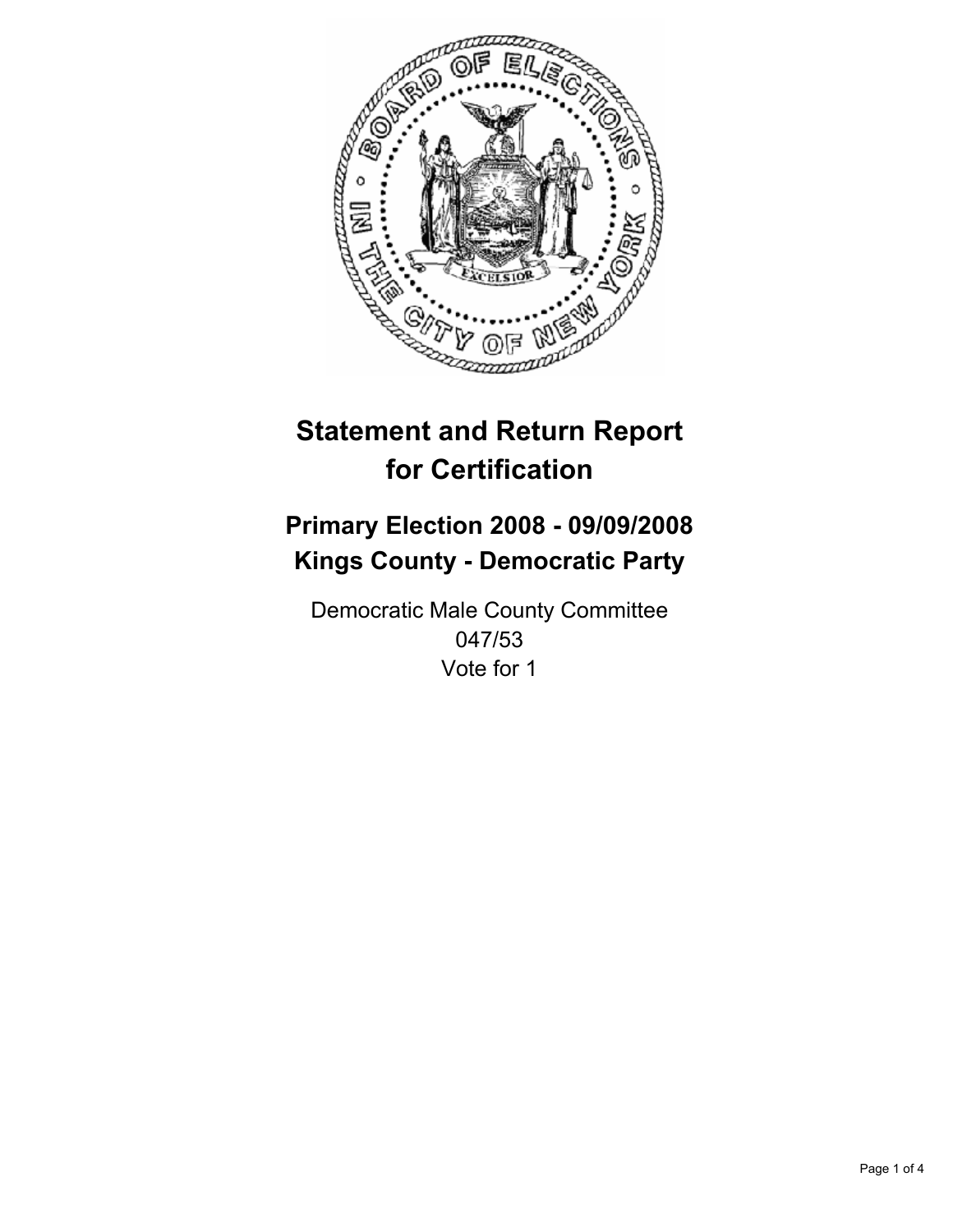

# **Primary Election 2008 - 09/09/2008 Kings County - Democratic Party**

Democratic Male County Committee 047/53 Vote for 1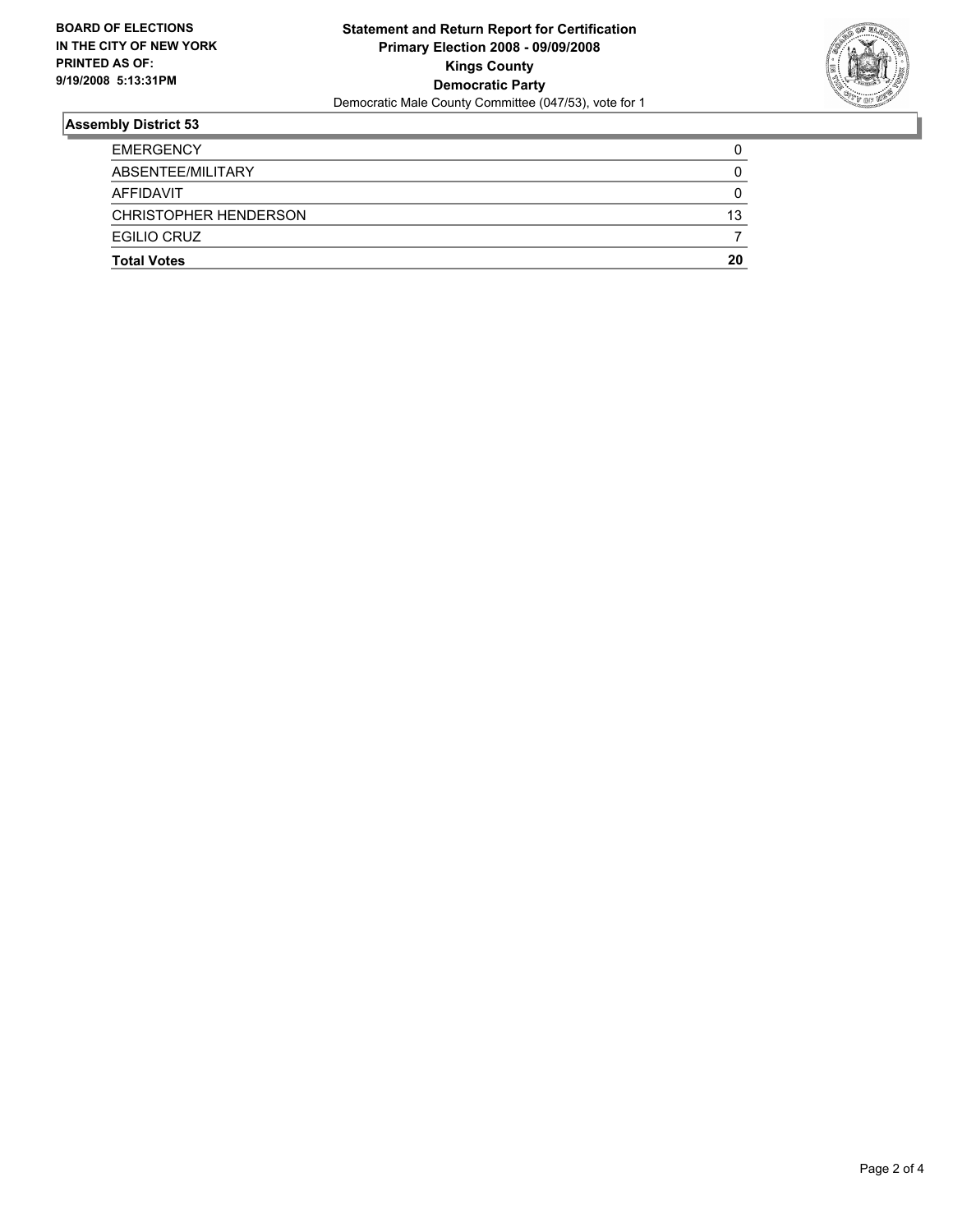

| <b>EGILIO CRUZ</b>           |    |
|------------------------------|----|
| <b>CHRISTOPHER HENDERSON</b> | 13 |
| AFFIDAVIT                    |    |
| ABSENTEE/MILITARY            |    |
| <b>EMERGENCY</b>             |    |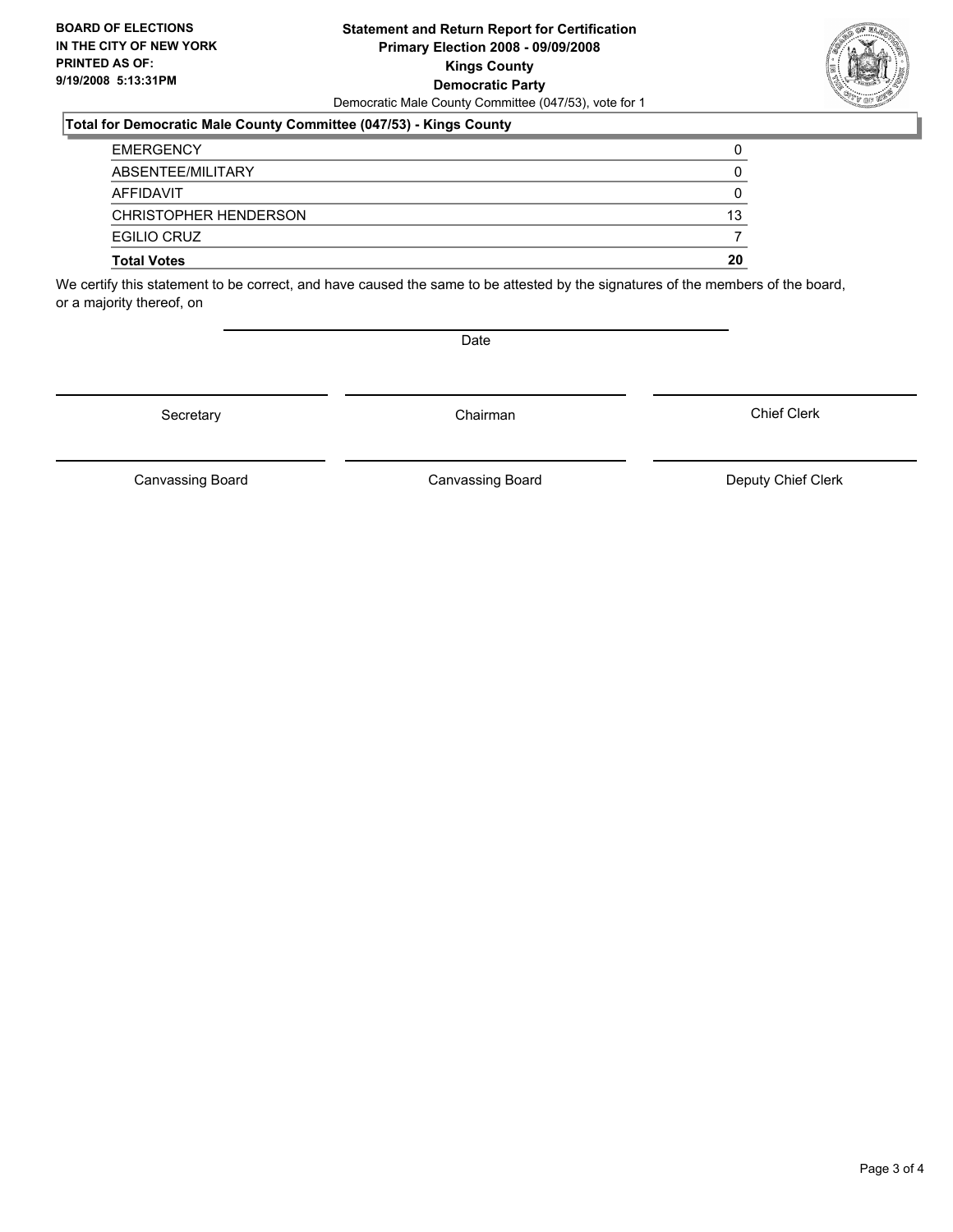#### **Statement and Return Report for Certification Primary Election 2008 - 09/09/2008 Kings County Democratic Party** Democratic Male County Committee (047/53), vote for 1

#### **Total for Democratic Male County Committee (047/53) - Kings County**

| <b>EGILIO CRUZ</b><br><b>Total Votes</b> | 20 |
|------------------------------------------|----|
| CHRISTOPHER HENDERSON                    | 13 |
| AFFIDAVIT                                |    |
| ABSENTEE/MILITARY                        |    |
| <b>EMERGENCY</b>                         |    |

We certify this statement to be correct, and have caused the same to be attested by the signatures of the members of the board, or a majority thereof, on

Date

Secretary Chairman

Canvassing Board

Canvassing Board **Canvassing Board** Canvassing Board **Deputy Chief Clerk** 

Chief Clerk

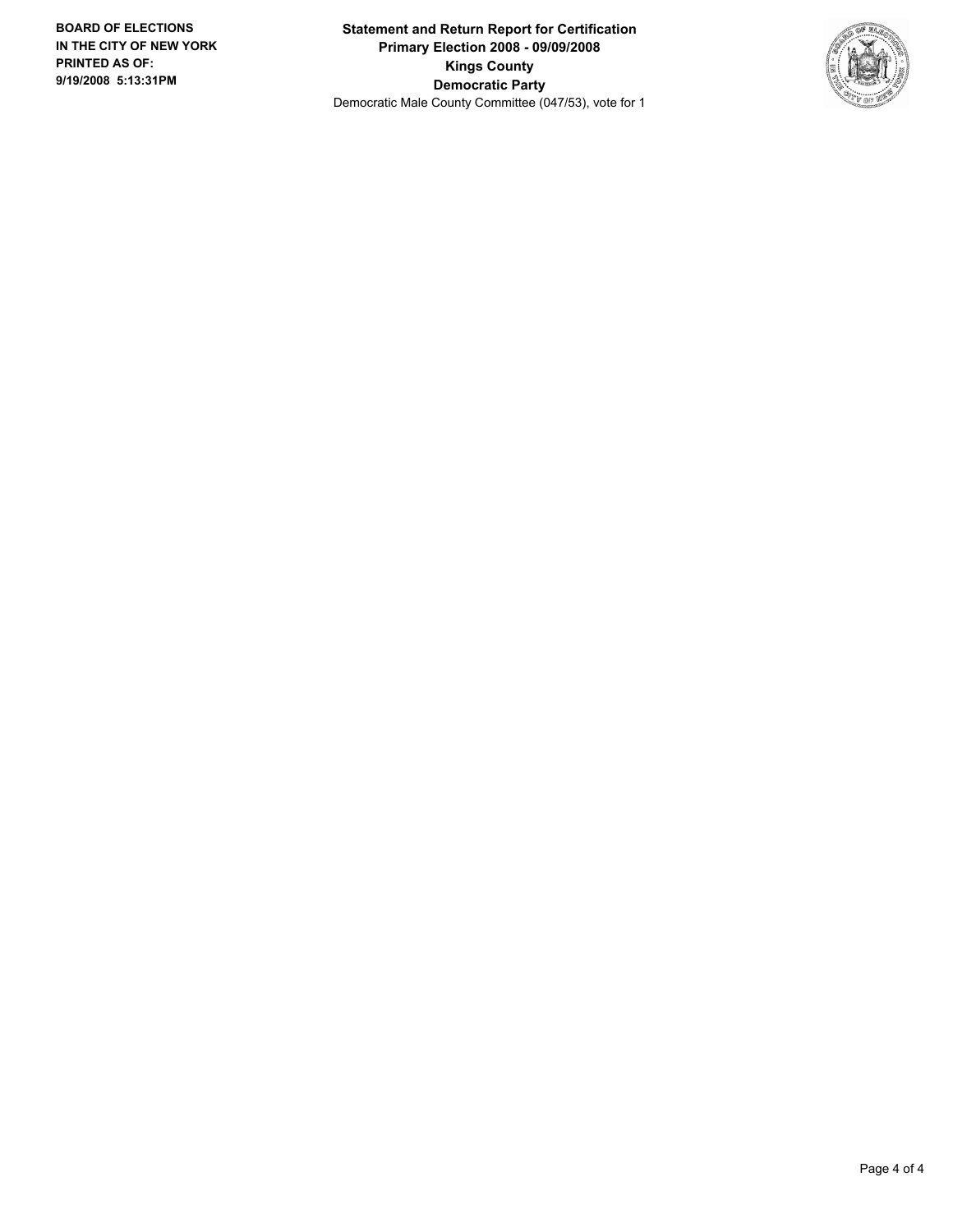**Statement and Return Report for Certification Primary Election 2008 - 09/09/2008 Kings County Democratic Party** Democratic Male County Committee (047/53), vote for 1

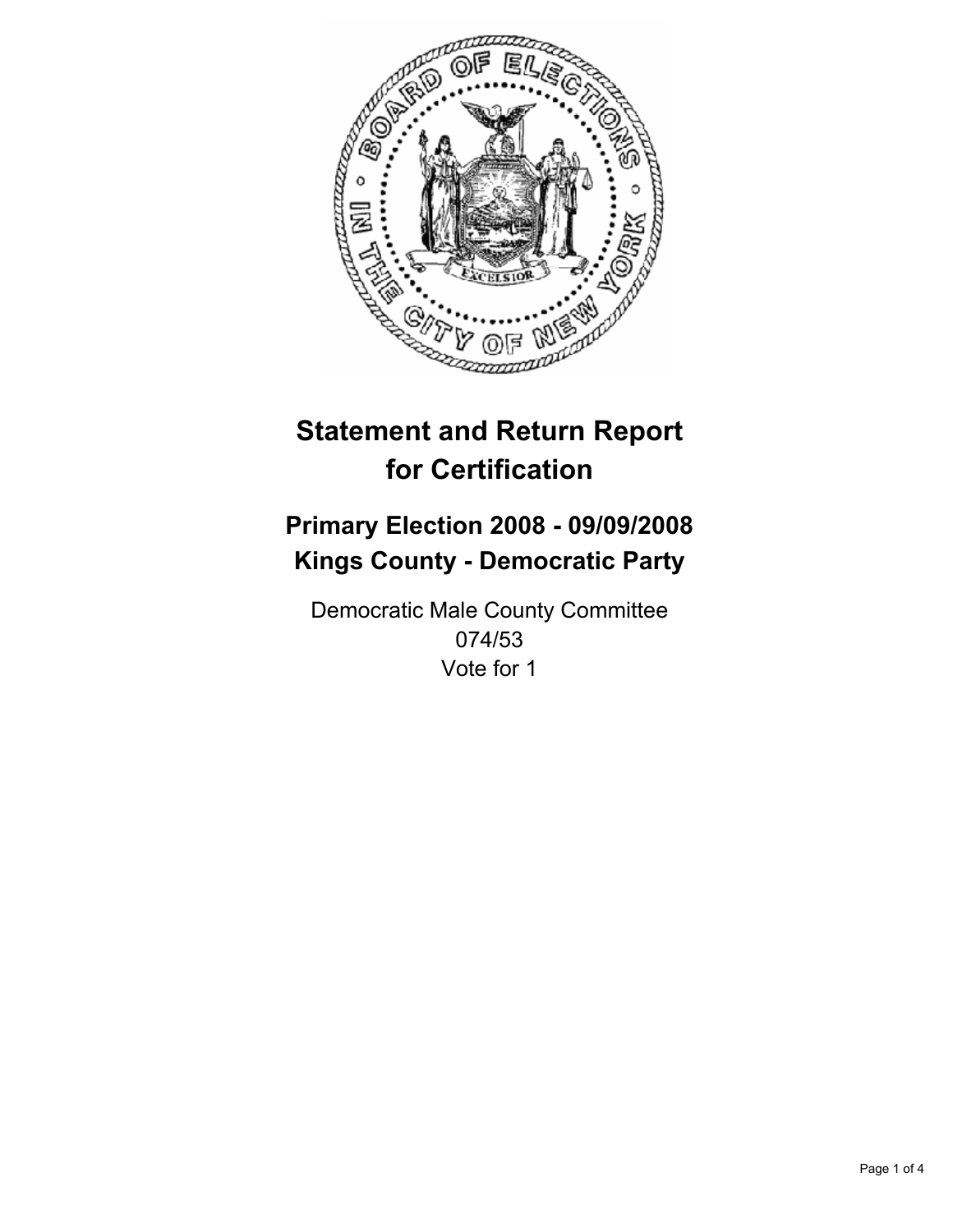

# **Primary Election 2008 - 09/09/2008 Kings County - Democratic Party**

Democratic Male County Committee 074/53 Vote for 1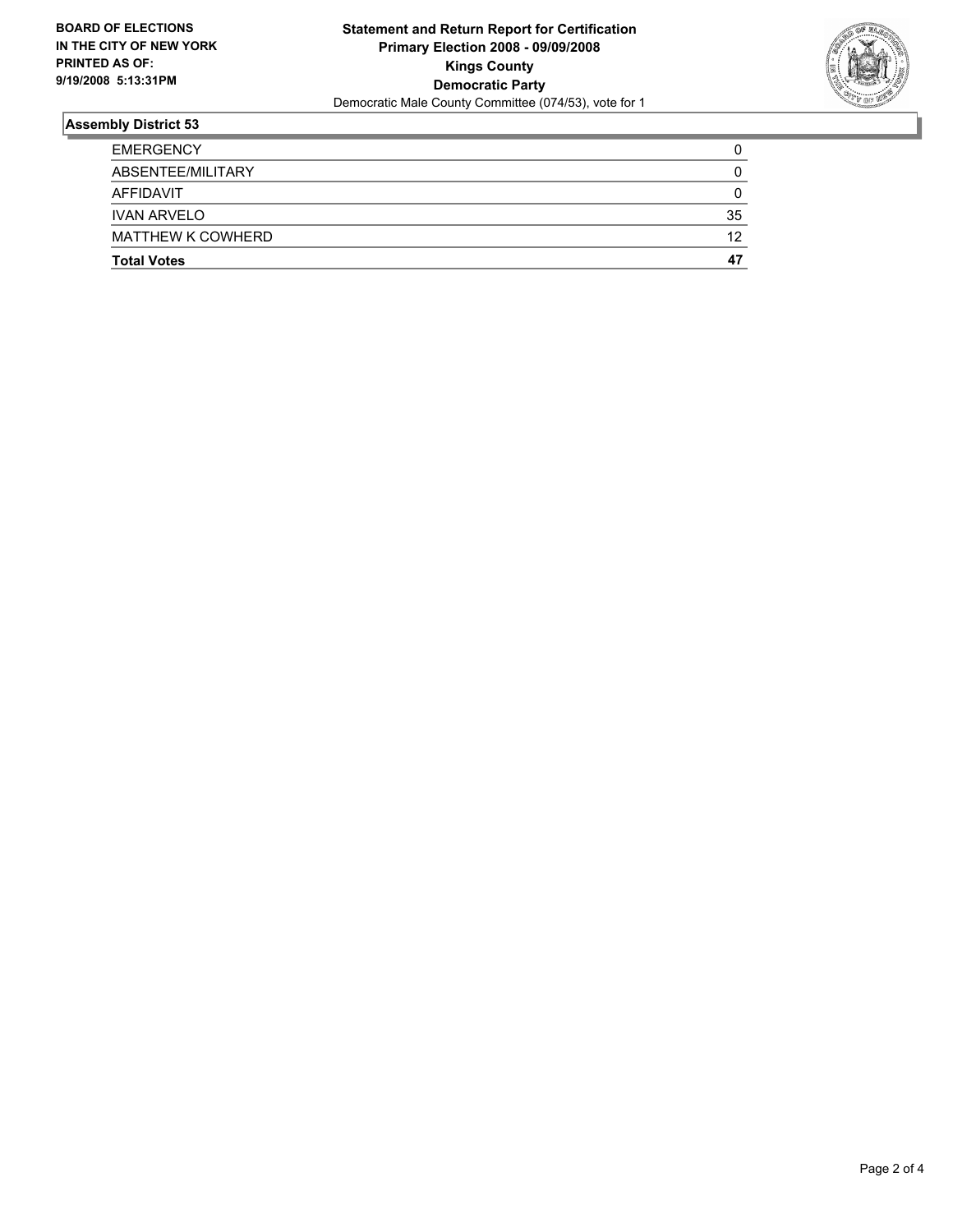

| <b>Total Votes</b>       | 47 |
|--------------------------|----|
| <b>MATTHEW K COWHERD</b> | 12 |
| <b>IVAN ARVELO</b>       | 35 |
| AFFIDAVIT                |    |
| ABSENTEE/MILITARY        |    |
| <b>EMERGENCY</b>         |    |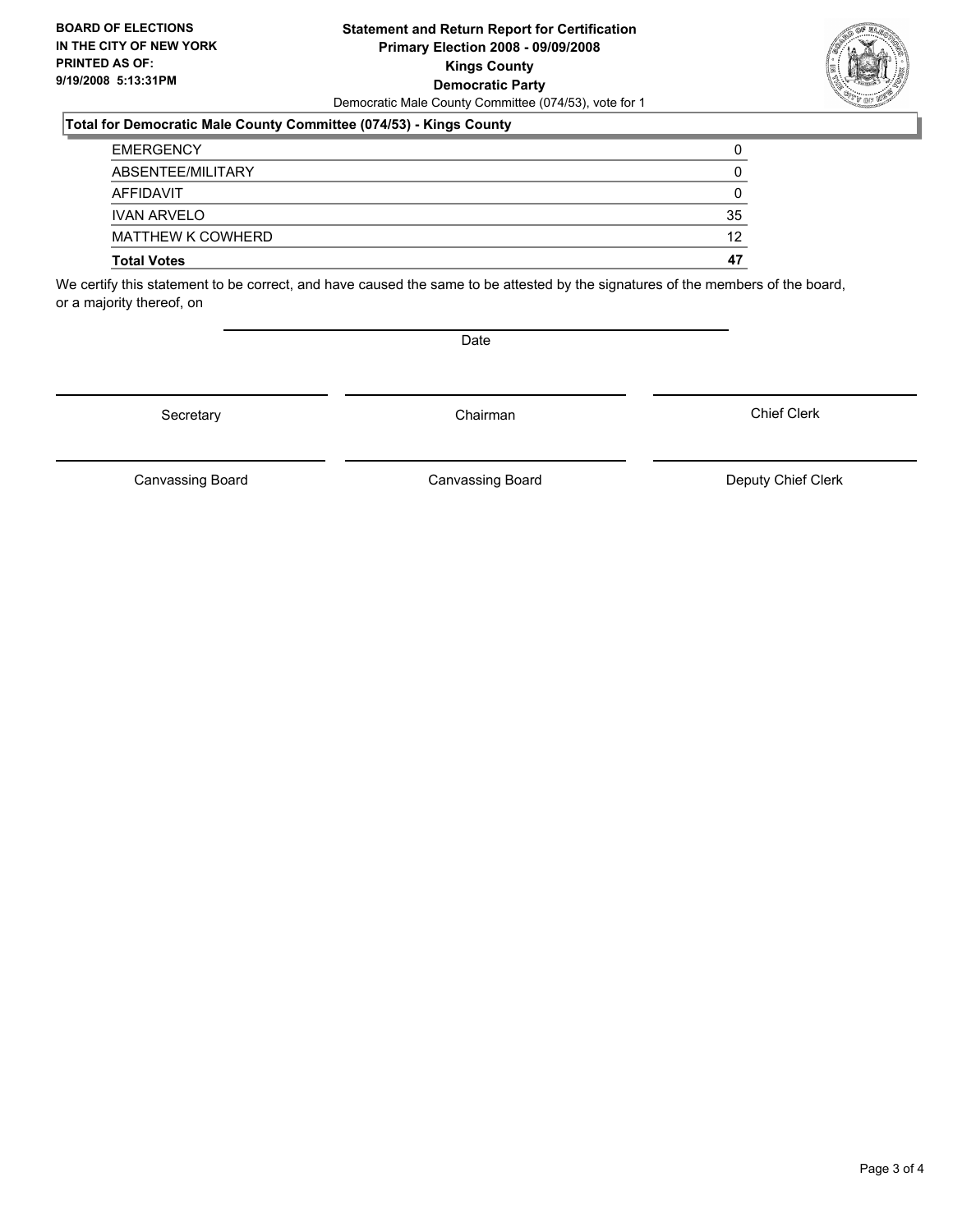#### **Statement and Return Report for Certification Primary Election 2008 - 09/09/2008 Kings County Democratic Party** Democratic Male County Committee (074/53), vote for 1

#### **Total for Democratic Male County Committee (074/53) - Kings County**

| <b>Total Votes</b>       | 47 |
|--------------------------|----|
| <b>MATTHEW K COWHERD</b> | 12 |
| <b>IVAN ARVELO</b>       | 35 |
| AFFIDAVIT                |    |
| ABSENTEE/MILITARY        |    |
| <b>EMERGENCY</b>         |    |

We certify this statement to be correct, and have caused the same to be attested by the signatures of the members of the board, or a majority thereof, on

Date

Canvassing Board

Canvassing Board **Canvassing Board** Canvassing Board **Deputy Chief Clerk** 

Chief Clerk



Secretary Chairman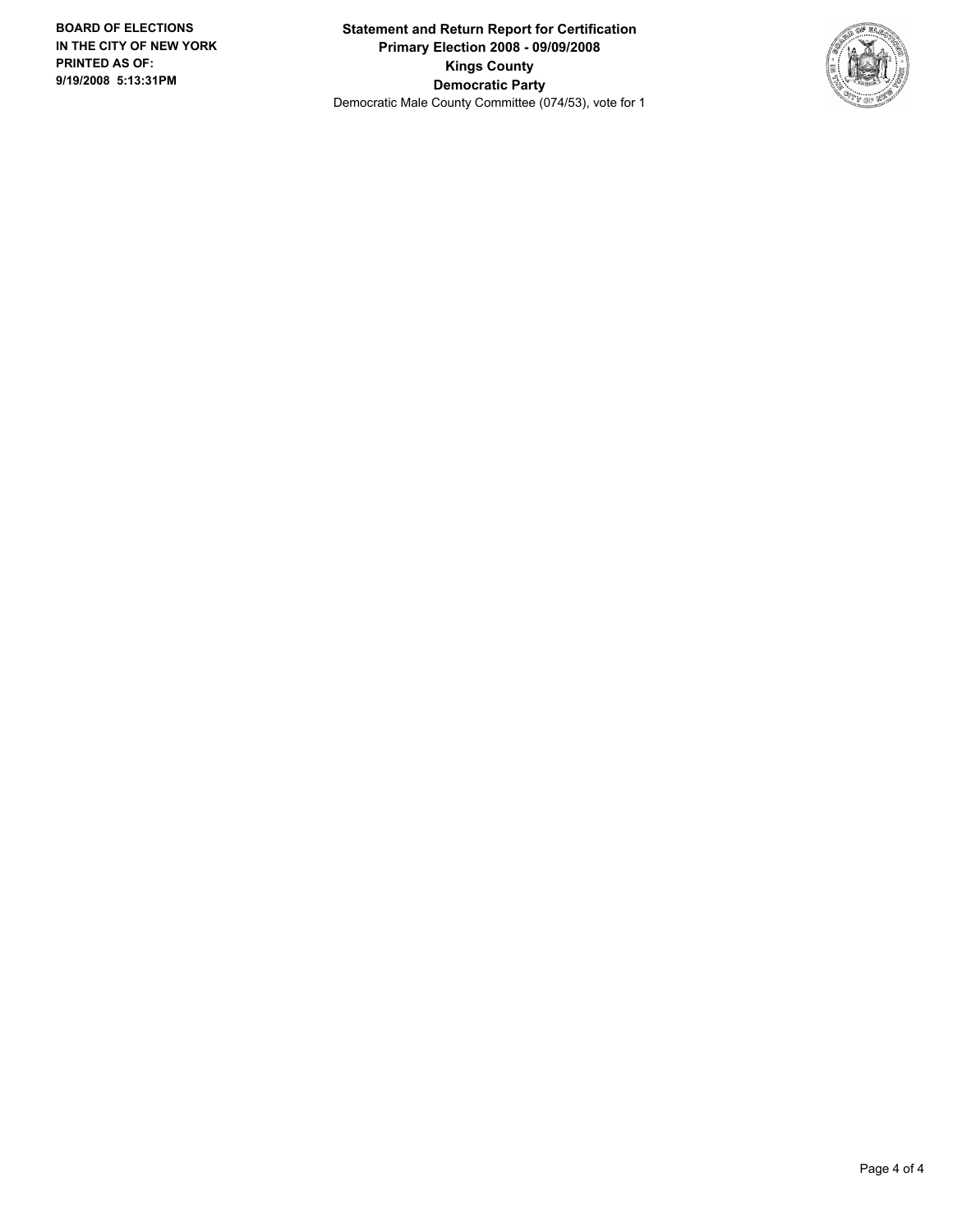**Statement and Return Report for Certification Primary Election 2008 - 09/09/2008 Kings County Democratic Party** Democratic Male County Committee (074/53), vote for 1

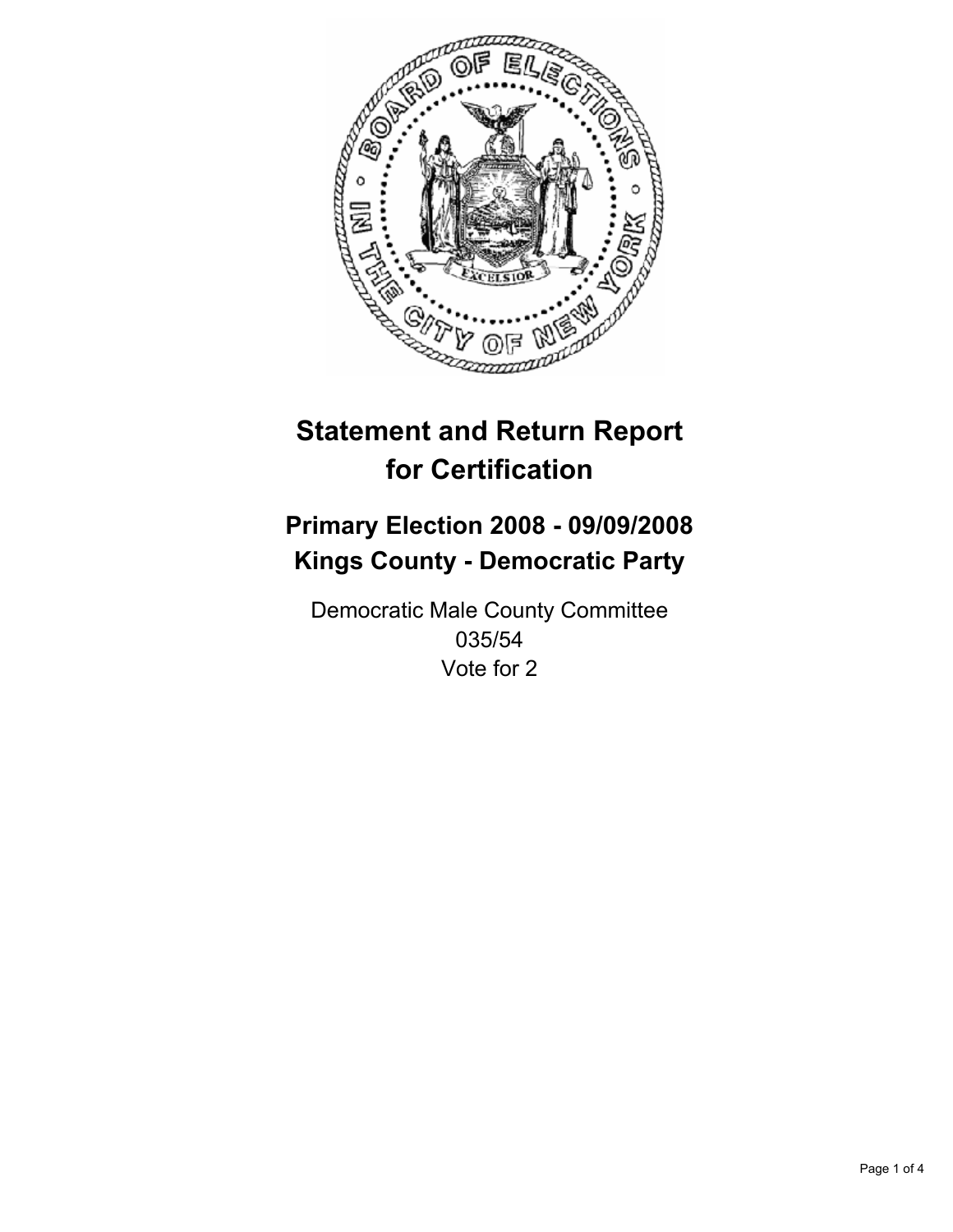

# **Primary Election 2008 - 09/09/2008 Kings County - Democratic Party**

Democratic Male County Committee 035/54 Vote for 2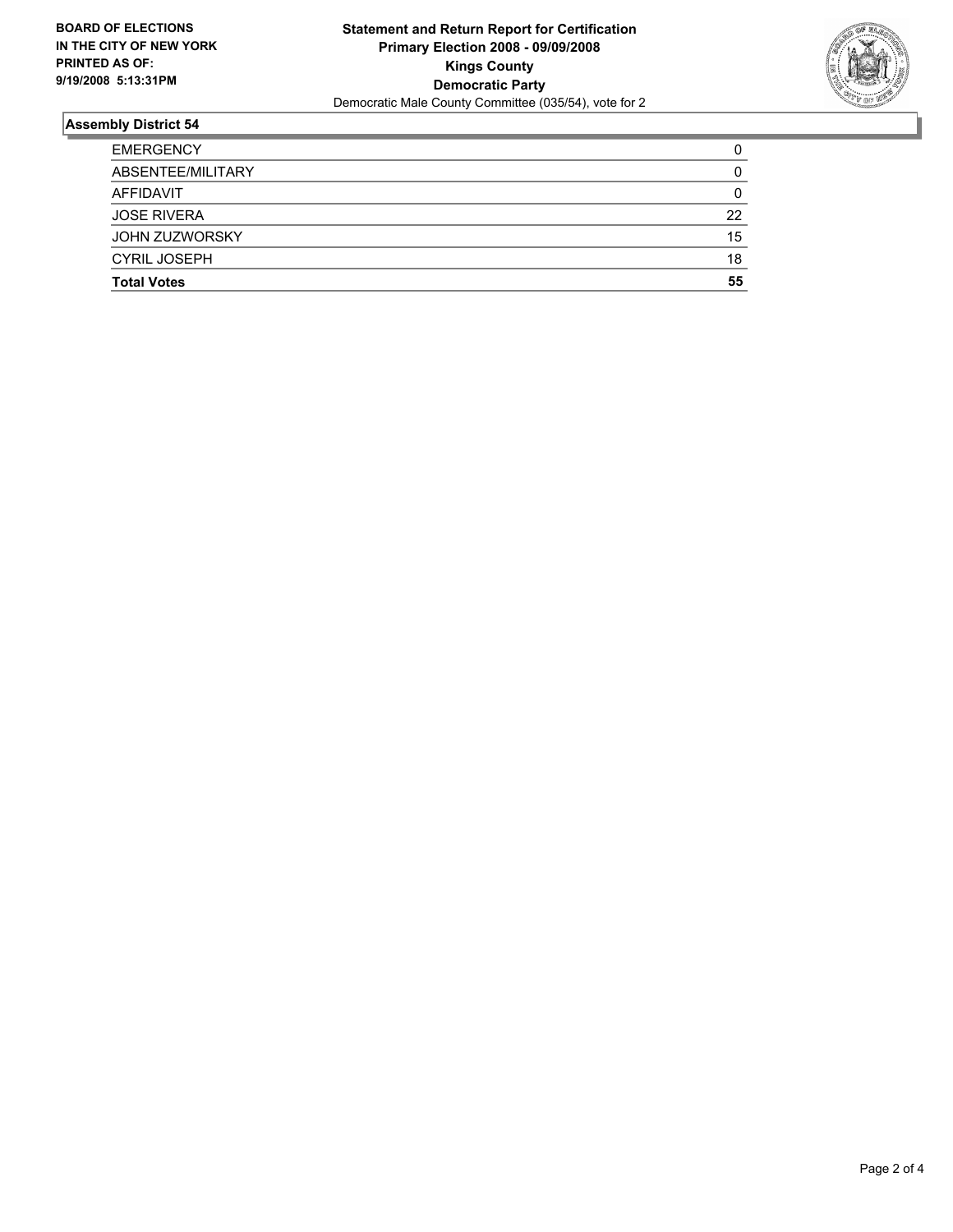

| <b>EMERGENCY</b>      |    |
|-----------------------|----|
| ABSENTEE/MILITARY     |    |
| AFFIDAVIT             |    |
| <b>JOSE RIVERA</b>    | 22 |
| <b>JOHN ZUZWORSKY</b> | 15 |
| <b>CYRIL JOSEPH</b>   | 18 |
| <b>Total Votes</b>    | 55 |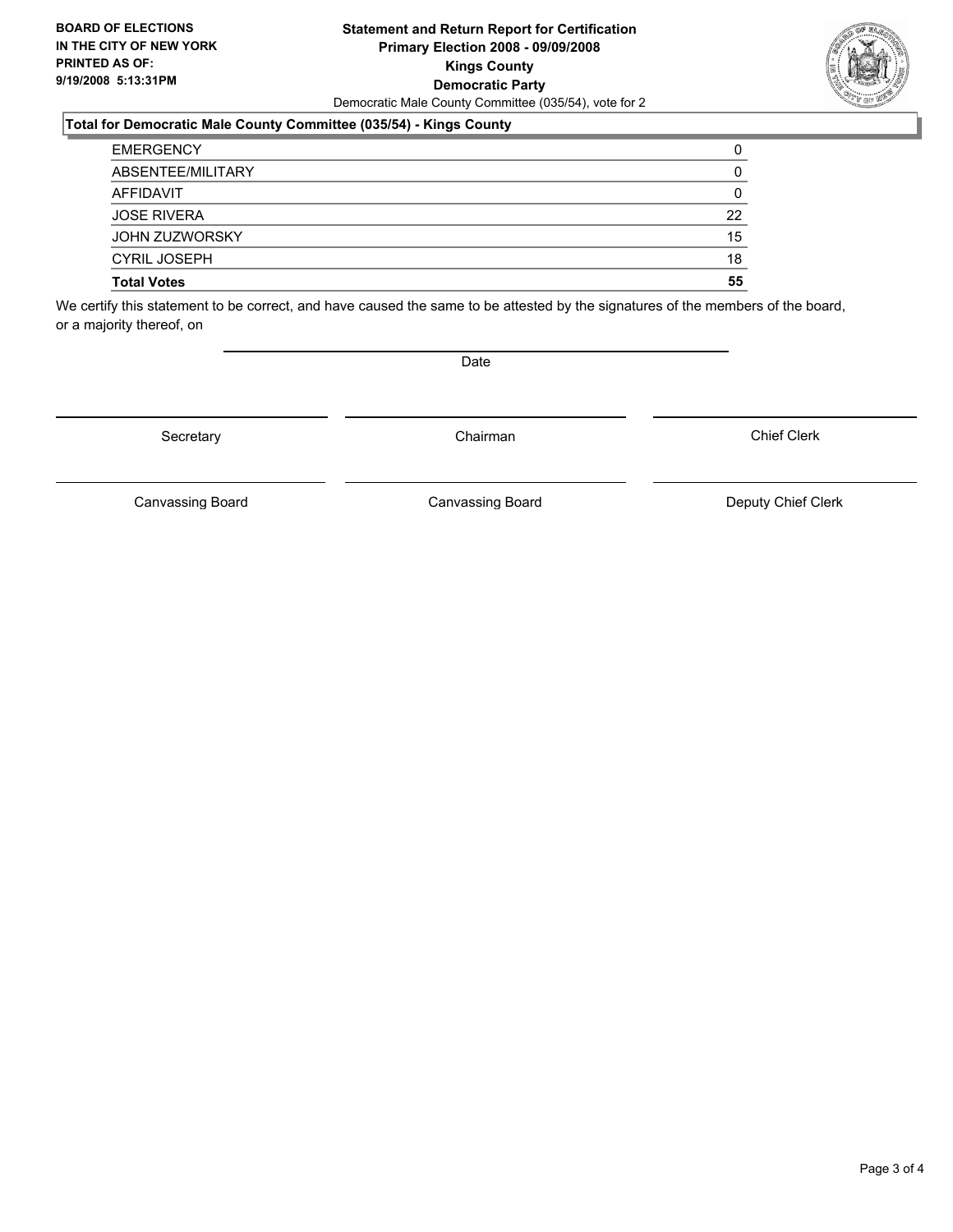#### **Statement and Return Report for Certification Primary Election 2008 - 09/09/2008 Kings County Democratic Party** Democratic Male County Committee (035/54), vote for 2

### **Total for Democratic Male County Committee (035/54) - Kings County**

| <b>Total Votes</b>    | 55 |
|-----------------------|----|
| <b>CYRIL JOSEPH</b>   | 18 |
| <b>JOHN ZUZWORSKY</b> | 15 |
| <b>JOSE RIVERA</b>    | 22 |
| AFFIDAVIT             |    |
| ABSENTEE/MILITARY     |    |
| <b>EMERGENCY</b>      |    |

We certify this statement to be correct, and have caused the same to be attested by the signatures of the members of the board, or a majority thereof, on

Date

Secretary **Chairman** 

Chief Clerk

Canvassing Board **Canvassing Board** Canvassing Board **Deputy Chief Clerk** 

Canvassing Board

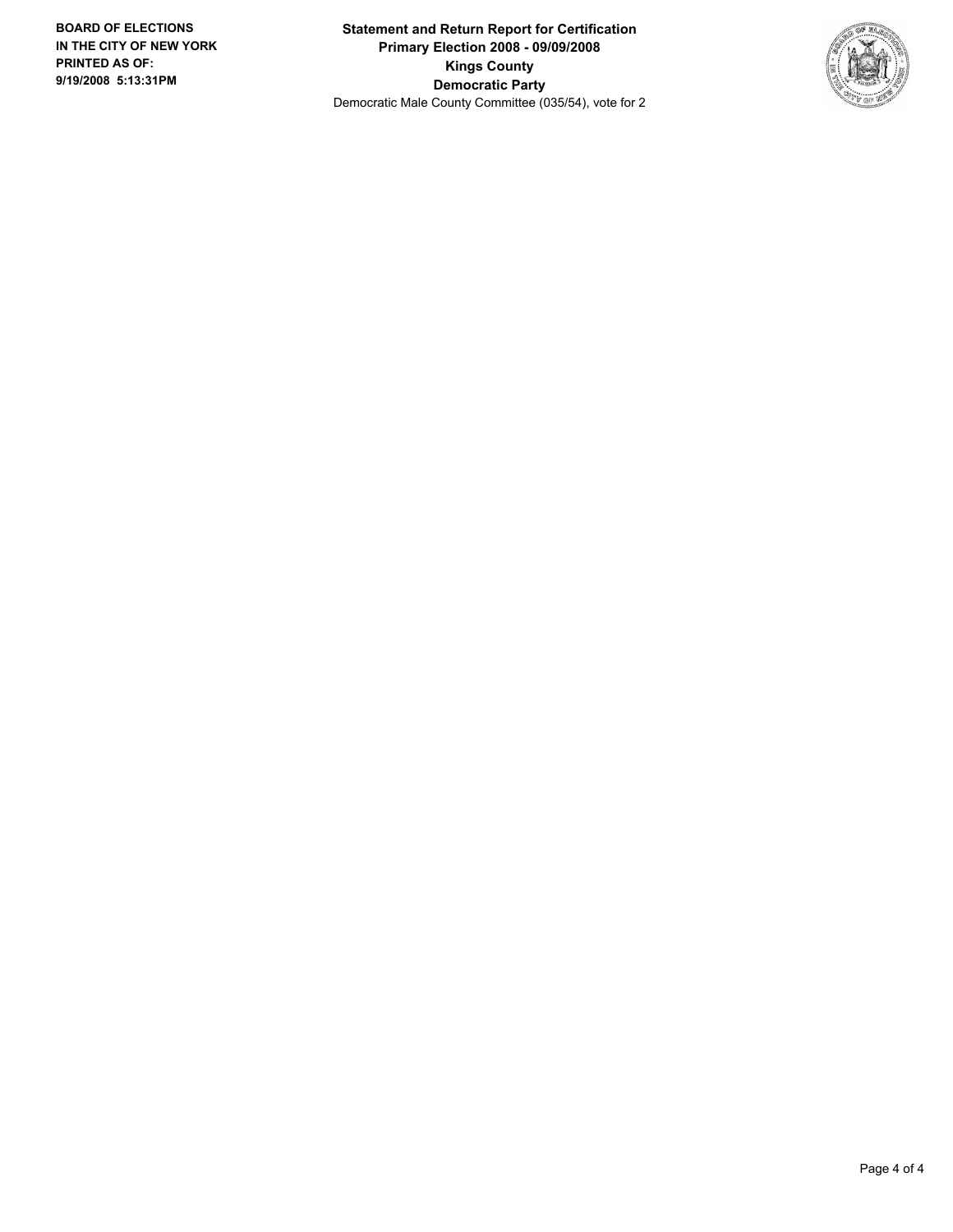**Statement and Return Report for Certification Primary Election 2008 - 09/09/2008 Kings County Democratic Party** Democratic Male County Committee (035/54), vote for 2

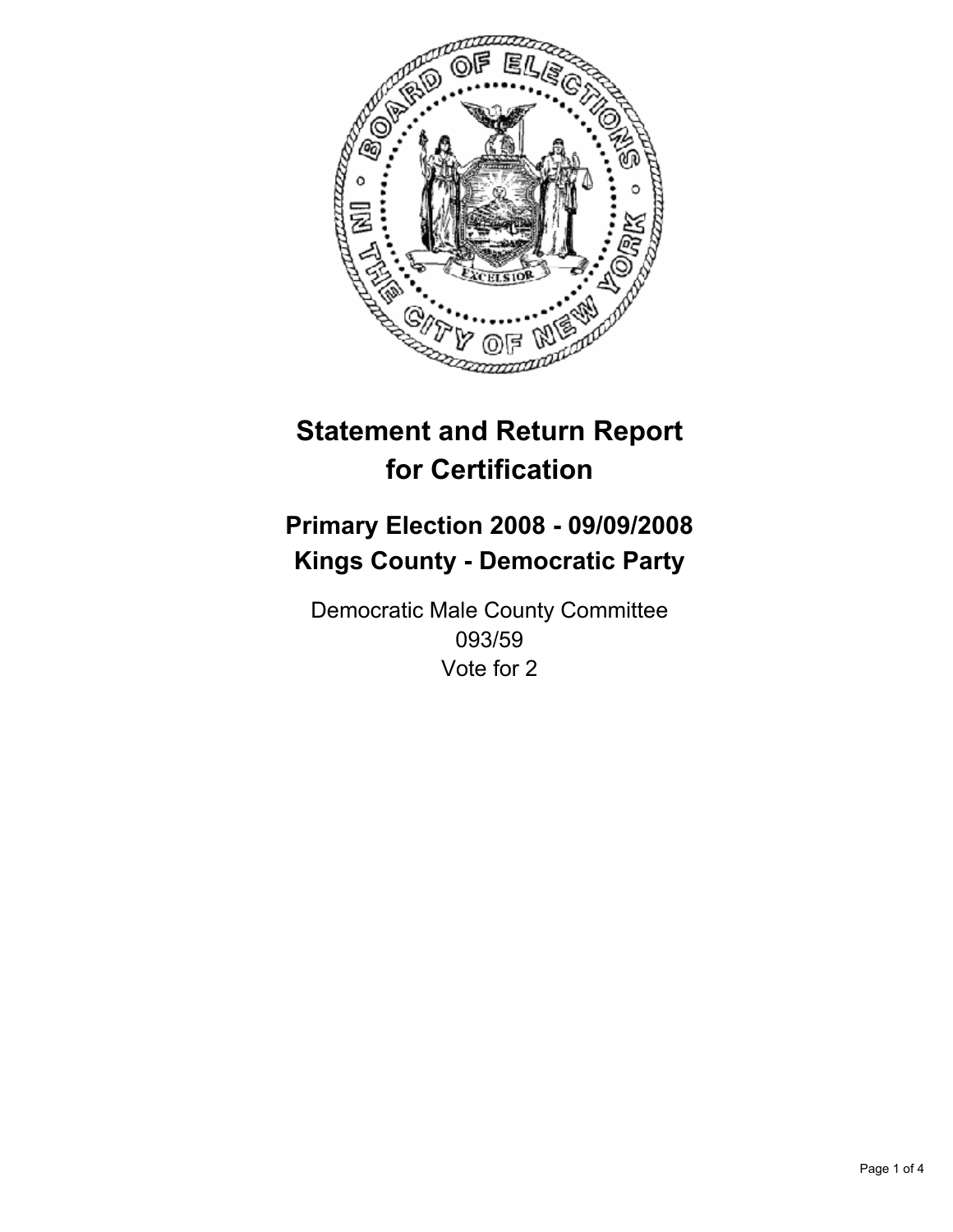

# **Primary Election 2008 - 09/09/2008 Kings County - Democratic Party**

Democratic Male County Committee 093/59 Vote for 2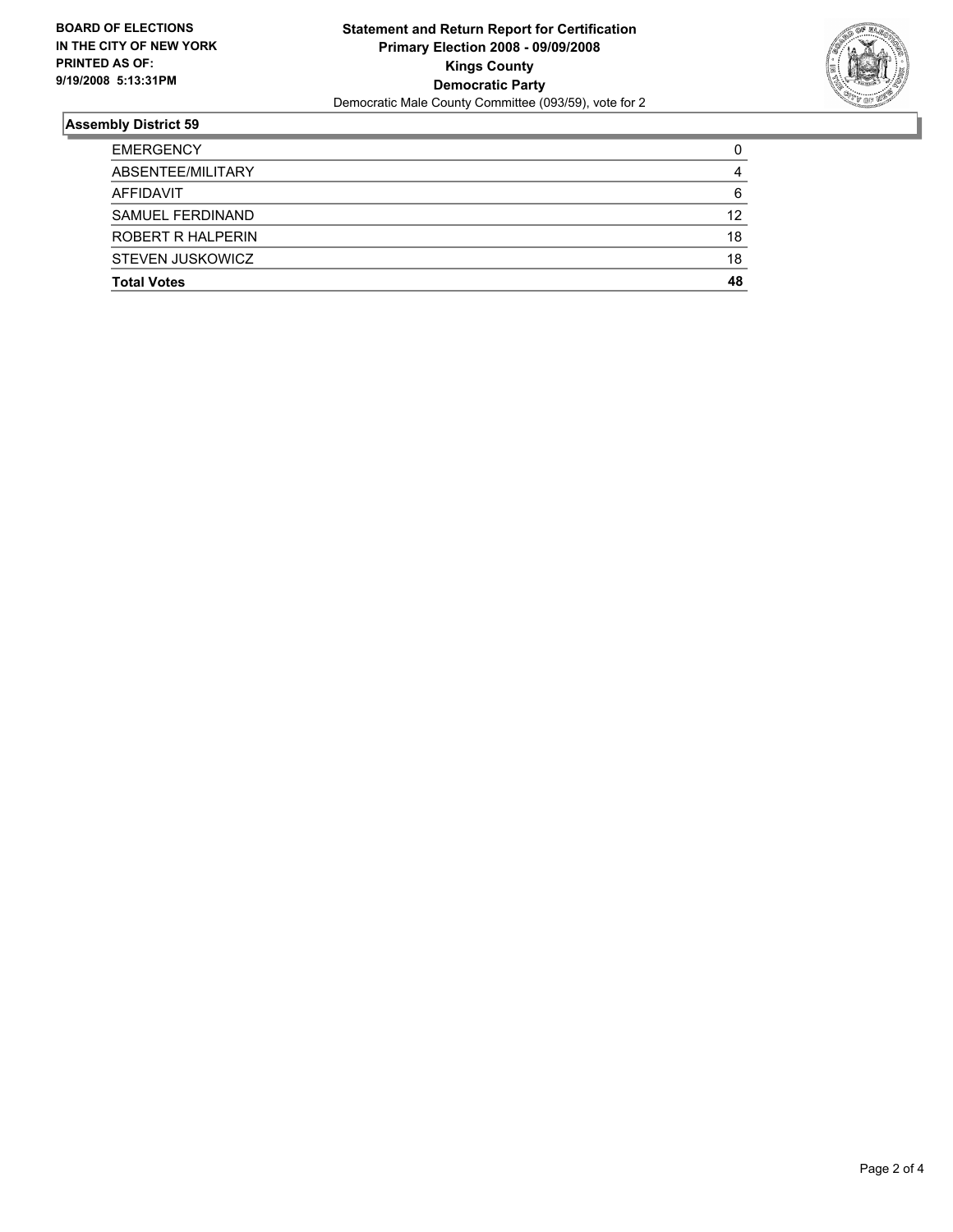

| <b>EMERGENCY</b>        |    |
|-------------------------|----|
| ABSENTEE/MILITARY       | 4  |
| <b>AFFIDAVIT</b>        | 6  |
| SAMUEL FERDINAND        | 12 |
| ROBERT R HALPERIN       | 18 |
| <b>STEVEN JUSKOWICZ</b> | 18 |
| <b>Total Votes</b>      | 48 |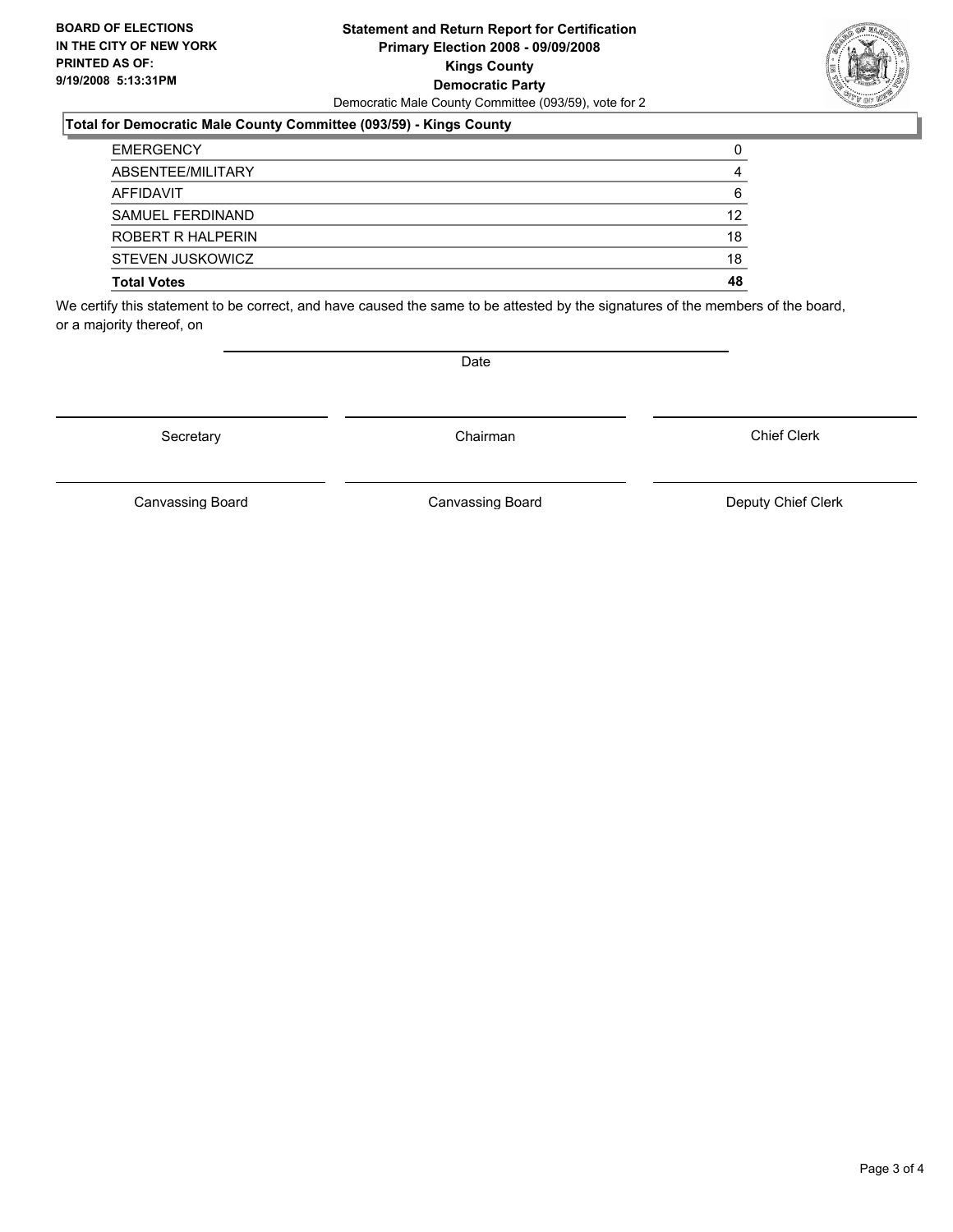#### **Statement and Return Report for Certification Primary Election 2008 - 09/09/2008 Kings County Democratic Party** Democratic Male County Committee (093/59), vote for 2

### **Total for Democratic Male County Committee (093/59) - Kings County**

| <b>EMERGENCY</b>        |    |
|-------------------------|----|
| ABSENTEE/MILITARY       |    |
| AFFIDAVIT               | 6  |
| SAMUEL FERDINAND        | 12 |
| ROBERT R HALPERIN       | 18 |
| <b>STEVEN JUSKOWICZ</b> | 18 |
| <b>Total Votes</b>      | 48 |

We certify this statement to be correct, and have caused the same to be attested by the signatures of the members of the board, or a majority thereof, on

Secretary **Chairman** 

Canvassing Board **Canvassing Board** Canvassing Board **Deputy Chief Clerk** 

Canvassing Board

Chief Clerk

Page 3 of 4



Date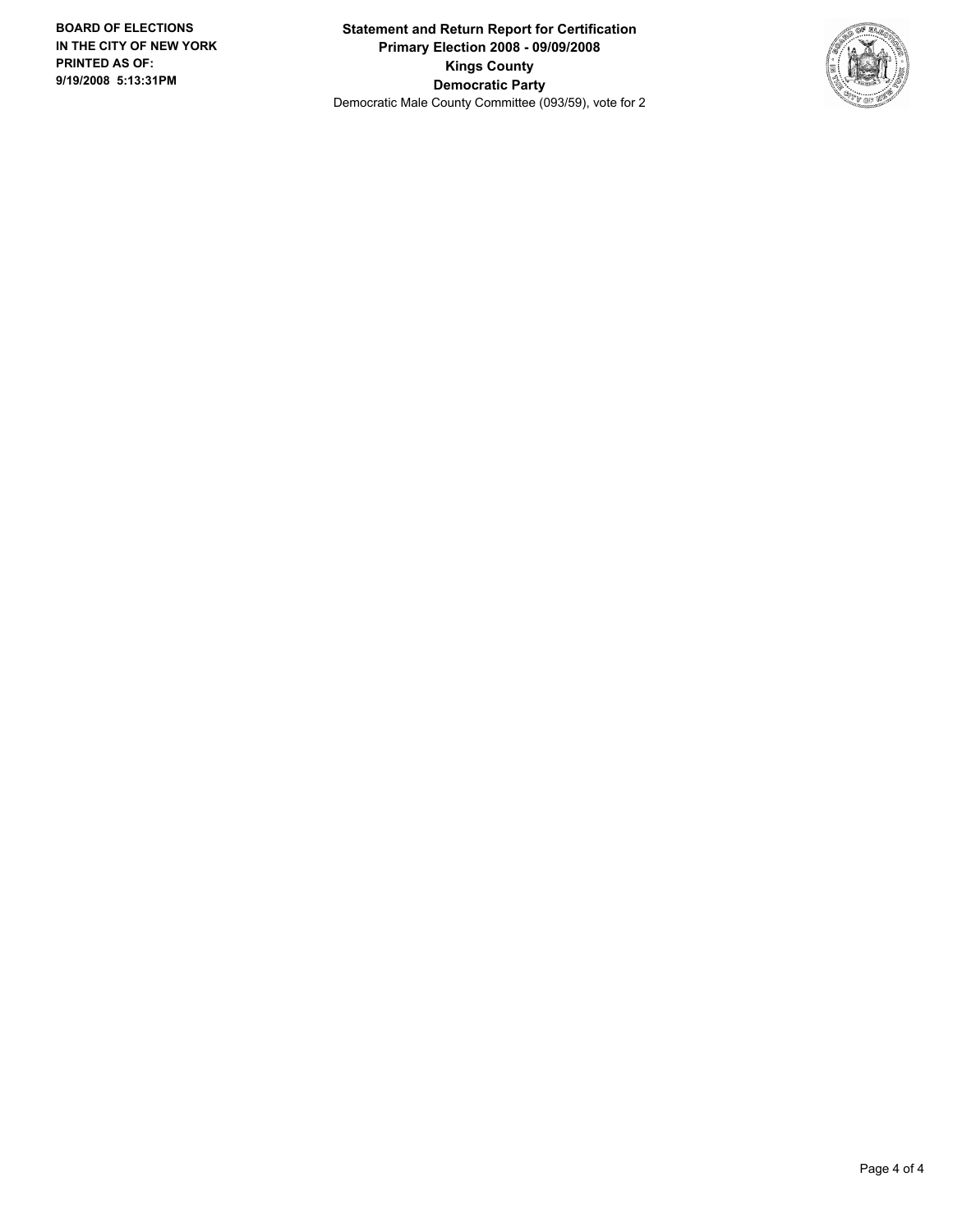**Statement and Return Report for Certification Primary Election 2008 - 09/09/2008 Kings County Democratic Party** Democratic Male County Committee (093/59), vote for 2

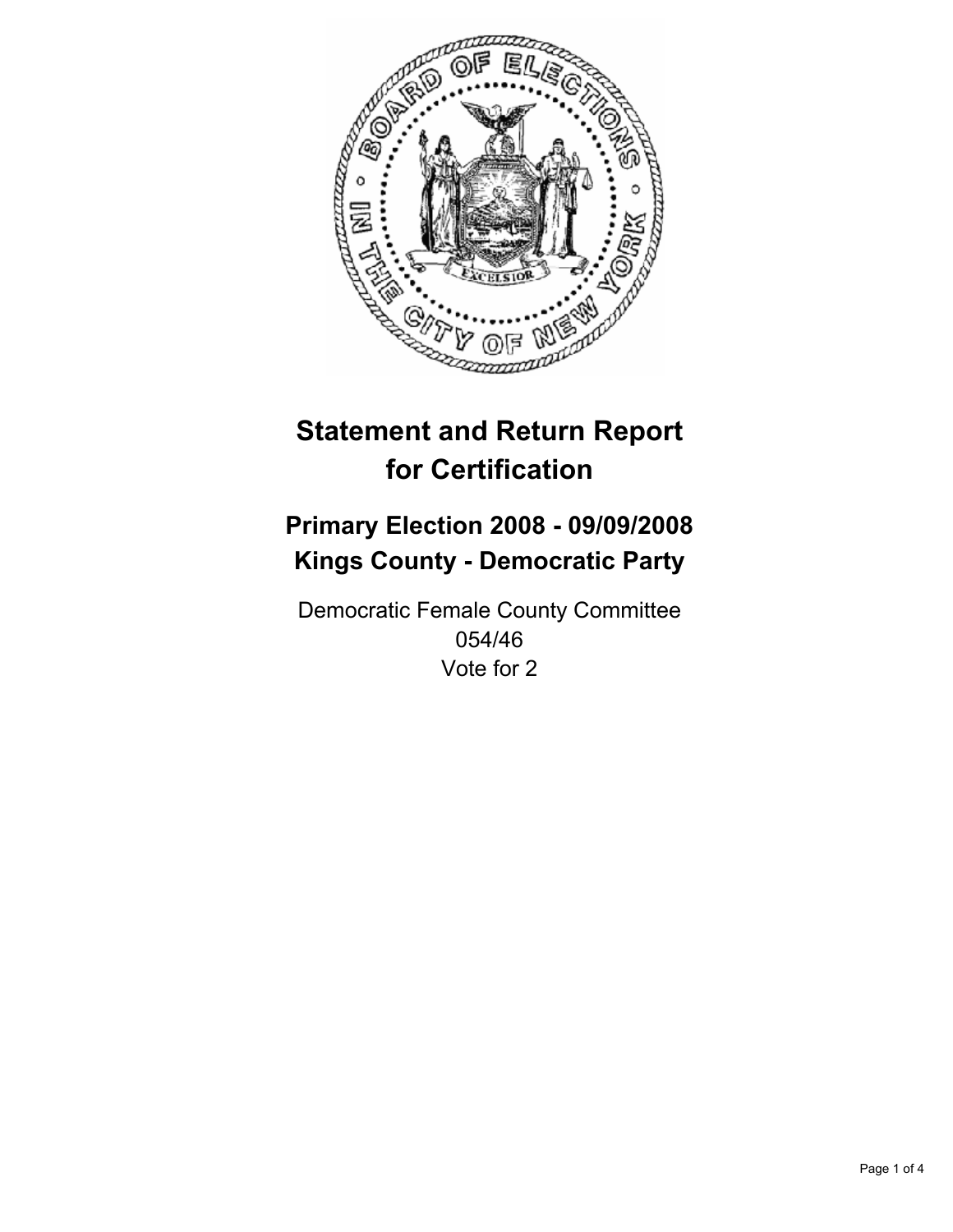

# **Primary Election 2008 - 09/09/2008 Kings County - Democratic Party**

Democratic Female County Committee 054/46 Vote for 2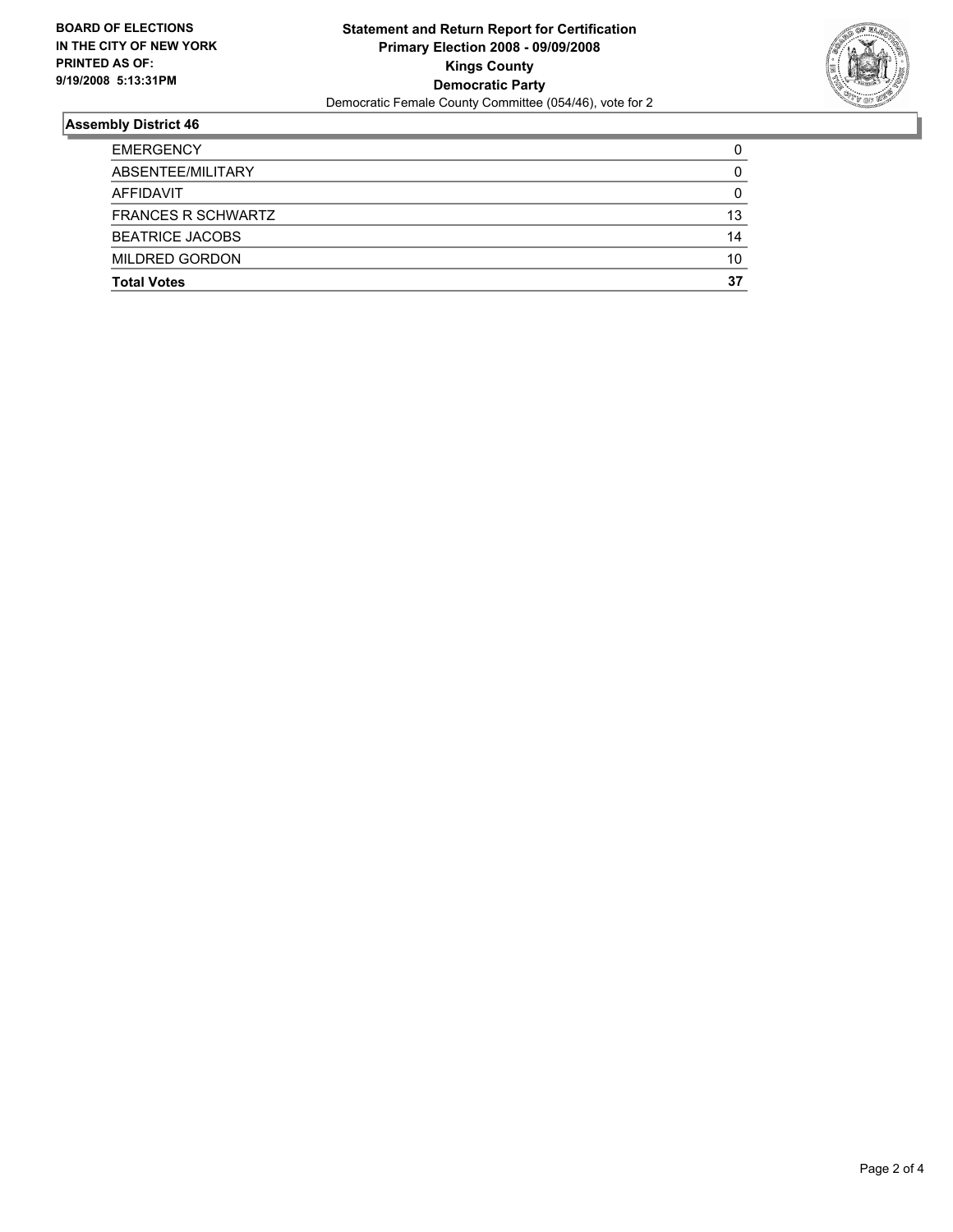

| <b>EMERGENCY</b>          |    |
|---------------------------|----|
| ABSENTEE/MILITARY         | U  |
| AFFIDAVIT                 |    |
| <b>FRANCES R SCHWARTZ</b> | 13 |
| <b>BEATRICE JACOBS</b>    | 14 |
| <b>MILDRED GORDON</b>     | 10 |
| <b>Total Votes</b>        | 37 |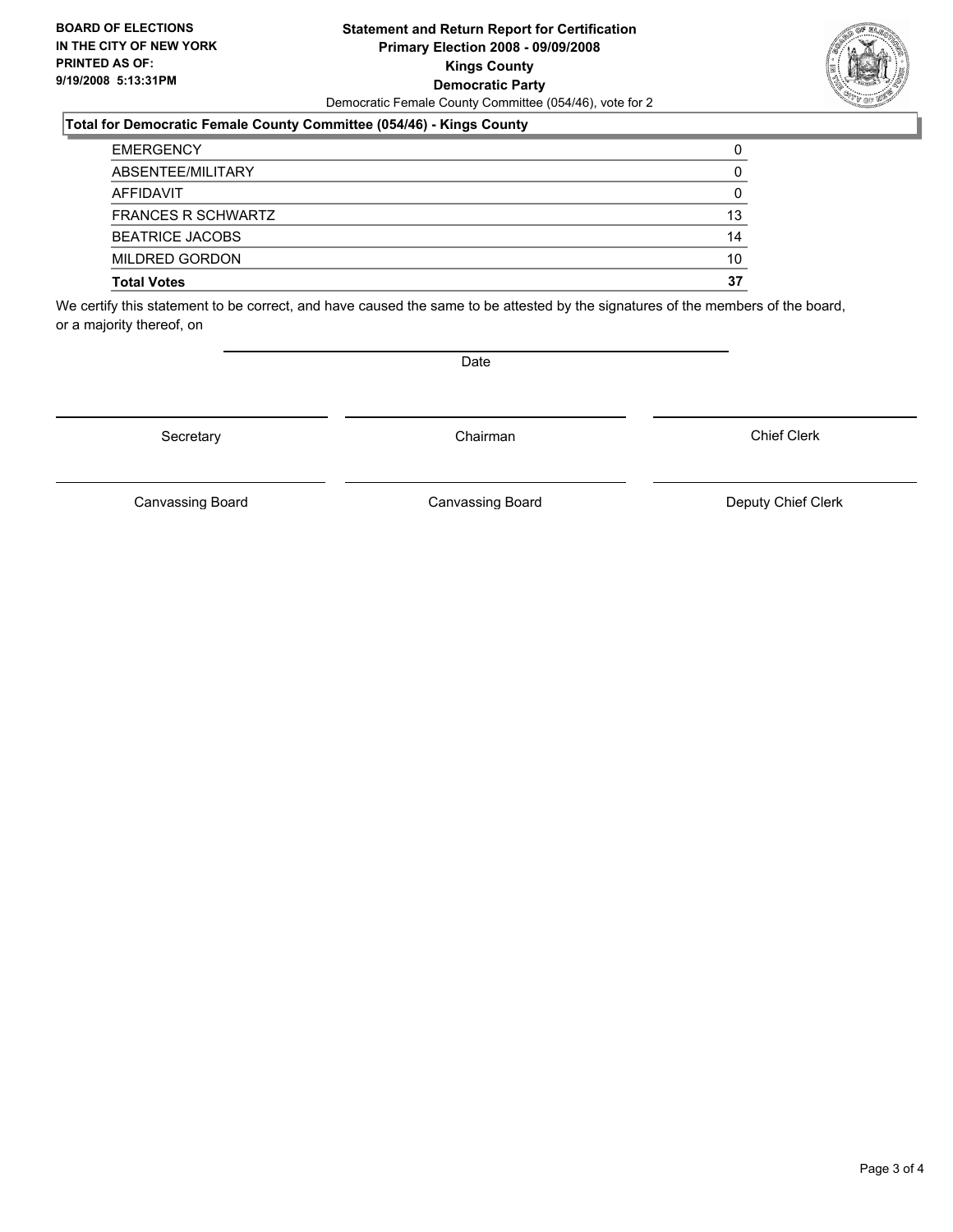#### **Statement and Return Report for Certification Primary Election 2008 - 09/09/2008 Kings County Democratic Party** Democratic Female County Committee (054/46), vote for 2

### **Total for Democratic Female County Committee (054/46) - Kings County**

| <b>EMERGENCY</b>          |    |
|---------------------------|----|
| ABSENTEE/MILITARY         |    |
| AFFIDAVIT                 |    |
| <b>FRANCES R SCHWARTZ</b> | 13 |
| <b>BEATRICE JACOBS</b>    | 14 |
| <b>MILDRED GORDON</b>     | 10 |
| <b>Total Votes</b>        | 37 |

We certify this statement to be correct, and have caused the same to be attested by the signatures of the members of the board, or a majority thereof, on

Secretary **Chairman** 

Chief Clerk

Canvassing Board **Canvassing Board** Canvassing Board **Deputy Chief Clerk** 

Canvassing Board



Date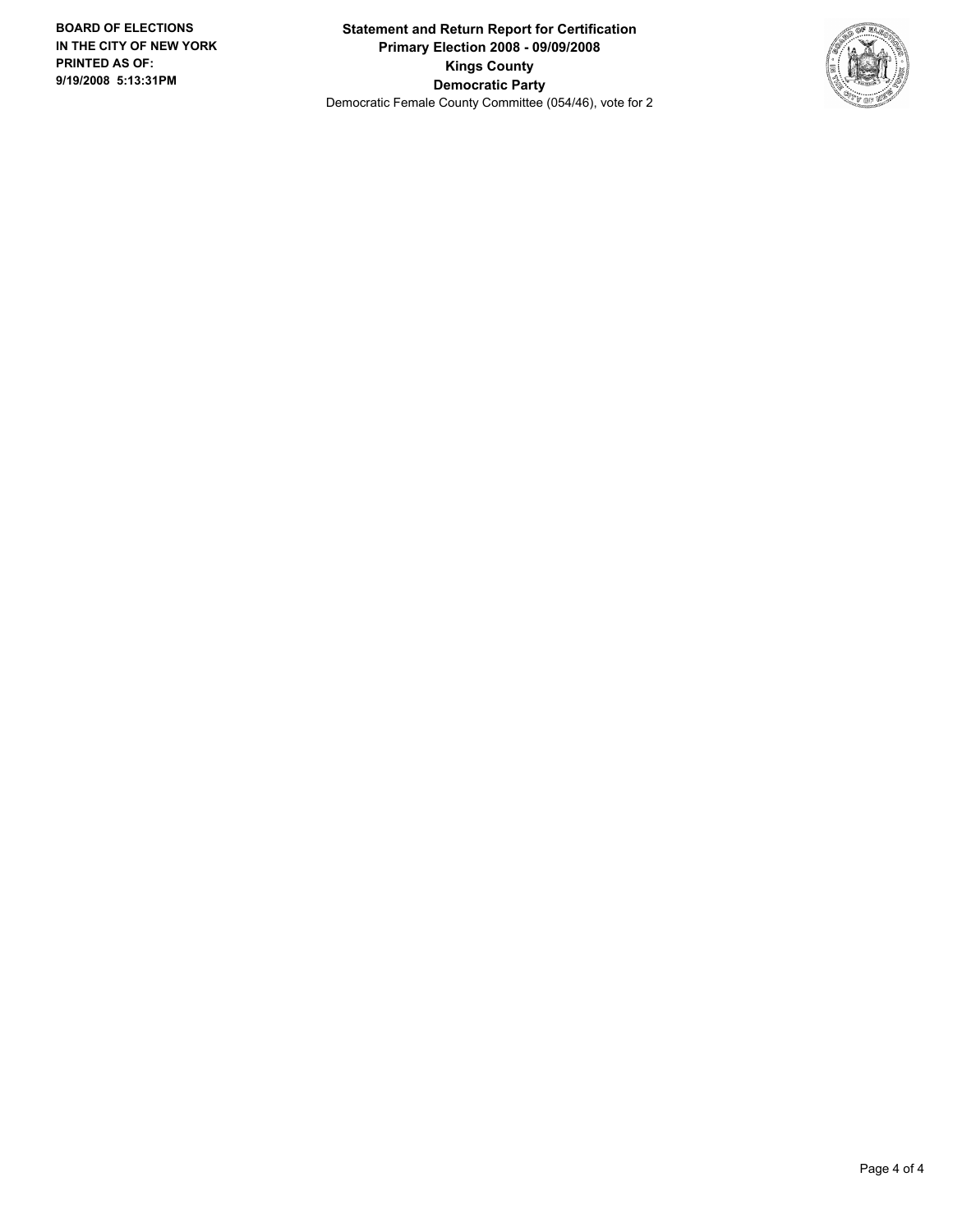**Statement and Return Report for Certification Primary Election 2008 - 09/09/2008 Kings County Democratic Party** Democratic Female County Committee (054/46), vote for 2

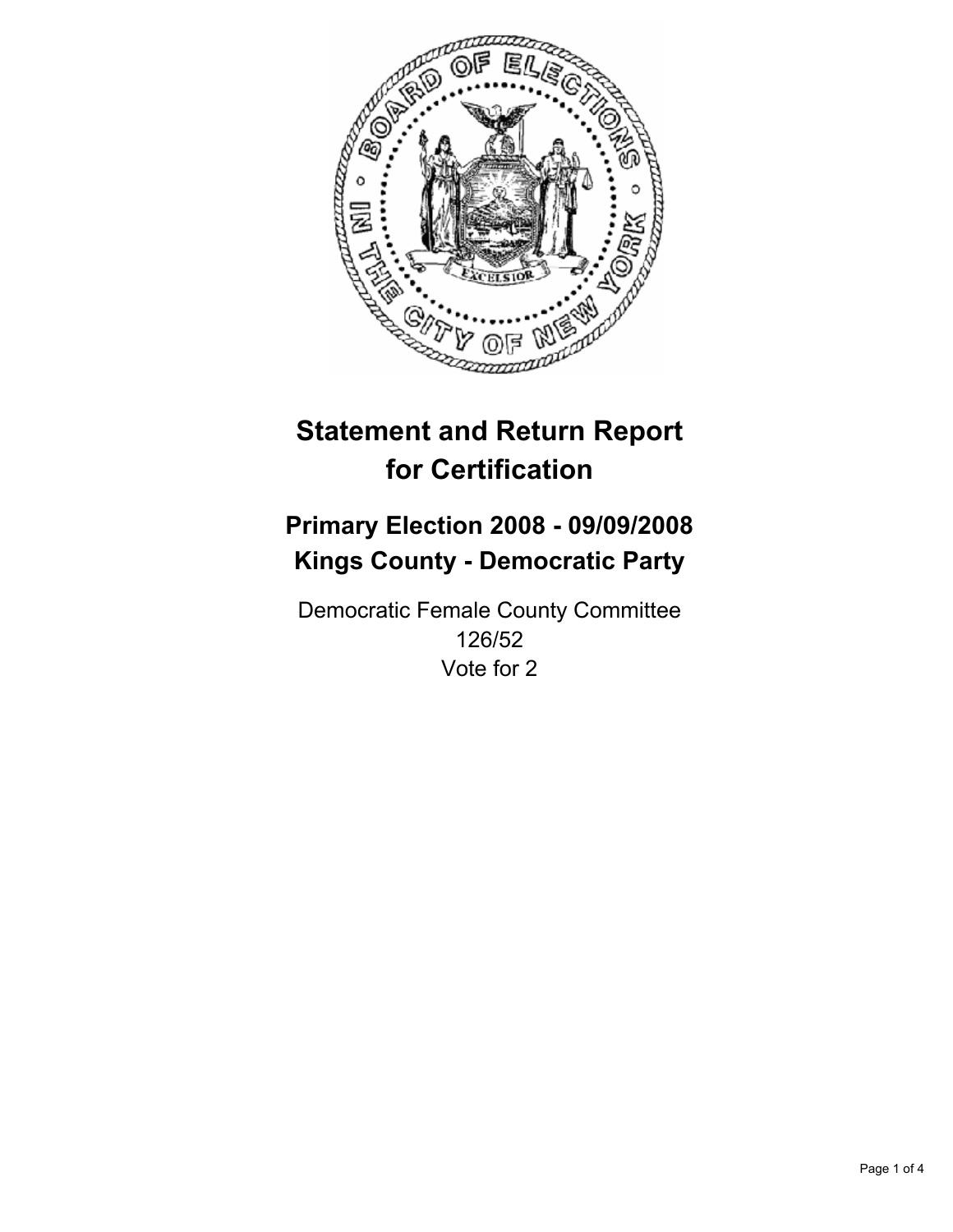

# **Primary Election 2008 - 09/09/2008 Kings County - Democratic Party**

Democratic Female County Committee 126/52 Vote for 2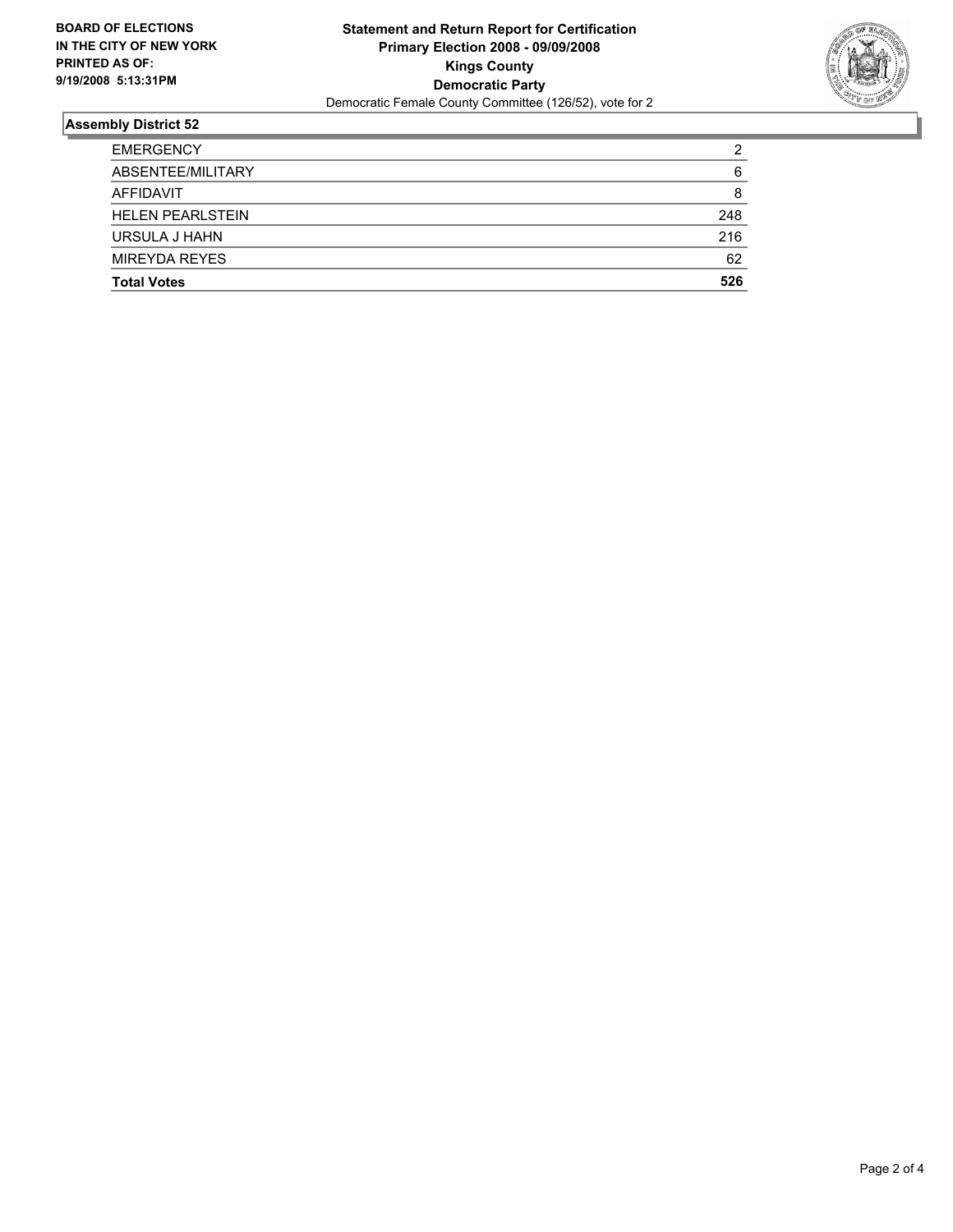

| <b>EMERGENCY</b>        | 2   |
|-------------------------|-----|
| ABSENTEE/MILITARY       | 6   |
| AFFIDAVIT               | 8   |
| <b>HELEN PEARLSTEIN</b> | 248 |
| URSULA J HAHN           | 216 |
| <b>MIREYDA REYES</b>    | 62  |
| <b>Total Votes</b>      | 526 |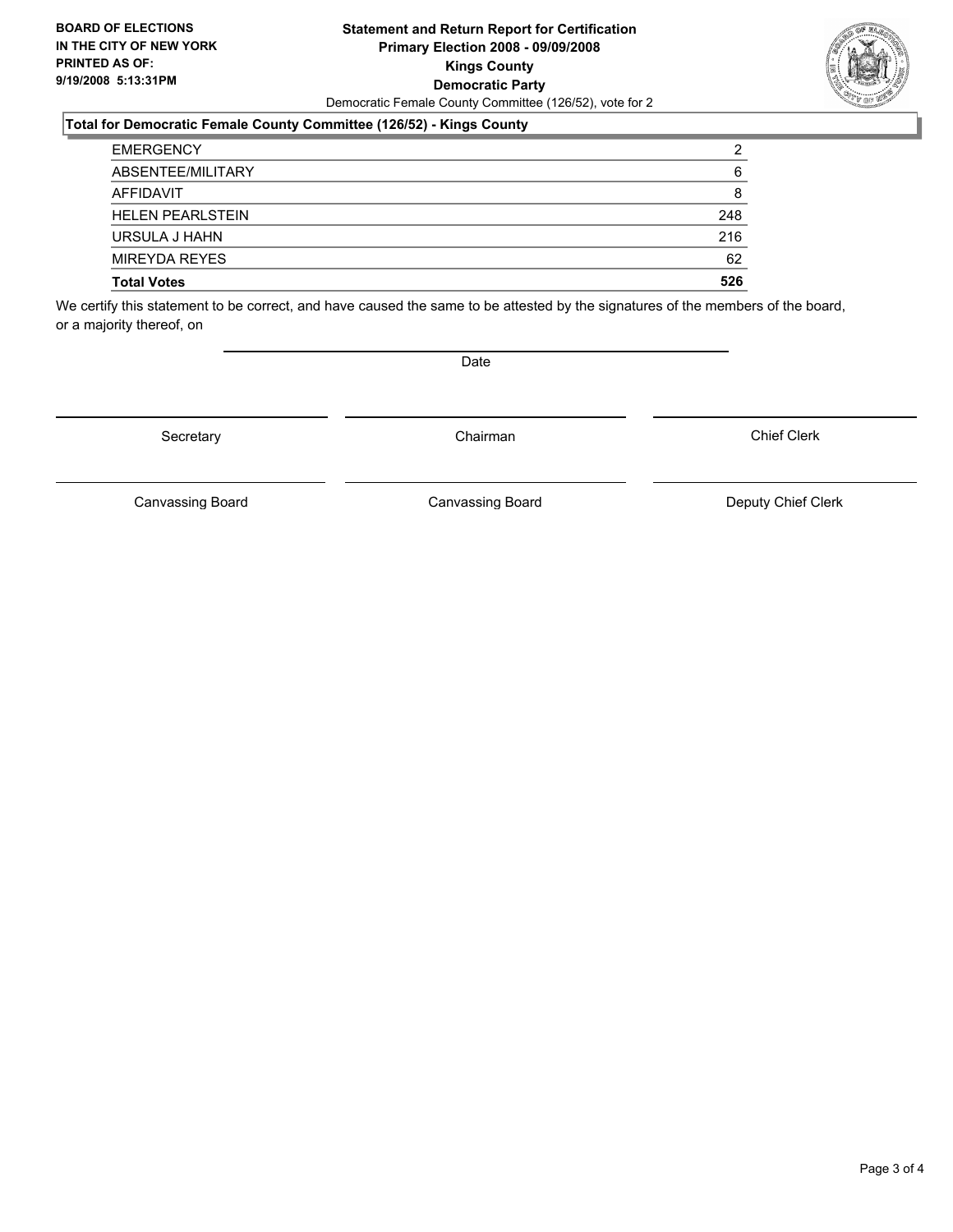#### **Statement and Return Report for Certification Primary Election 2008 - 09/09/2008 Kings County Democratic Party** Democratic Female County Committee (126/52), vote for 2

### **Total for Democratic Female County Committee (126/52) - Kings County**

| <b>EMERGENCY</b>        | າ   |
|-------------------------|-----|
| ABSENTEE/MILITARY       | 6   |
| AFFIDAVIT               | 8   |
| <b>HELEN PEARLSTEIN</b> | 248 |
| URSULA J HAHN           | 216 |
| <b>MIREYDA REYES</b>    | 62  |
| <b>Total Votes</b>      | 526 |

We certify this statement to be correct, and have caused the same to be attested by the signatures of the members of the board, or a majority thereof, on

Secretary **Chairman** 

Chief Clerk

Canvassing Board **Canvassing Board** Canvassing Board **Deputy Chief Clerk** 

Canvassing Board



Date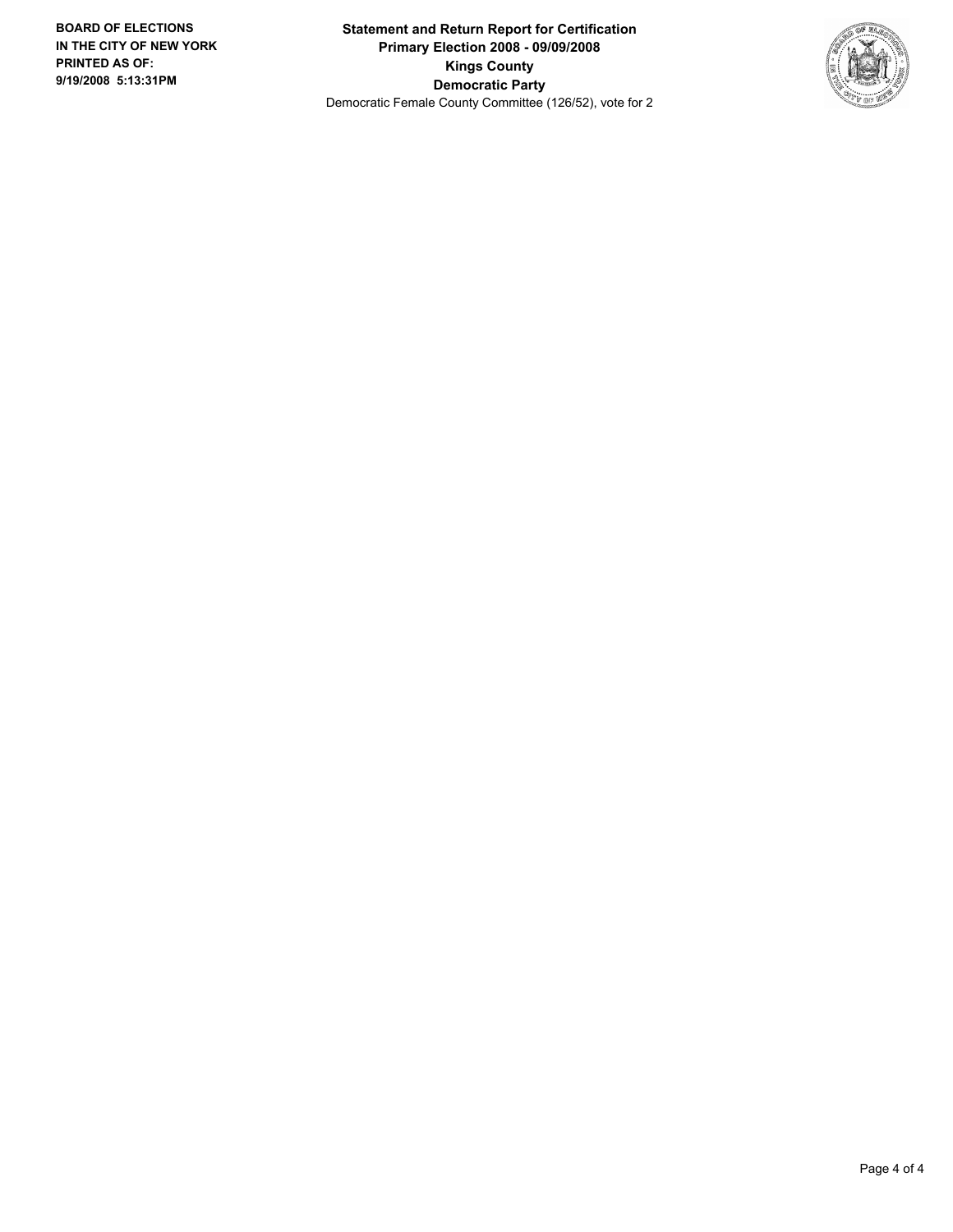**Statement and Return Report for Certification Primary Election 2008 - 09/09/2008 Kings County Democratic Party** Democratic Female County Committee (126/52), vote for 2

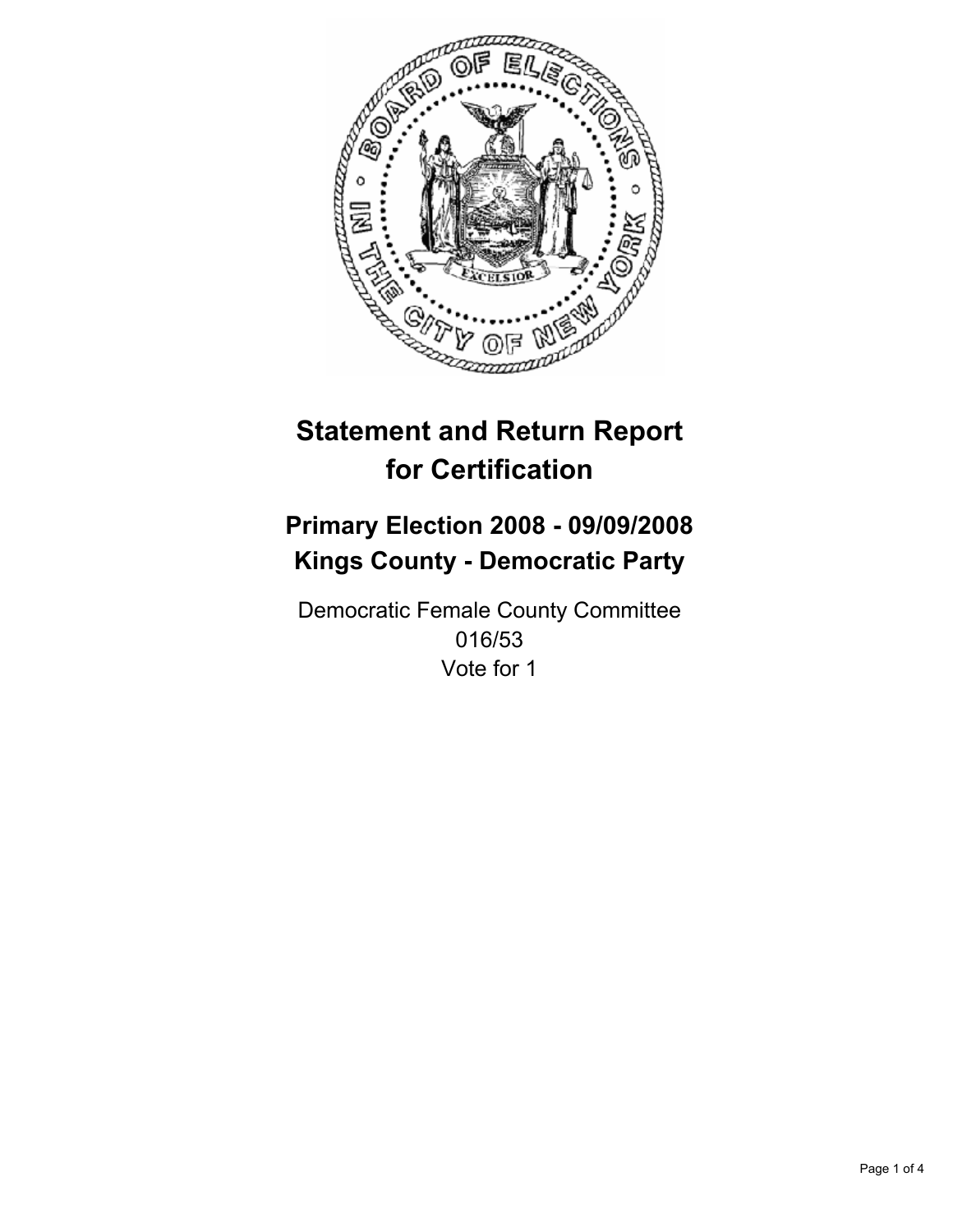

# **Primary Election 2008 - 09/09/2008 Kings County - Democratic Party**

Democratic Female County Committee 016/53 Vote for 1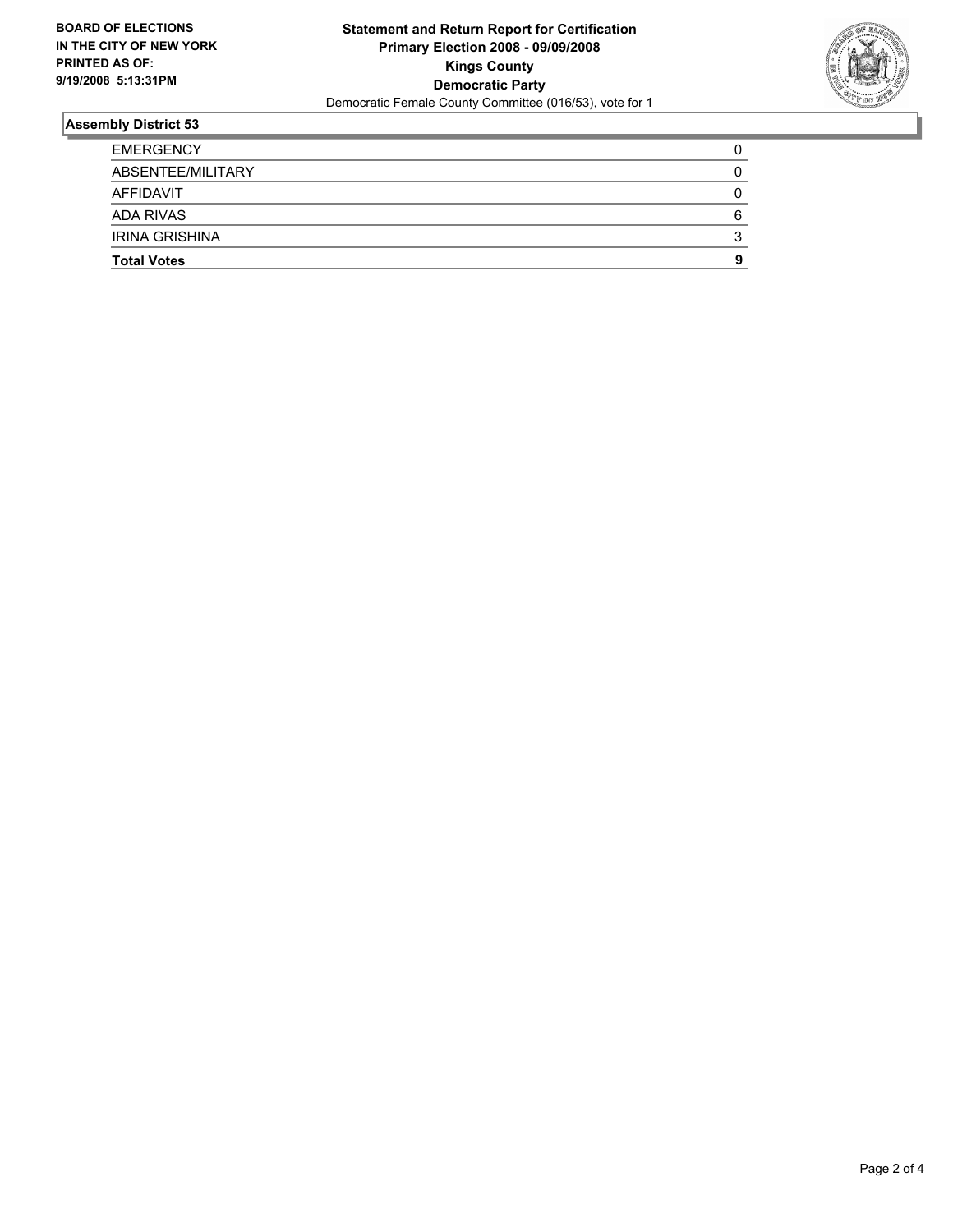

| <b>Total Votes</b>    |   |
|-----------------------|---|
| <b>IRINA GRISHINA</b> |   |
| <b>ADA RIVAS</b>      | 6 |
| AFFIDAVIT             |   |
| ABSENTEE/MILITARY     |   |
| <b>EMERGENCY</b>      |   |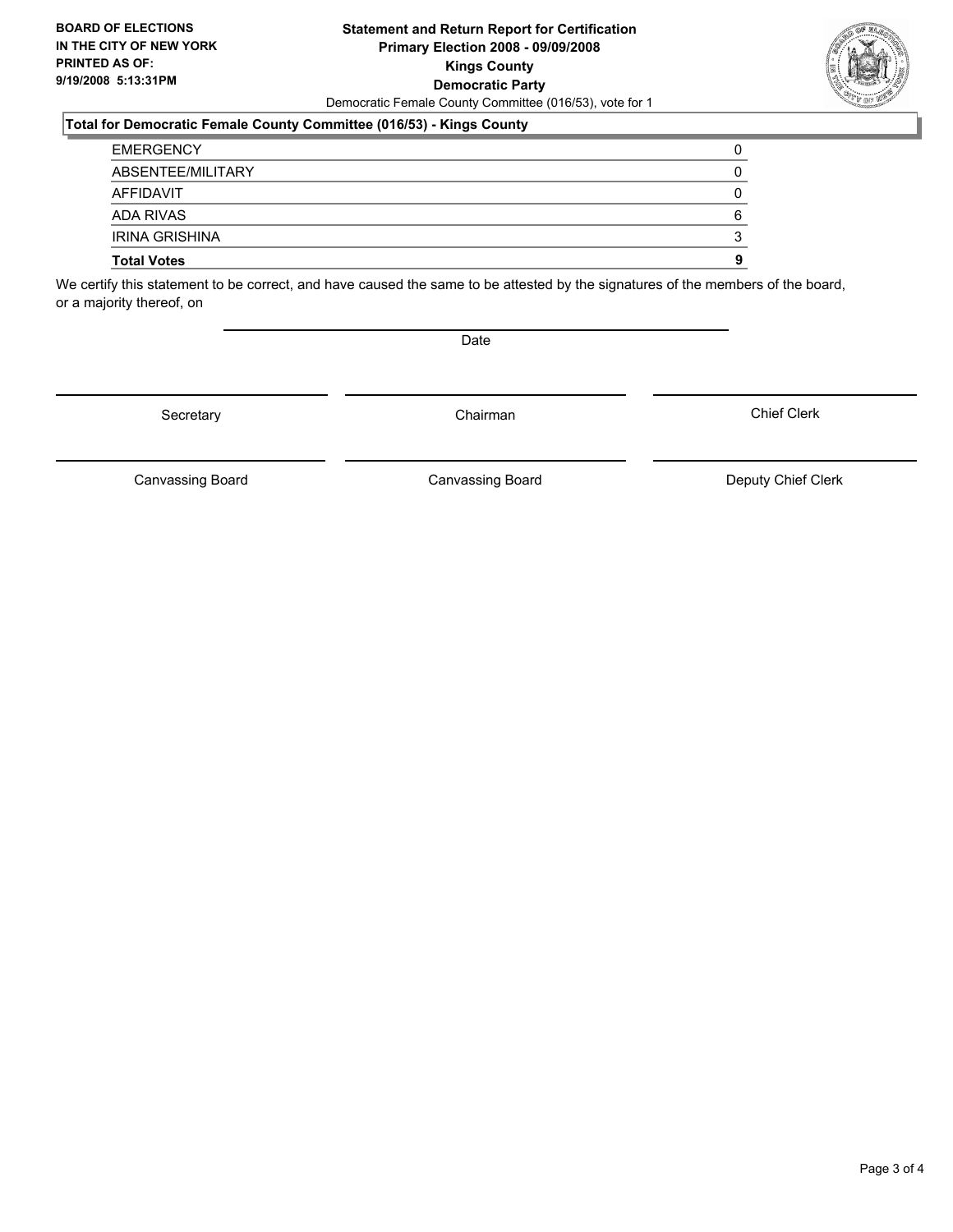#### **Statement and Return Report for Certification Primary Election 2008 - 09/09/2008 Kings County Democratic Party** Democratic Female County Committee (016/53), vote for 1

#### **Total for Democratic Female County Committee (016/53) - Kings County**

| <b>Total Votes</b>    |  |
|-----------------------|--|
| <b>IRINA GRISHINA</b> |  |
| <b>ADA RIVAS</b>      |  |
| AFFIDAVIT             |  |
| ABSENTEE/MILITARY     |  |
| <b>EMERGENCY</b>      |  |

We certify this statement to be correct, and have caused the same to be attested by the signatures of the members of the board, or a majority thereof, on

Date

Secretary Chairman

Canvassing Board

Canvassing Board **Canvassing Board** Canvassing Board **Deputy Chief Clerk** 

Chief Clerk

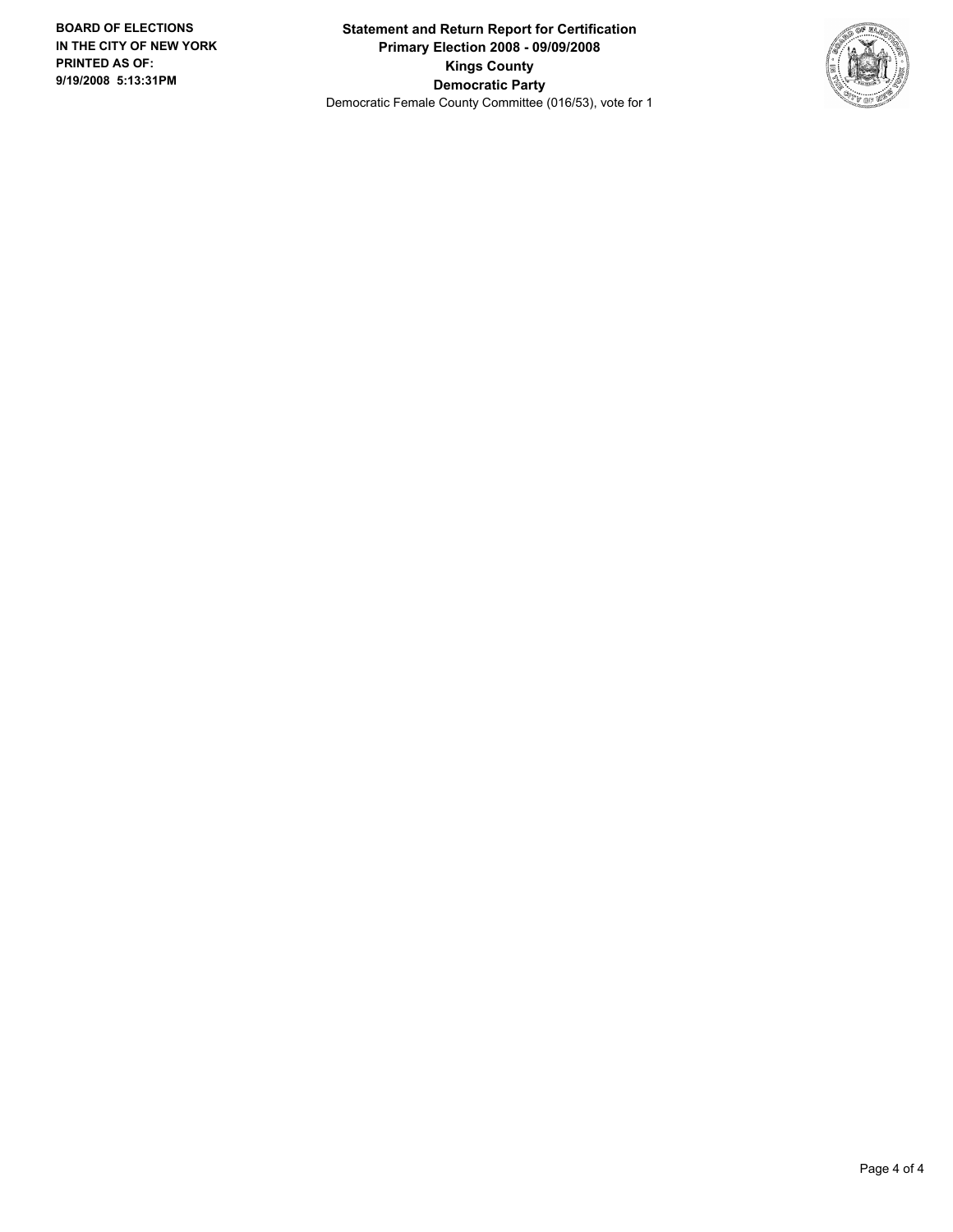**Statement and Return Report for Certification Primary Election 2008 - 09/09/2008 Kings County Democratic Party** Democratic Female County Committee (016/53), vote for 1

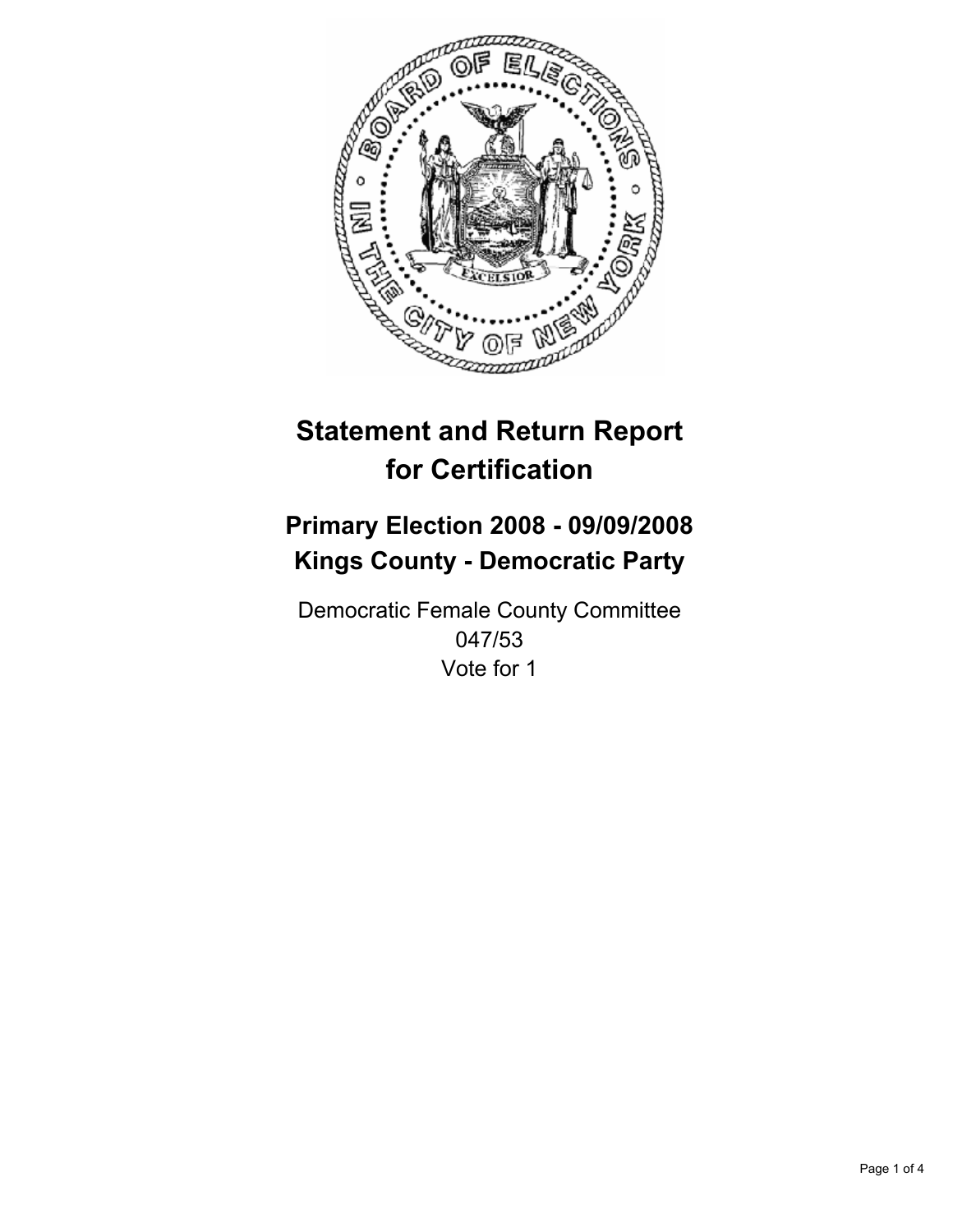

# **Primary Election 2008 - 09/09/2008 Kings County - Democratic Party**

Democratic Female County Committee 047/53 Vote for 1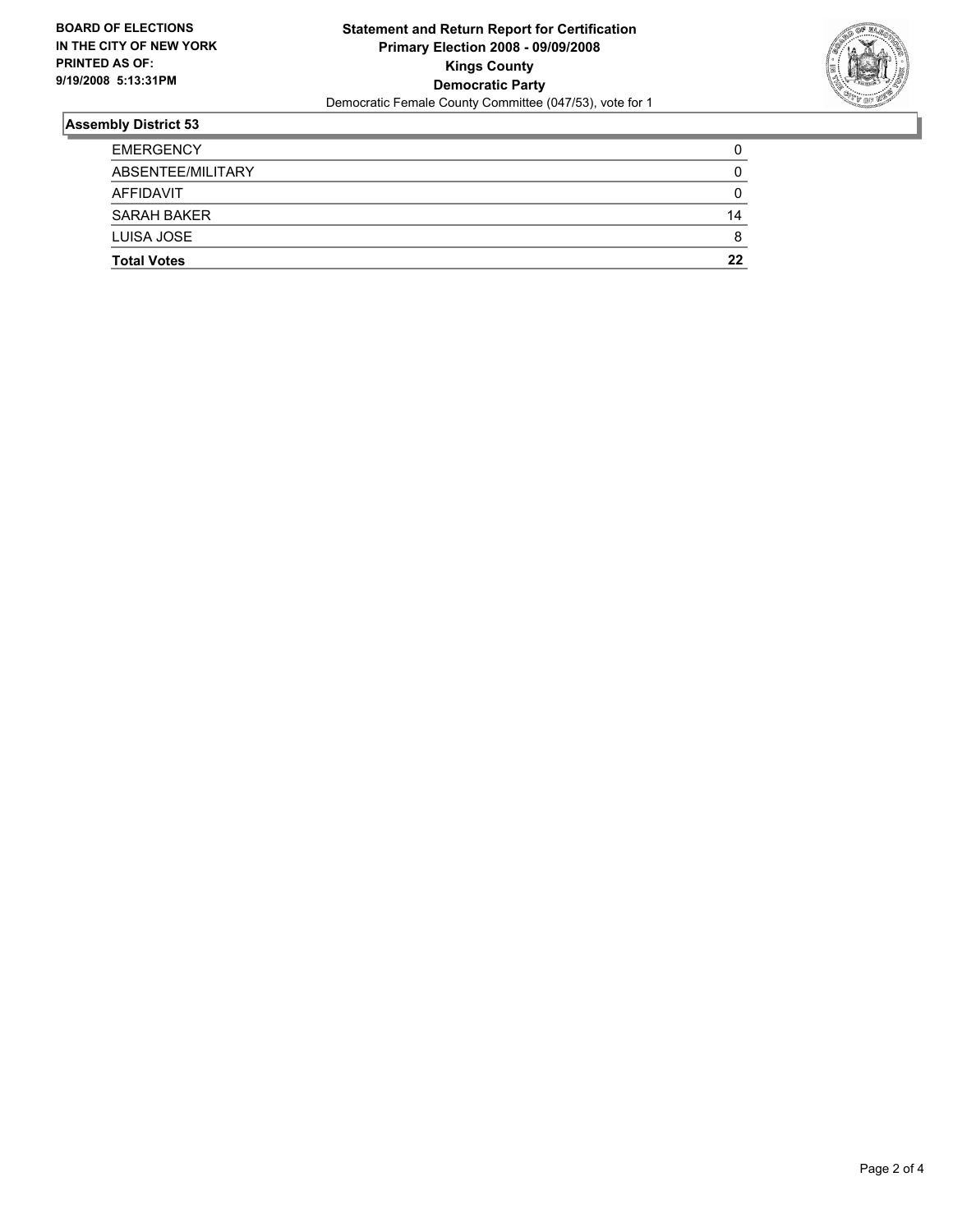

| <b>Total Votes</b> | 22 |
|--------------------|----|
| LUISA JOSE         | 8  |
| SARAH BAKER        | 14 |
| AFFIDAVIT          |    |
| ABSENTEE/MILITARY  |    |
| <b>EMERGENCY</b>   |    |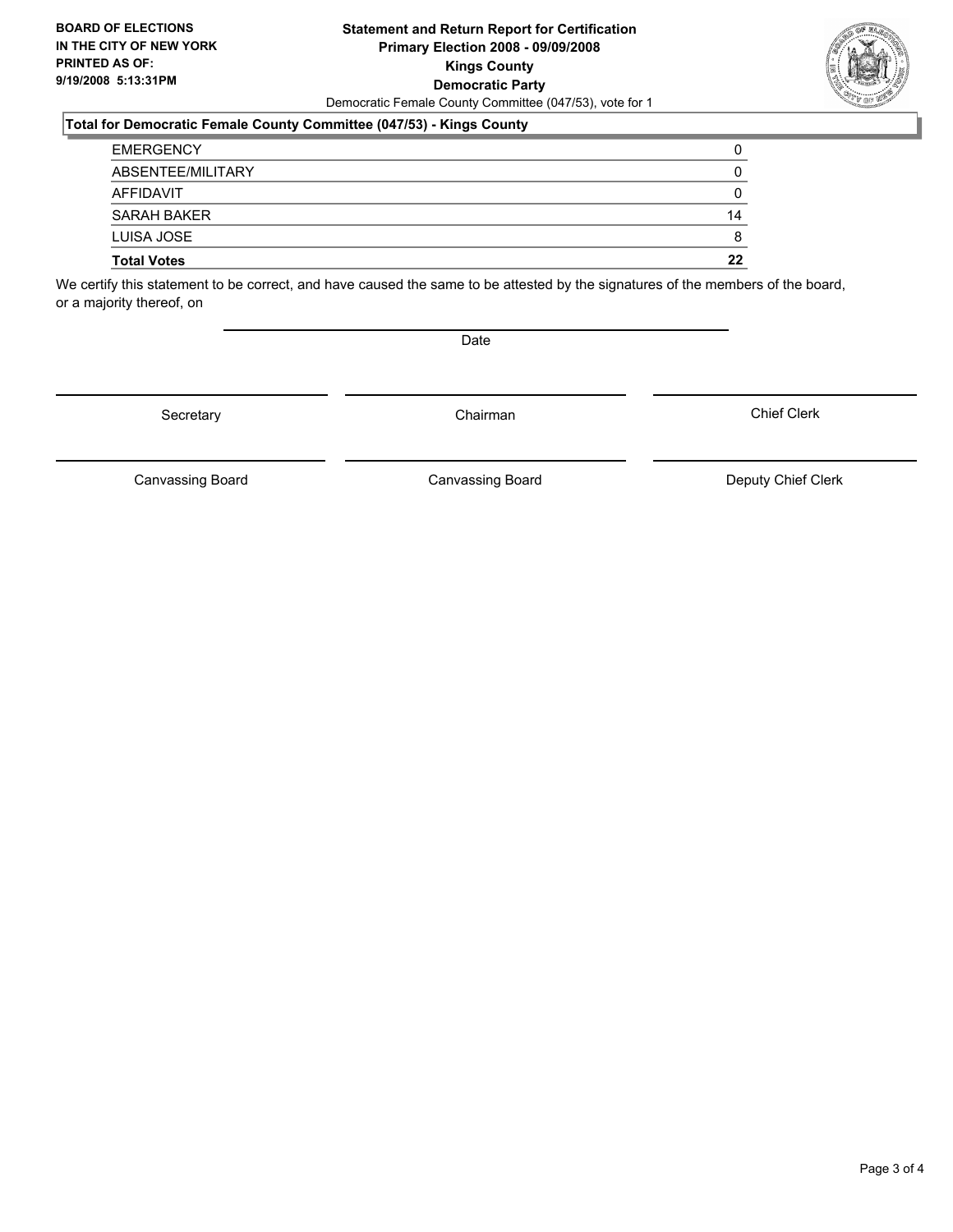#### **Statement and Return Report for Certification Primary Election 2008 - 09/09/2008 Kings County Democratic Party** Democratic Female County Committee (047/53), vote for 1

#### **Total for Democratic Female County Committee (047/53) - Kings County**

| <b>Total Votes</b> | 22 |
|--------------------|----|
| LUISA JOSE         |    |
| SARAH BAKER        | 14 |
| AFFIDAVIT          |    |
| ABSENTEE/MILITARY  |    |
| <b>EMERGENCY</b>   |    |

We certify this statement to be correct, and have caused the same to be attested by the signatures of the members of the board, or a majority thereof, on

Date

Secretary Chairman

Canvassing Board

Canvassing Board **Canvassing Board** Canvassing Board **Deputy Chief Clerk** 

Chief Clerk

Page 3 of 4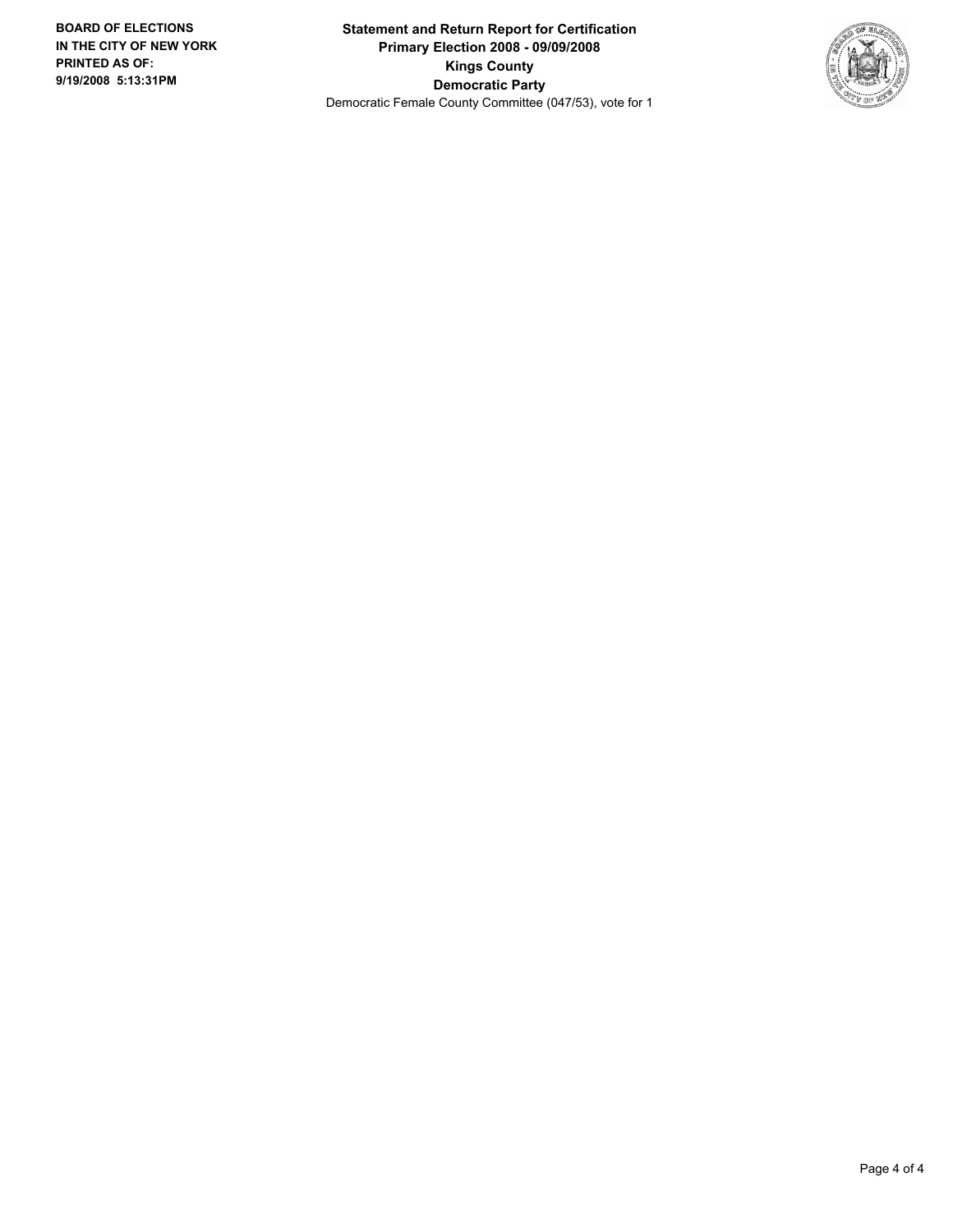**Statement and Return Report for Certification Primary Election 2008 - 09/09/2008 Kings County Democratic Party** Democratic Female County Committee (047/53), vote for 1

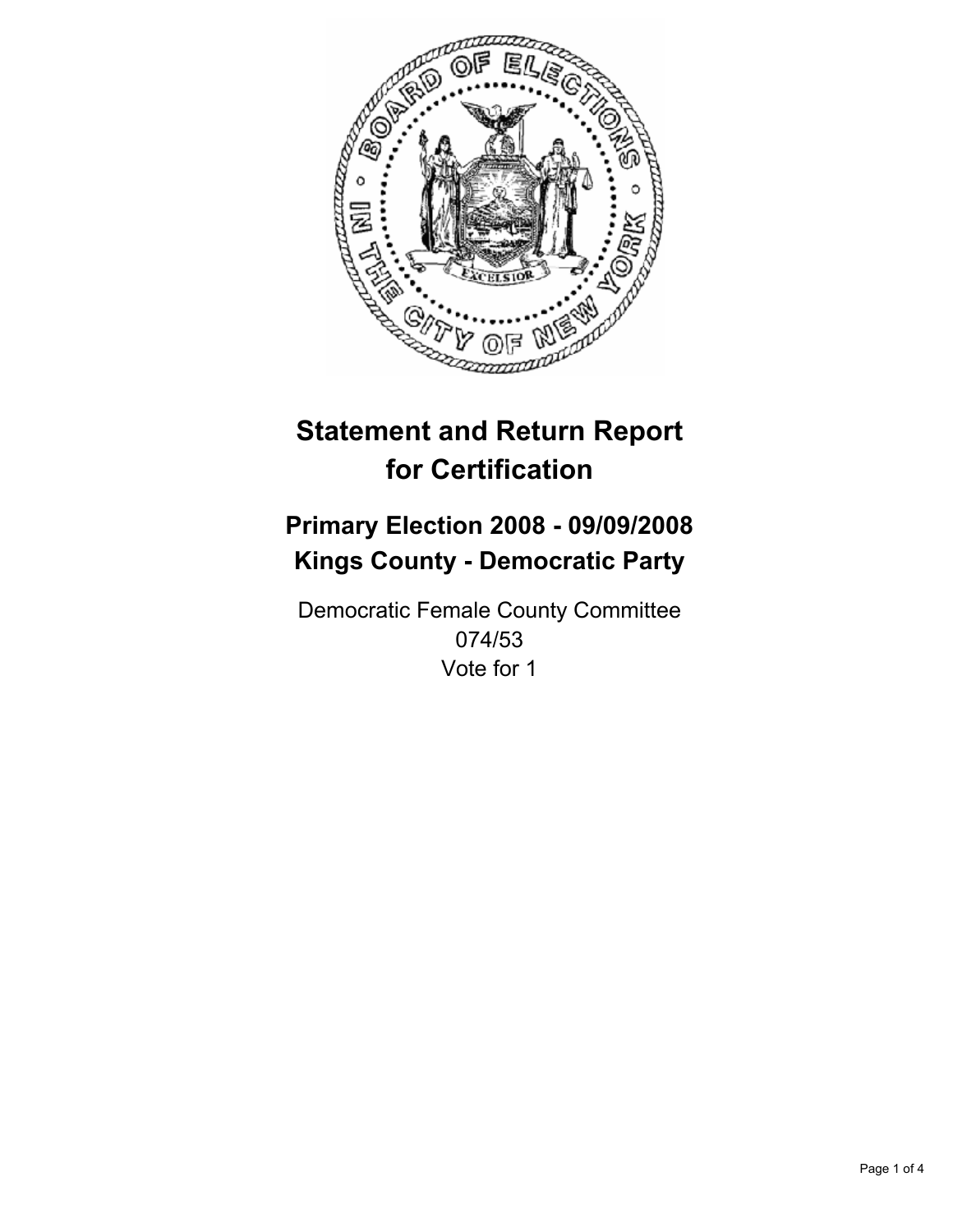

# **Primary Election 2008 - 09/09/2008 Kings County - Democratic Party**

Democratic Female County Committee 074/53 Vote for 1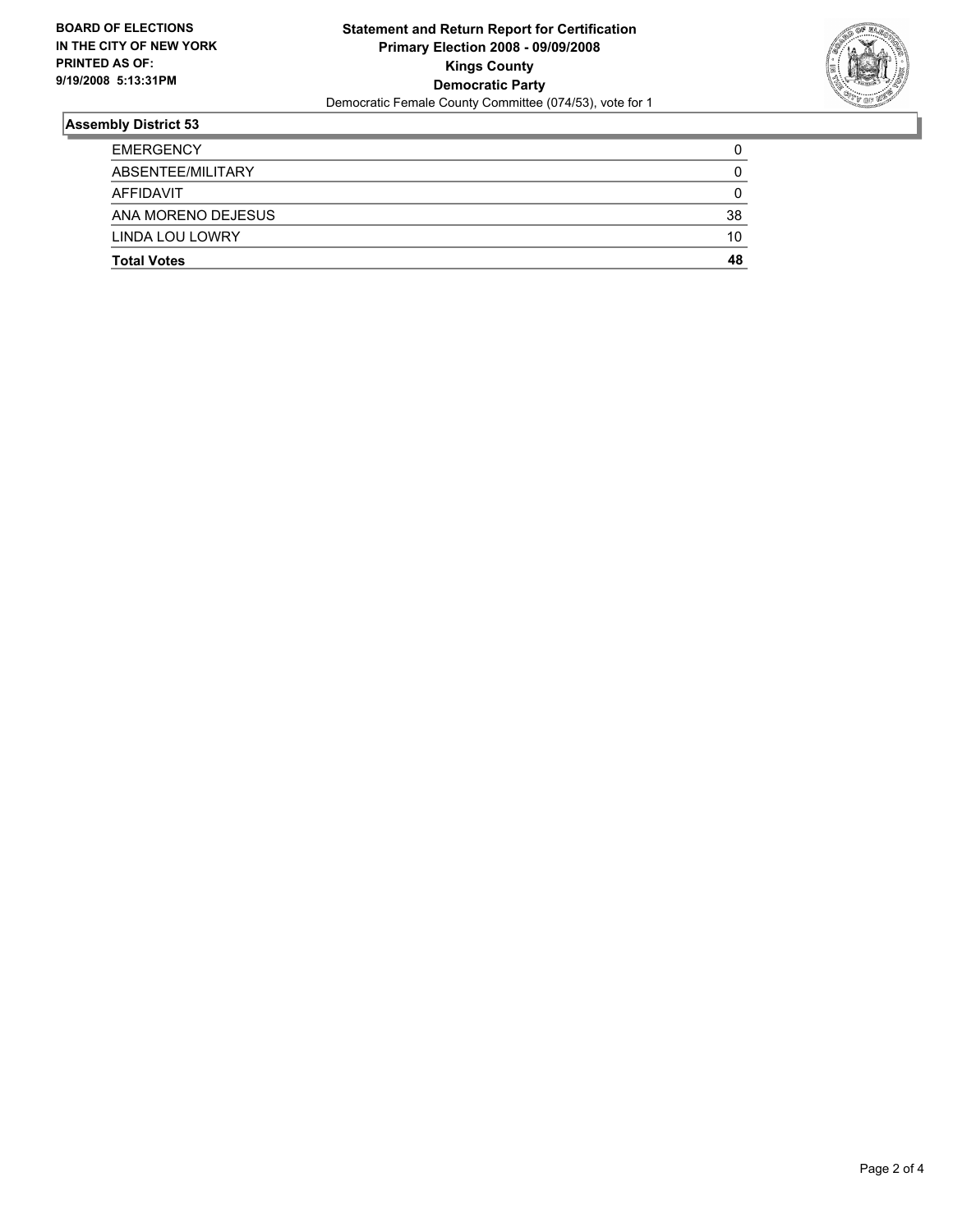

| <b>EMERGENCY</b><br>ABSENTEE/MILITARY |    |
|---------------------------------------|----|
| <b>AFFIDAVIT</b>                      |    |
| ANA MORENO DEJESUS                    | 38 |
| LINDA LOU LOWRY                       | 10 |
| <b>Total Votes</b>                    | 48 |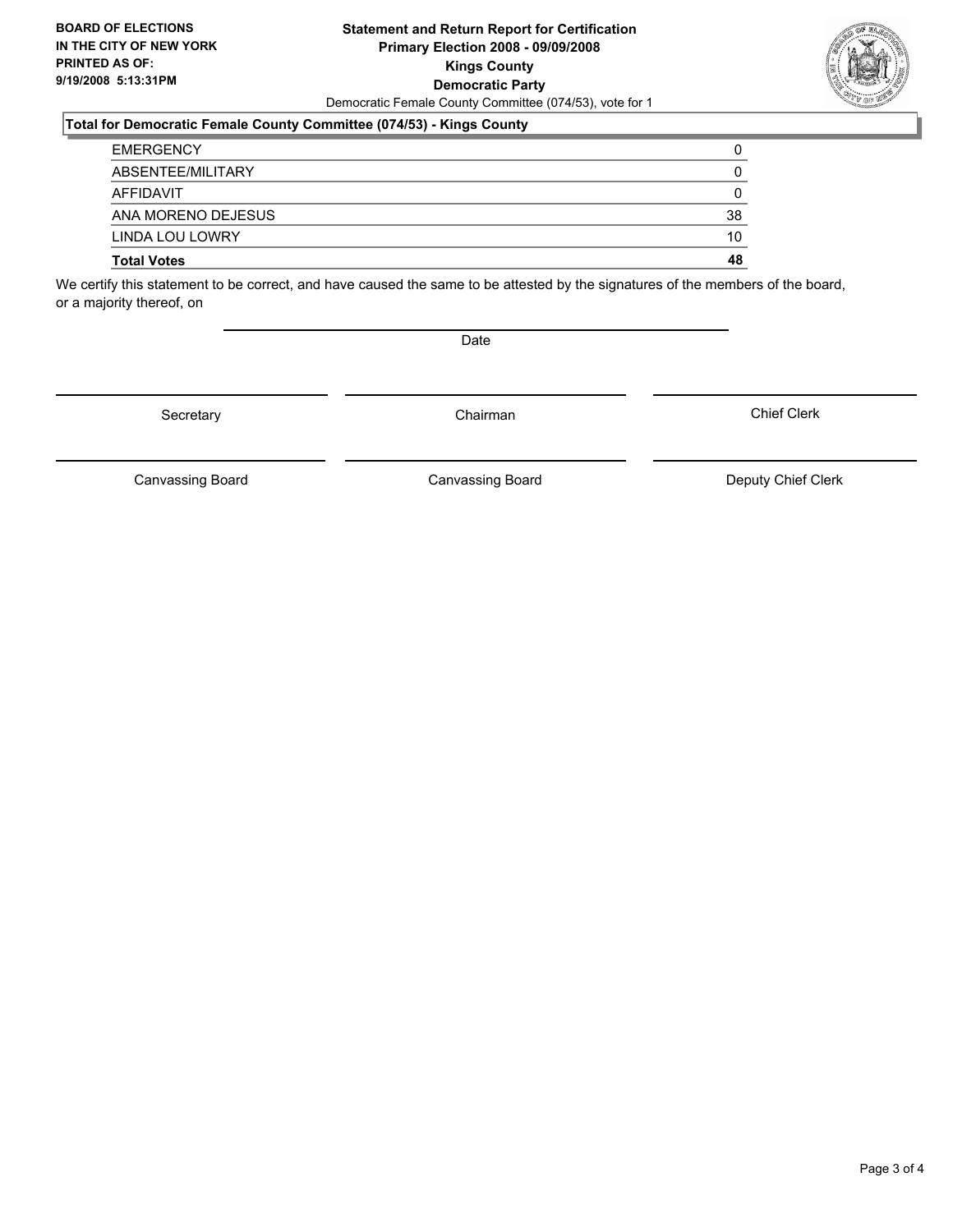#### **Statement and Return Report for Certification Primary Election 2008 - 09/09/2008 Kings County Democratic Party** Democratic Female County Committee (074/53), vote for 1

#### **Total for Democratic Female County Committee (074/53) - Kings County**

| <b>EMERGENCY</b>   |    |
|--------------------|----|
| ABSENTEE/MILITARY  |    |
| AFFIDAVIT          |    |
| ANA MORENO DEJESUS | 38 |
| LINDA LOU LOWRY    | 10 |
| <b>Total Votes</b> | 48 |

We certify this statement to be correct, and have caused the same to be attested by the signatures of the members of the board, or a majority thereof, on

Date

Secretary Chairman

Canvassing Board

Canvassing Board **Canvassing Board** Canvassing Board **Deputy Chief Clerk** 

Chief Clerk

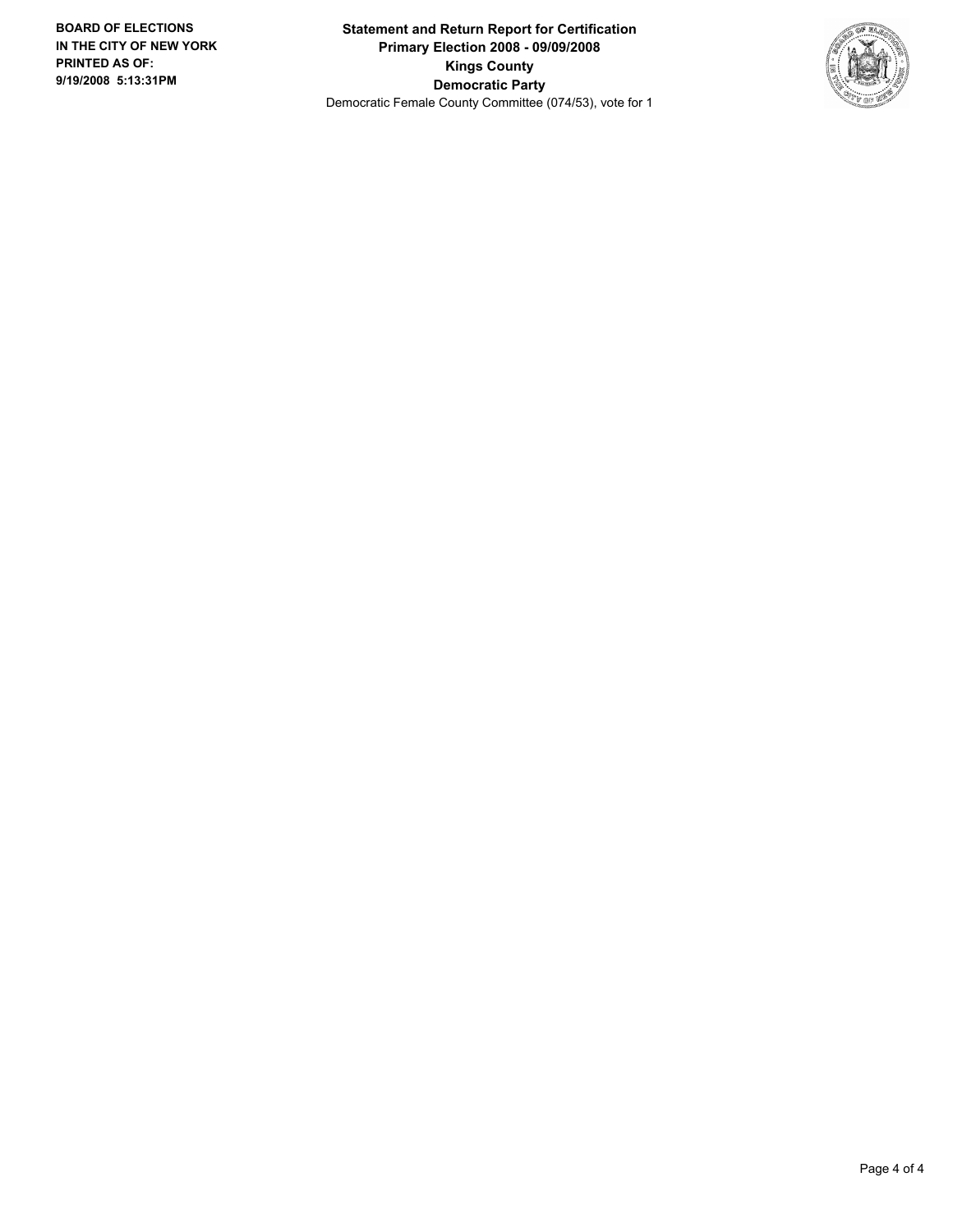**Statement and Return Report for Certification Primary Election 2008 - 09/09/2008 Kings County Democratic Party** Democratic Female County Committee (074/53), vote for 1

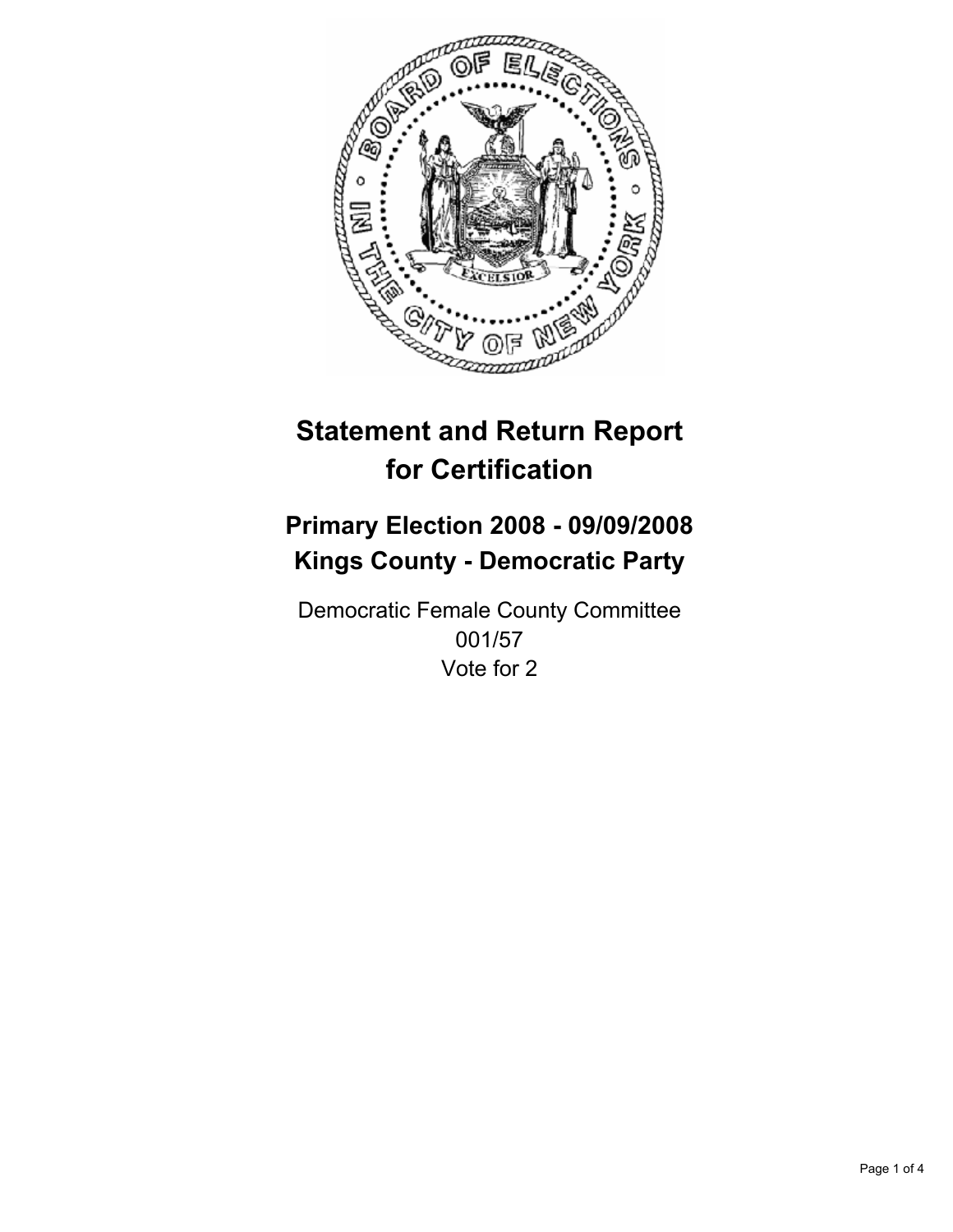

# **Primary Election 2008 - 09/09/2008 Kings County - Democratic Party**

Democratic Female County Committee 001/57 Vote for 2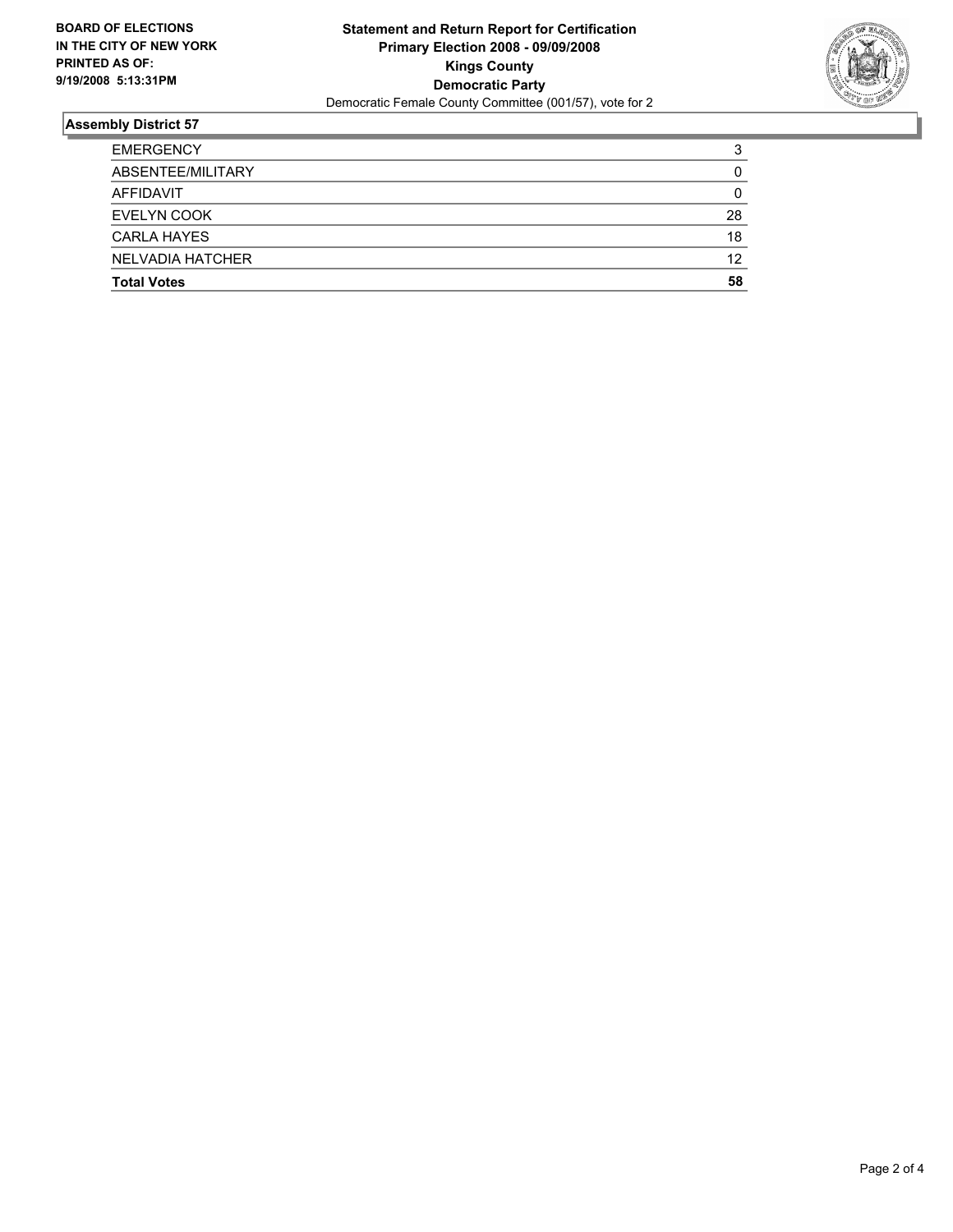

| <b>Total Votes</b> | 58     |
|--------------------|--------|
| NELVADIA HATCHER   | 12     |
| <b>CARLA HAYES</b> | 18     |
| EVELYN COOK        | 28     |
| AFFIDAVIT          |        |
| ABSENTEE/MILITARY  |        |
| <b>EMERGENCY</b>   | ≏<br>v |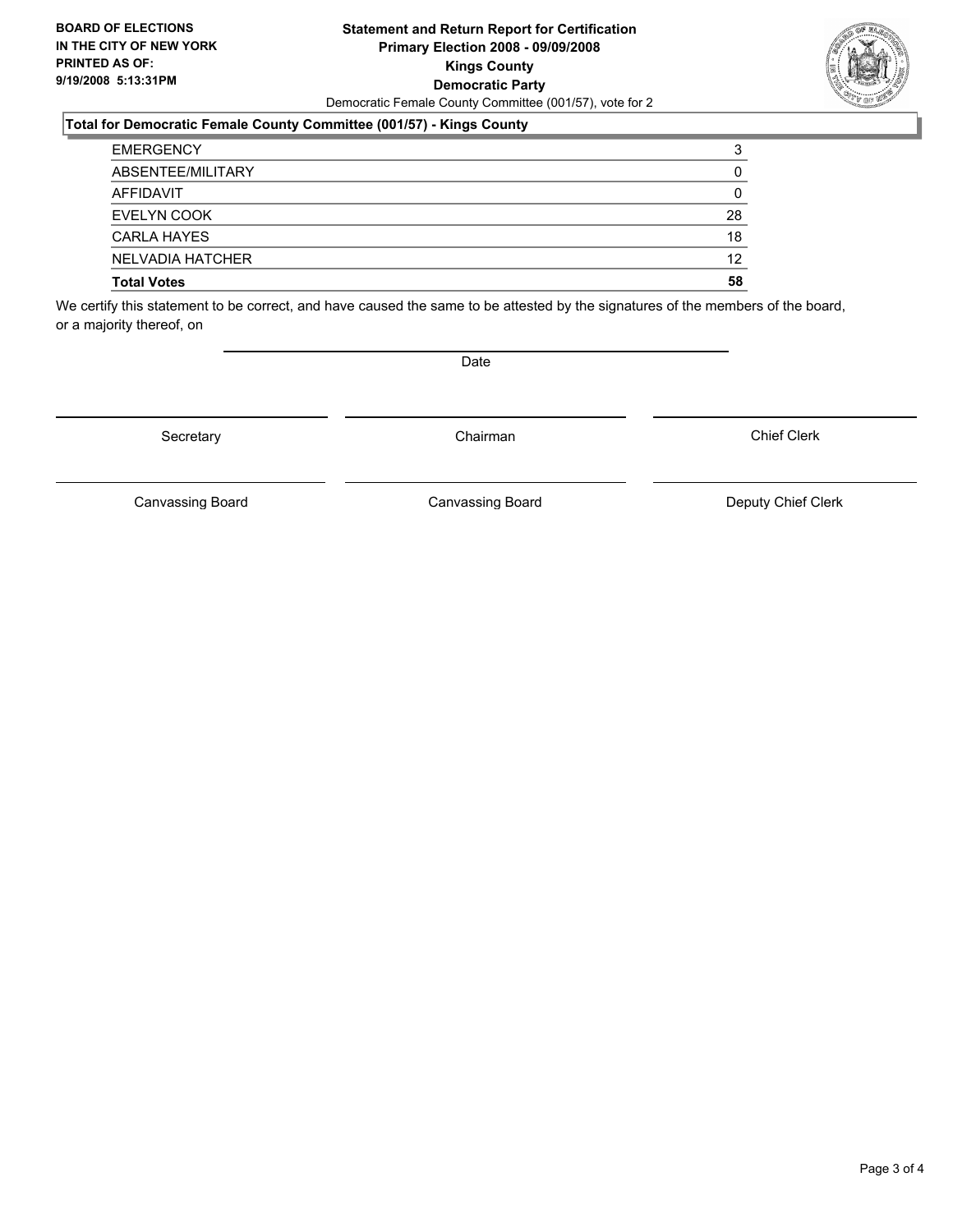#### **Statement and Return Report for Certification Primary Election 2008 - 09/09/2008 Kings County Democratic Party** Democratic Female County Committee (001/57), vote for 2

### **Total for Democratic Female County Committee (001/57) - Kings County**

| <b>Total Votes</b> | 58 |
|--------------------|----|
| NELVADIA HATCHER   | 12 |
| <b>CARLA HAYES</b> | 18 |
| <b>EVELYN COOK</b> | 28 |
| <b>AFFIDAVIT</b>   |    |
| ABSENTEE/MILITARY  |    |
| <b>EMERGENCY</b>   |    |

We certify this statement to be correct, and have caused the same to be attested by the signatures of the members of the board, or a majority thereof, on

Date

Secretary **Chairman** 

Chief Clerk

Canvassing Board **Canvassing Board** Canvassing Board **Deputy Chief Clerk** 

Canvassing Board

Page 3 of 4

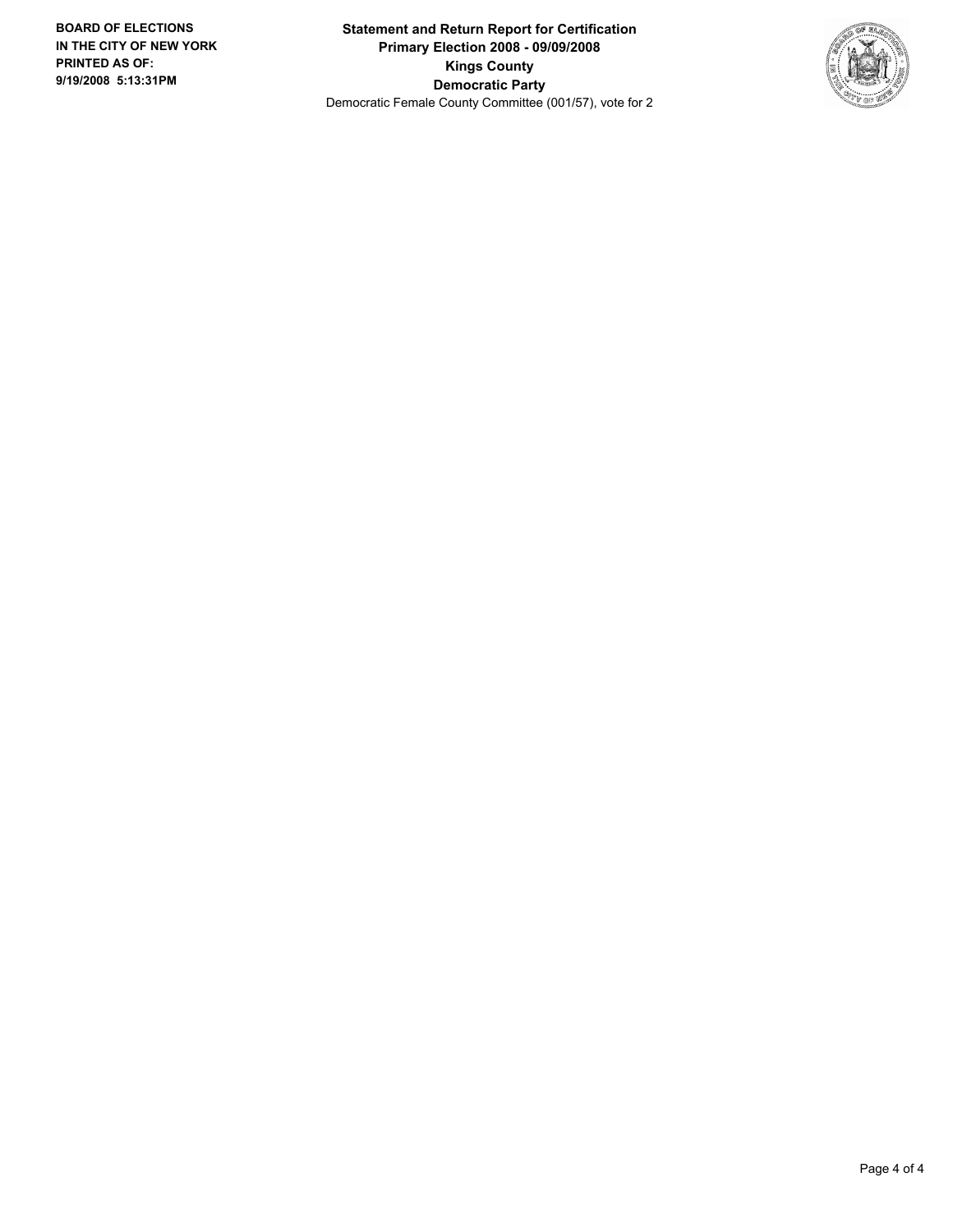**Statement and Return Report for Certification Primary Election 2008 - 09/09/2008 Kings County Democratic Party** Democratic Female County Committee (001/57), vote for 2

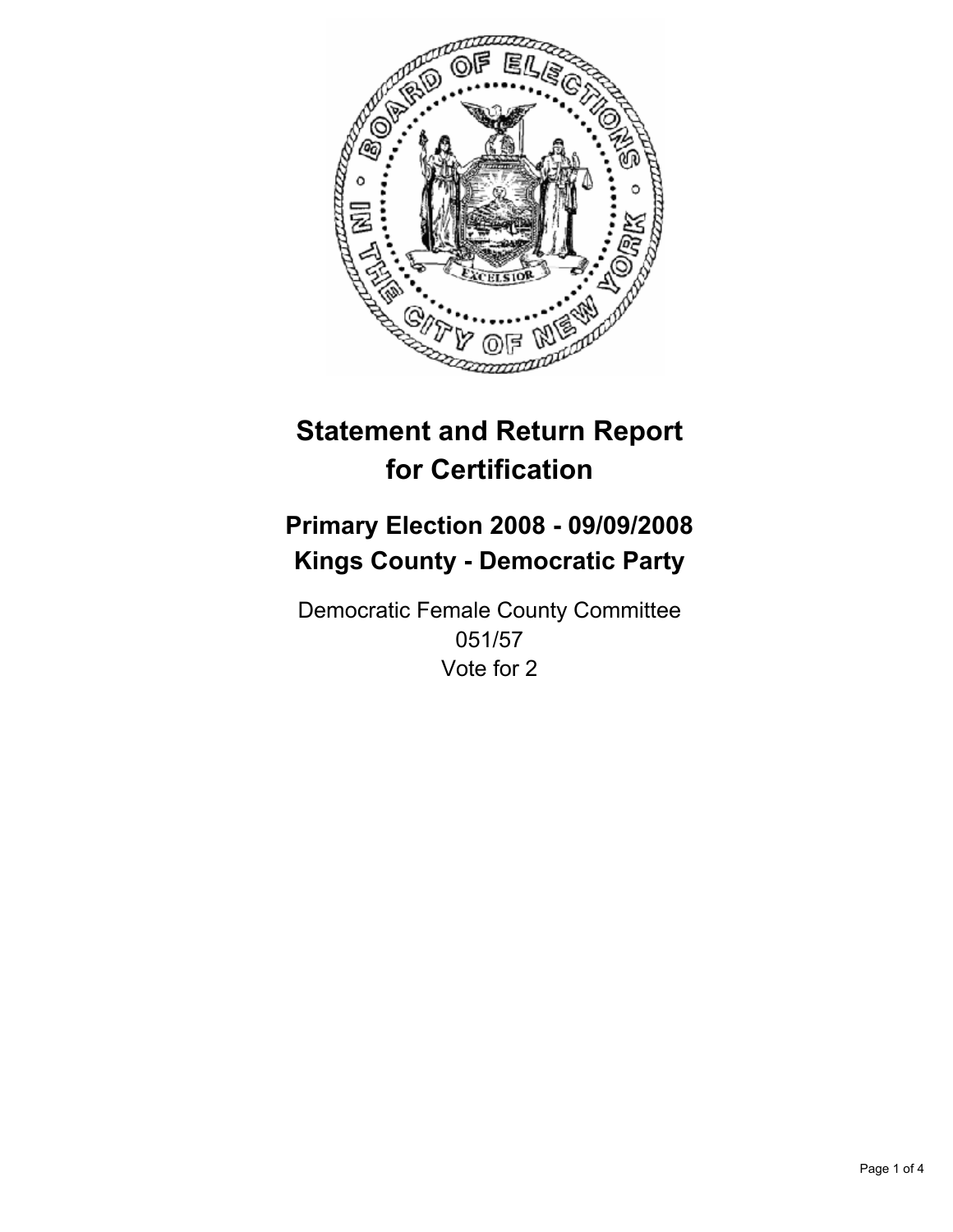

# **Primary Election 2008 - 09/09/2008 Kings County - Democratic Party**

Democratic Female County Committee 051/57 Vote for 2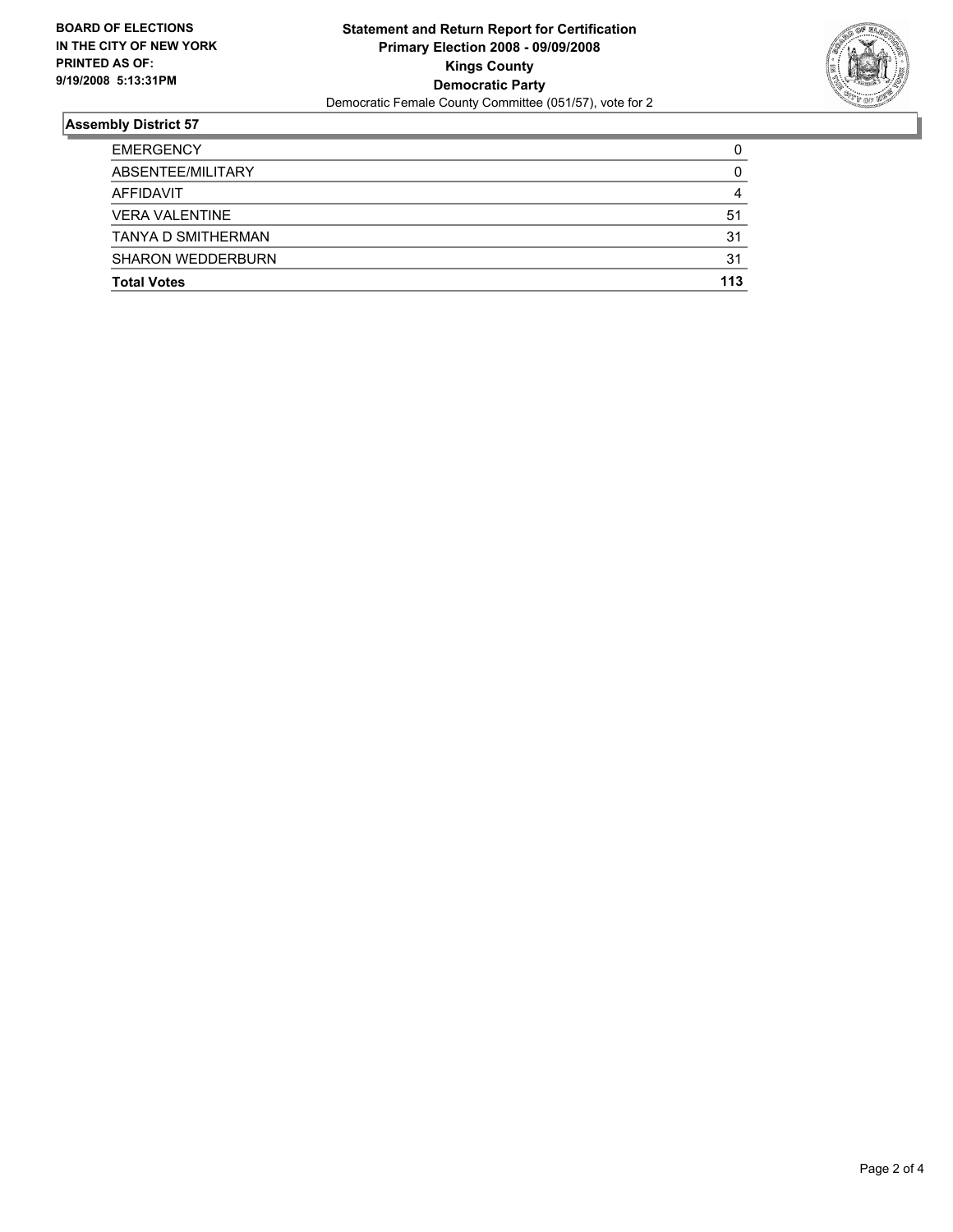

| <b>EMERGENCY</b>          | C   |
|---------------------------|-----|
| ABSENTEE/MILITARY         | 0   |
| AFFIDAVIT                 | 4   |
| <b>VERA VALENTINE</b>     | 51  |
| <b>TANYA D SMITHERMAN</b> | 31  |
| <b>SHARON WEDDERBURN</b>  | 31  |
| <b>Total Votes</b>        | 113 |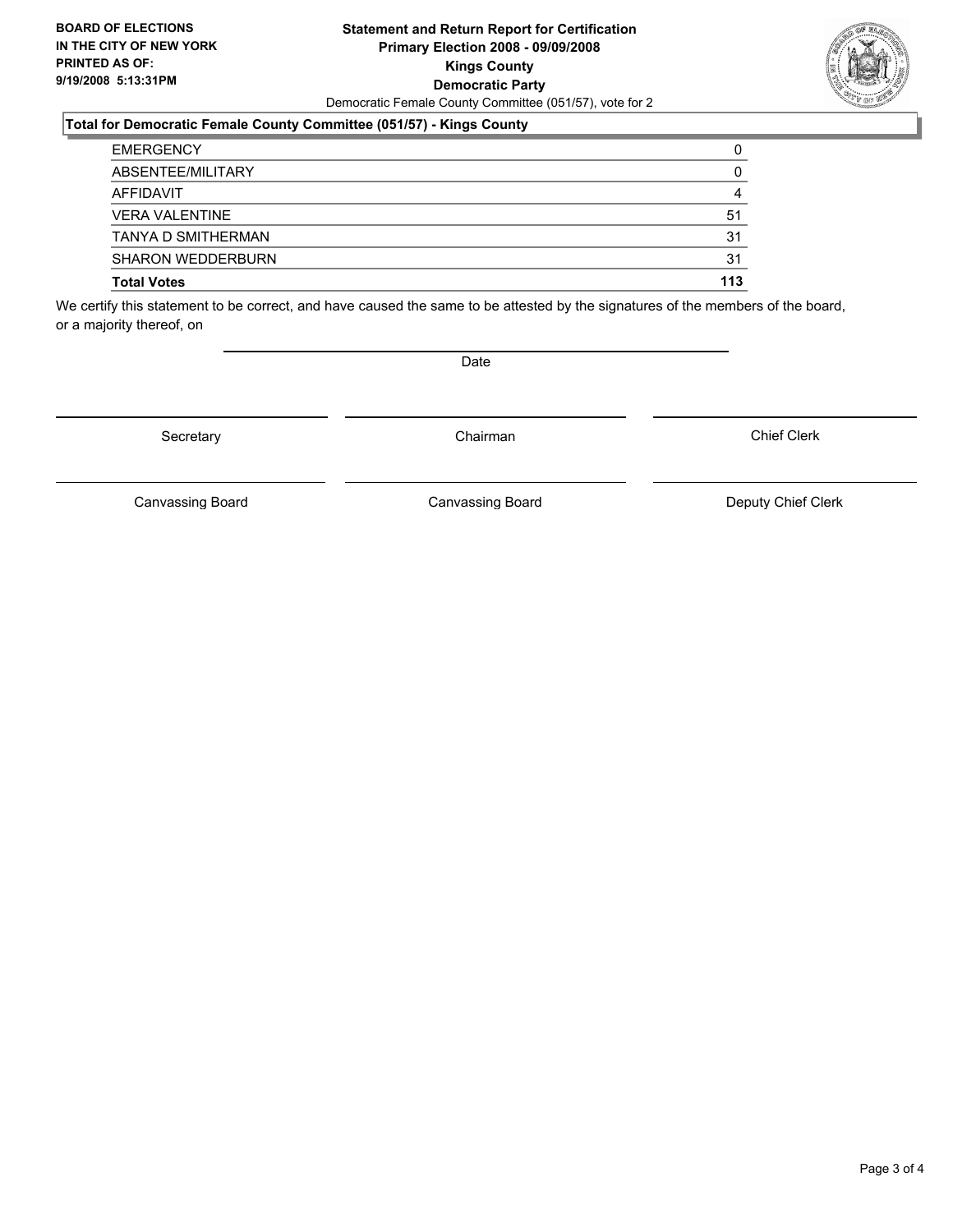#### **Statement and Return Report for Certification Primary Election 2008 - 09/09/2008 Kings County Democratic Party** Democratic Female County Committee (051/57), vote for 2

### **Total for Democratic Female County Committee (051/57) - Kings County**

| <b>Total Votes</b>        | 113 |
|---------------------------|-----|
| <b>SHARON WEDDERBURN</b>  | 31  |
| <b>TANYA D SMITHERMAN</b> | 31  |
| <b>VERA VALENTINE</b>     | 51  |
| AFFIDAVIT                 | 4   |
| ABSENTEE/MILITARY         |     |
| <b>EMERGENCY</b>          |     |

We certify this statement to be correct, and have caused the same to be attested by the signatures of the members of the board, or a majority thereof, on

Secretary **Chairman** 

Date

Chief Clerk

Canvassing Board **Canvassing Board** Canvassing Board **Deputy Chief Clerk** 

Canvassing Board

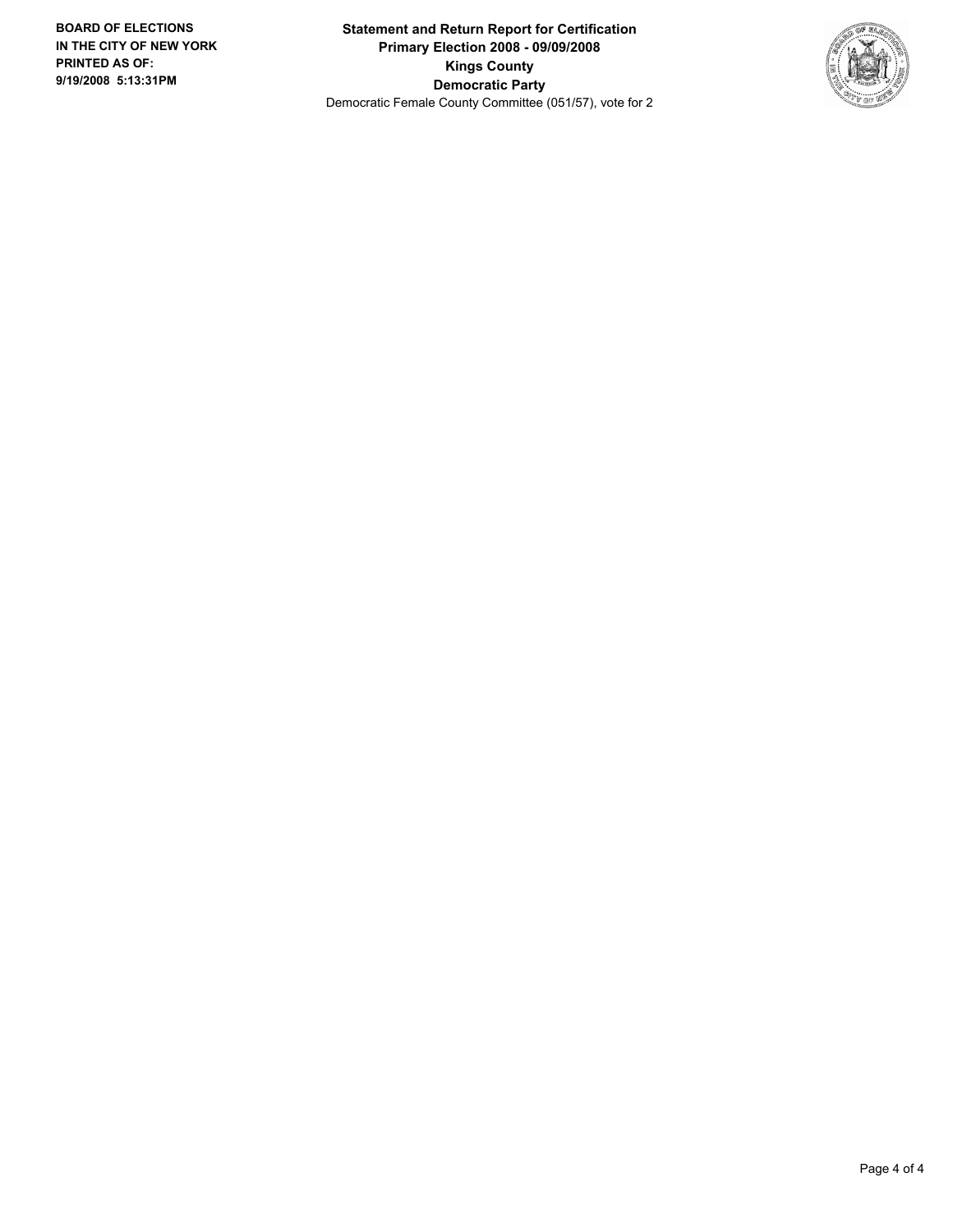**Statement and Return Report for Certification Primary Election 2008 - 09/09/2008 Kings County Democratic Party** Democratic Female County Committee (051/57), vote for 2

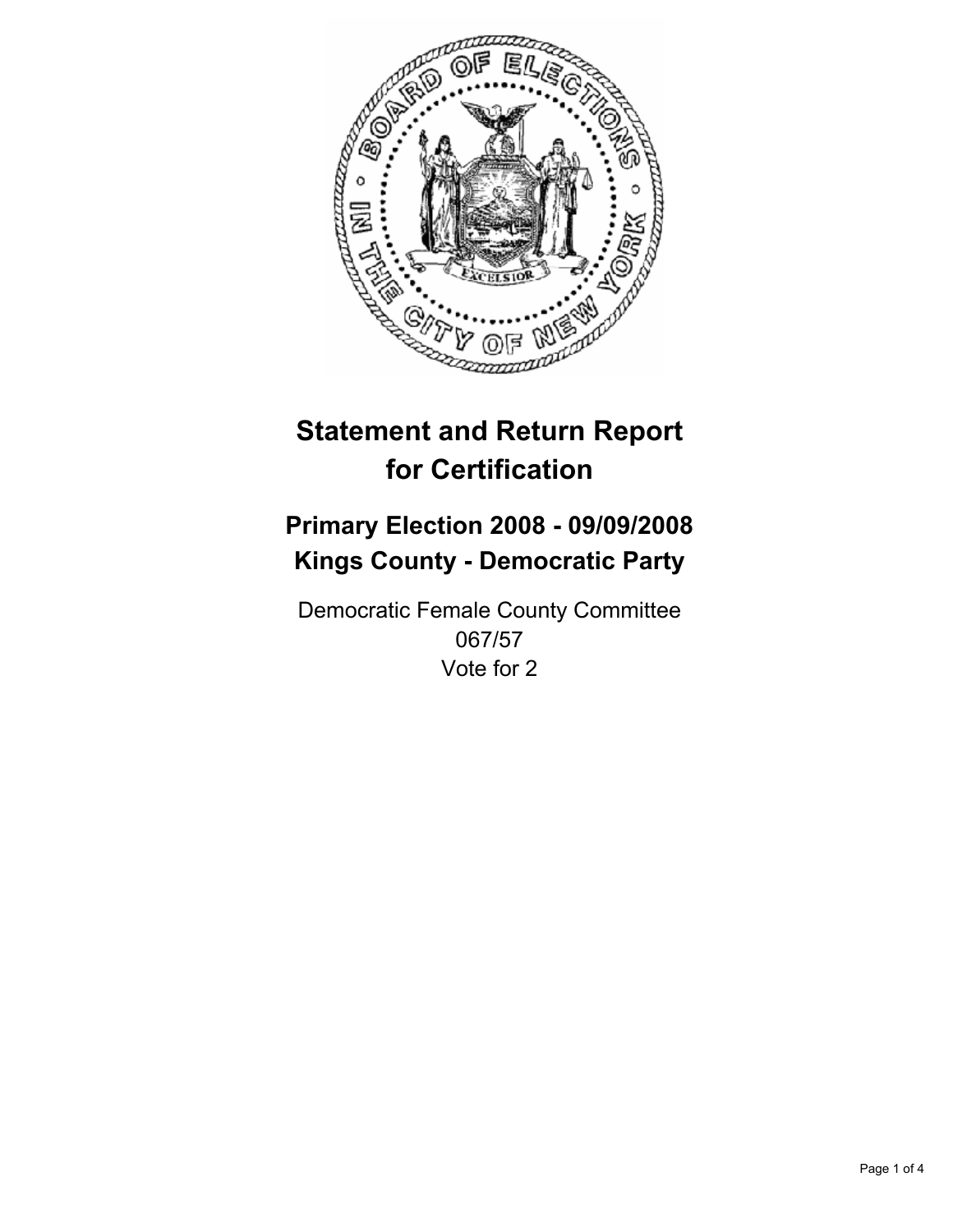

# **Primary Election 2008 - 09/09/2008 Kings County - Democratic Party**

Democratic Female County Committee 067/57 Vote for 2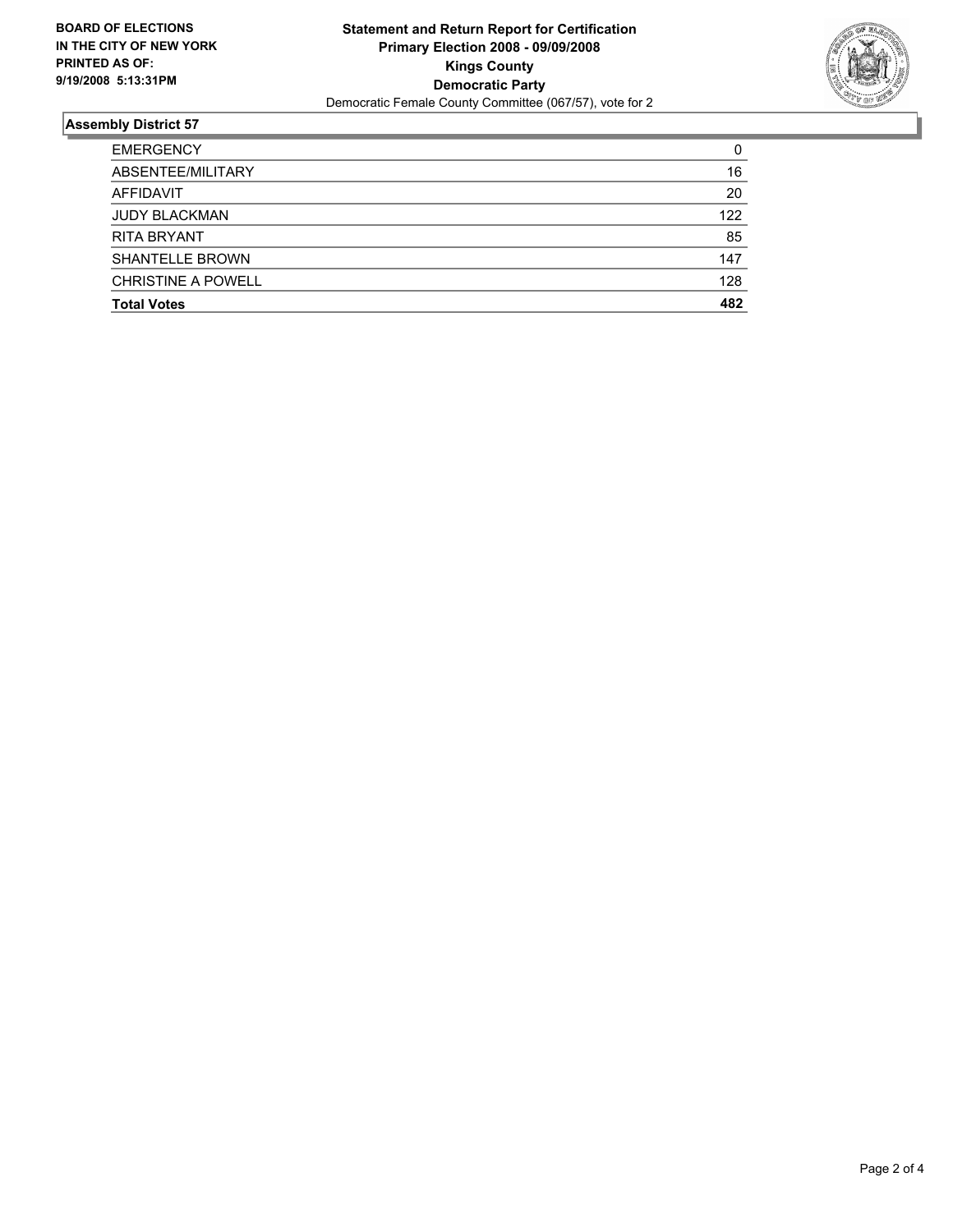

| <b>EMERGENCY</b>          | C   |
|---------------------------|-----|
| ABSENTEE/MILITARY         | 16  |
| AFFIDAVIT                 | 20  |
| <b>JUDY BLACKMAN</b>      | 122 |
| <b>RITA BRYANT</b>        | 85  |
| <b>SHANTELLE BROWN</b>    | 147 |
| <b>CHRISTINE A POWELL</b> | 128 |
| <b>Total Votes</b>        | 482 |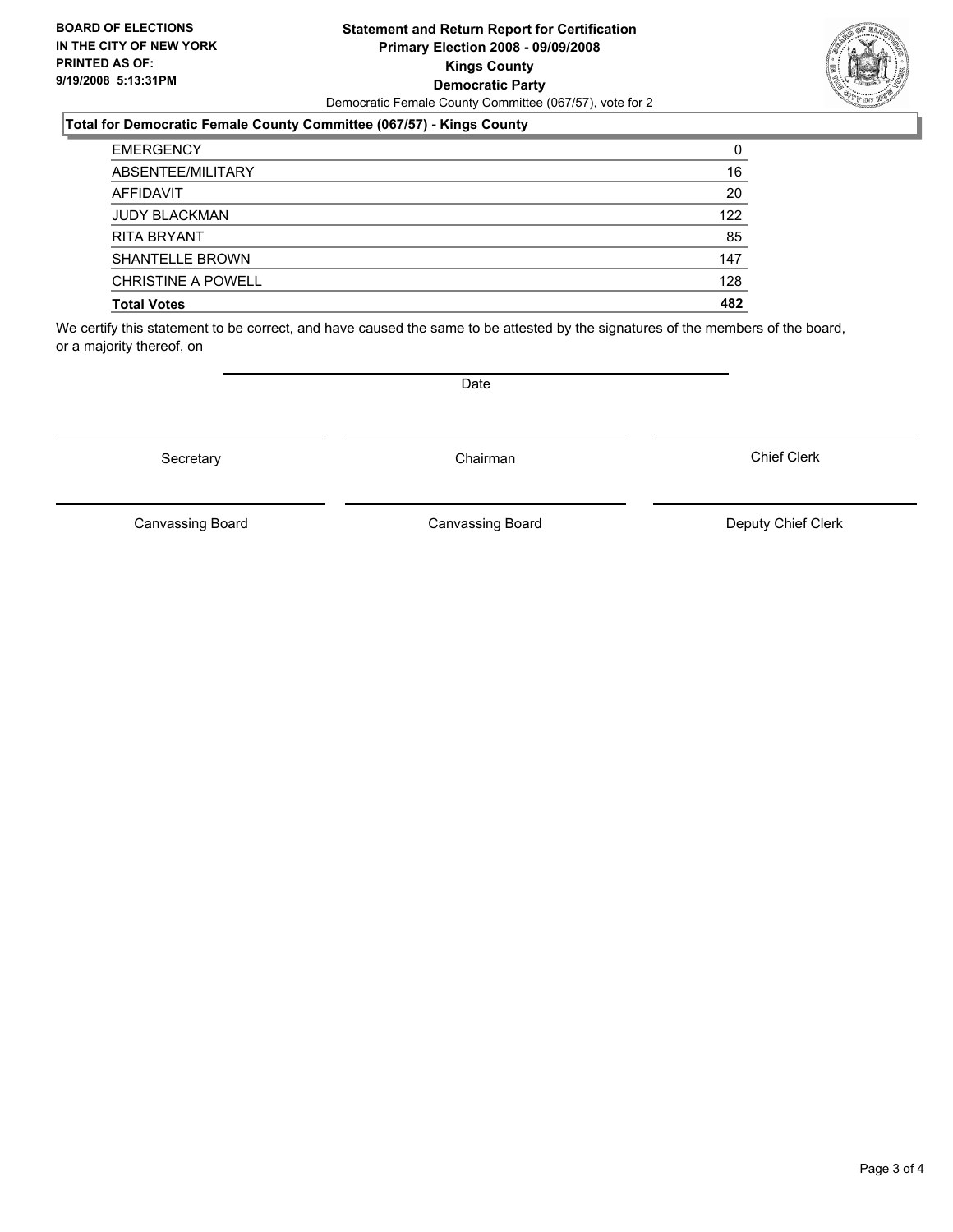#### **Statement and Return Report for Certification Primary Election 2008 - 09/09/2008 Kings County Democratic Party** Democratic Female County Committee (067/57), vote for 2

### **Total for Democratic Female County Committee (067/57) - Kings County**

| <b>EMERGENCY</b>          | 0   |
|---------------------------|-----|
| ABSENTEE/MILITARY         | 16  |
| AFFIDAVIT                 | 20  |
| <b>JUDY BLACKMAN</b>      | 122 |
| <b>RITA BRYANT</b>        | 85  |
| <b>SHANTELLE BROWN</b>    | 147 |
| <b>CHRISTINE A POWELL</b> | 128 |
| <b>Total Votes</b>        | 482 |

We certify this statement to be correct, and have caused the same to be attested by the signatures of the members of the board, or a majority thereof, on

Secretary **Chairman** 

Canvassing Board

Canvassing Board Canvassing Board Canvassing Canvassing Board Deputy Chief Clerk

Chief Clerk

Page 3 of 4



Date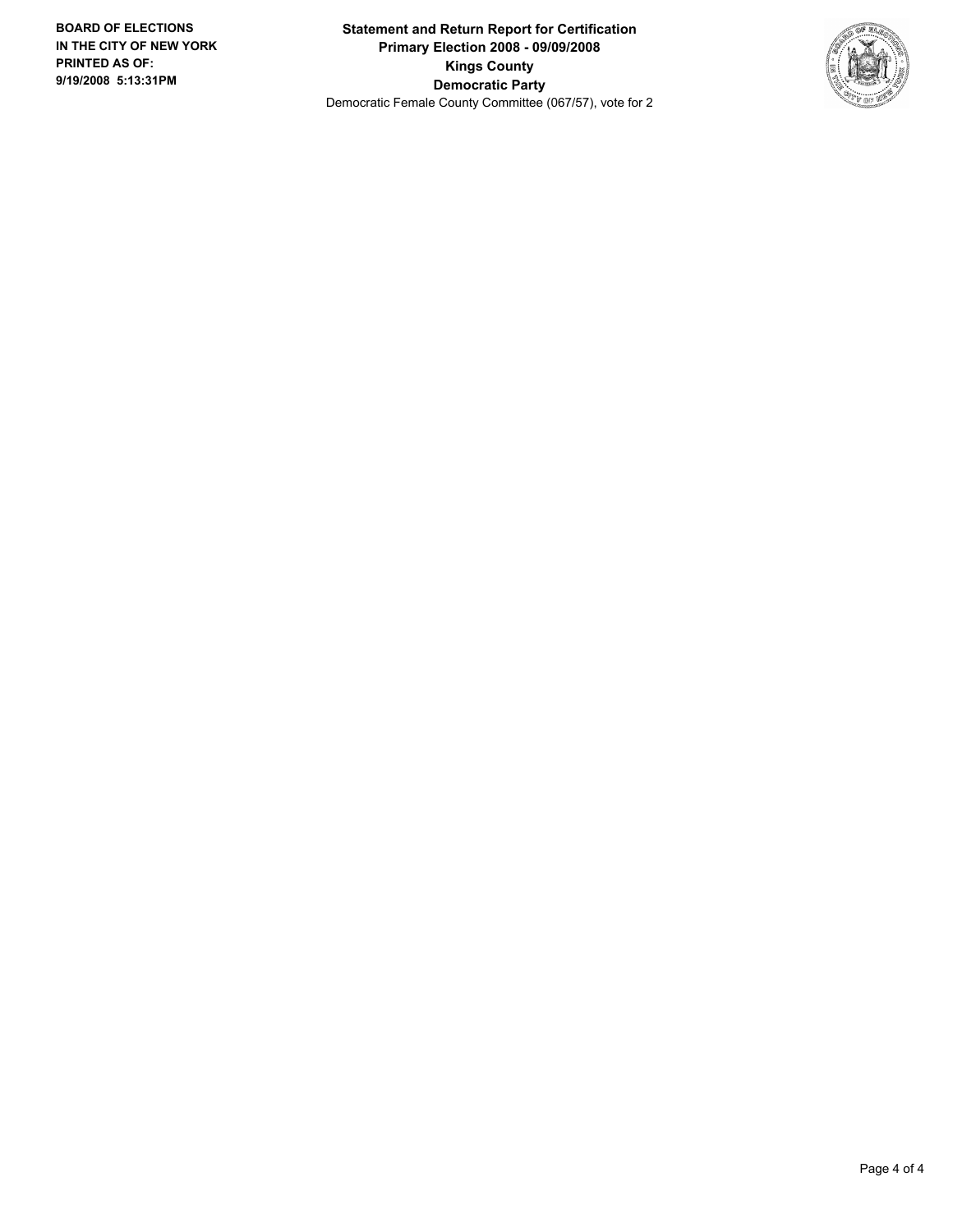**Statement and Return Report for Certification Primary Election 2008 - 09/09/2008 Kings County Democratic Party** Democratic Female County Committee (067/57), vote for 2

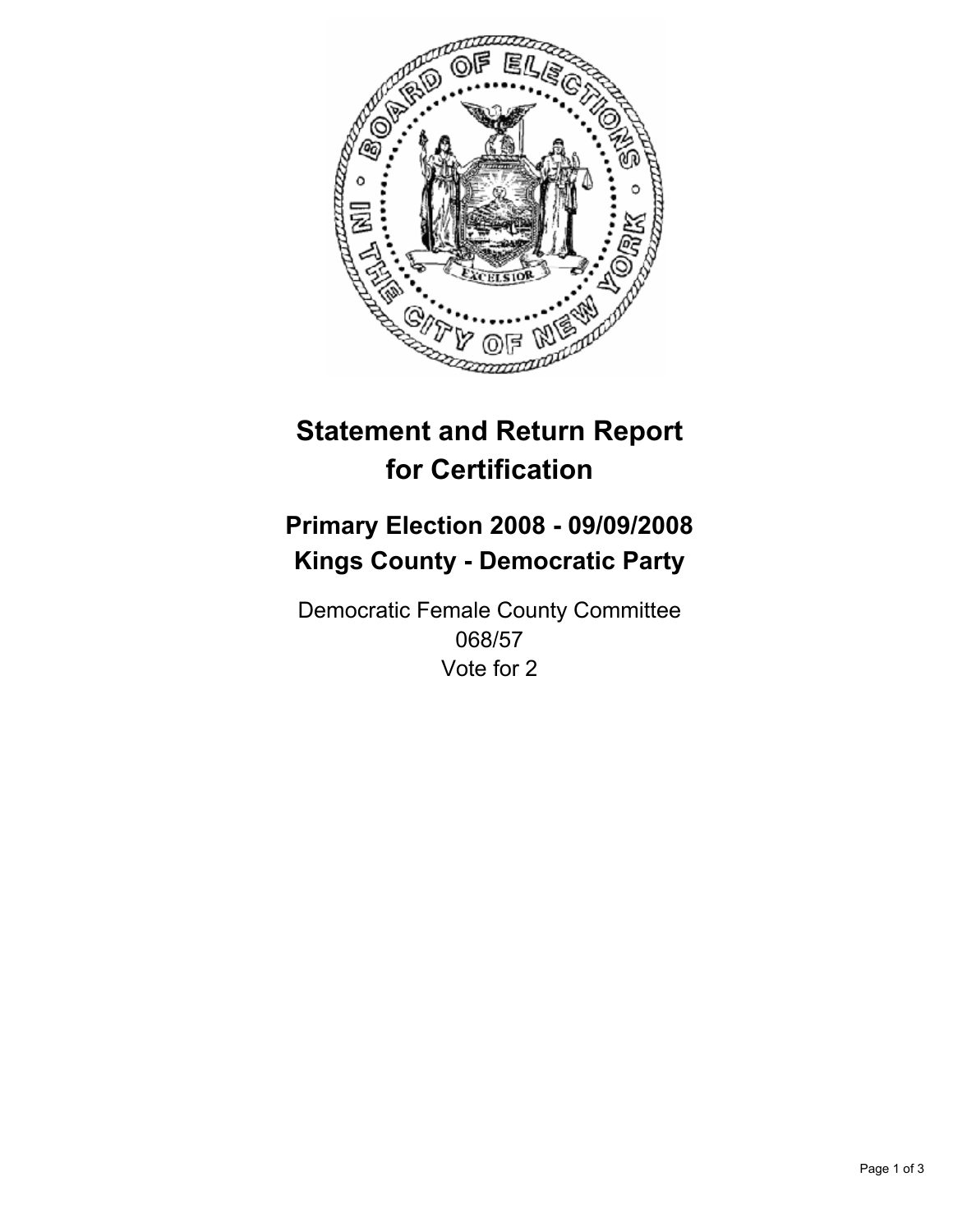

# **Primary Election 2008 - 09/09/2008 Kings County - Democratic Party**

Democratic Female County Committee 068/57 Vote for 2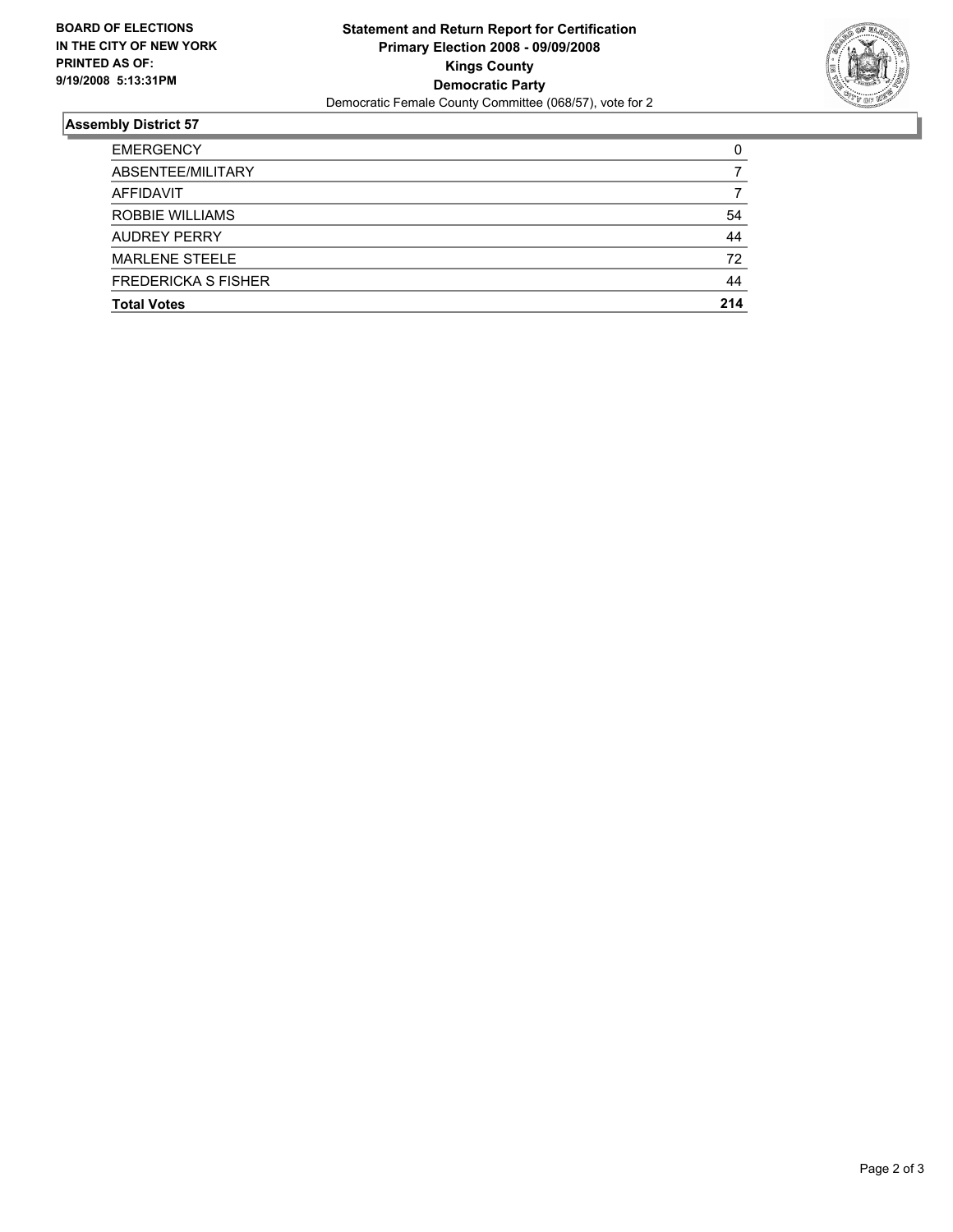

| <b>EMERGENCY</b>           | C   |
|----------------------------|-----|
| ABSENTEE/MILITARY          |     |
| AFFIDAVIT                  |     |
| ROBBIE WILLIAMS            | 54  |
| <b>AUDREY PERRY</b>        | 44  |
| <b>MARLENE STEELE</b>      | 72  |
| <b>FREDERICKA S FISHER</b> | 44  |
| <b>Total Votes</b>         | 214 |